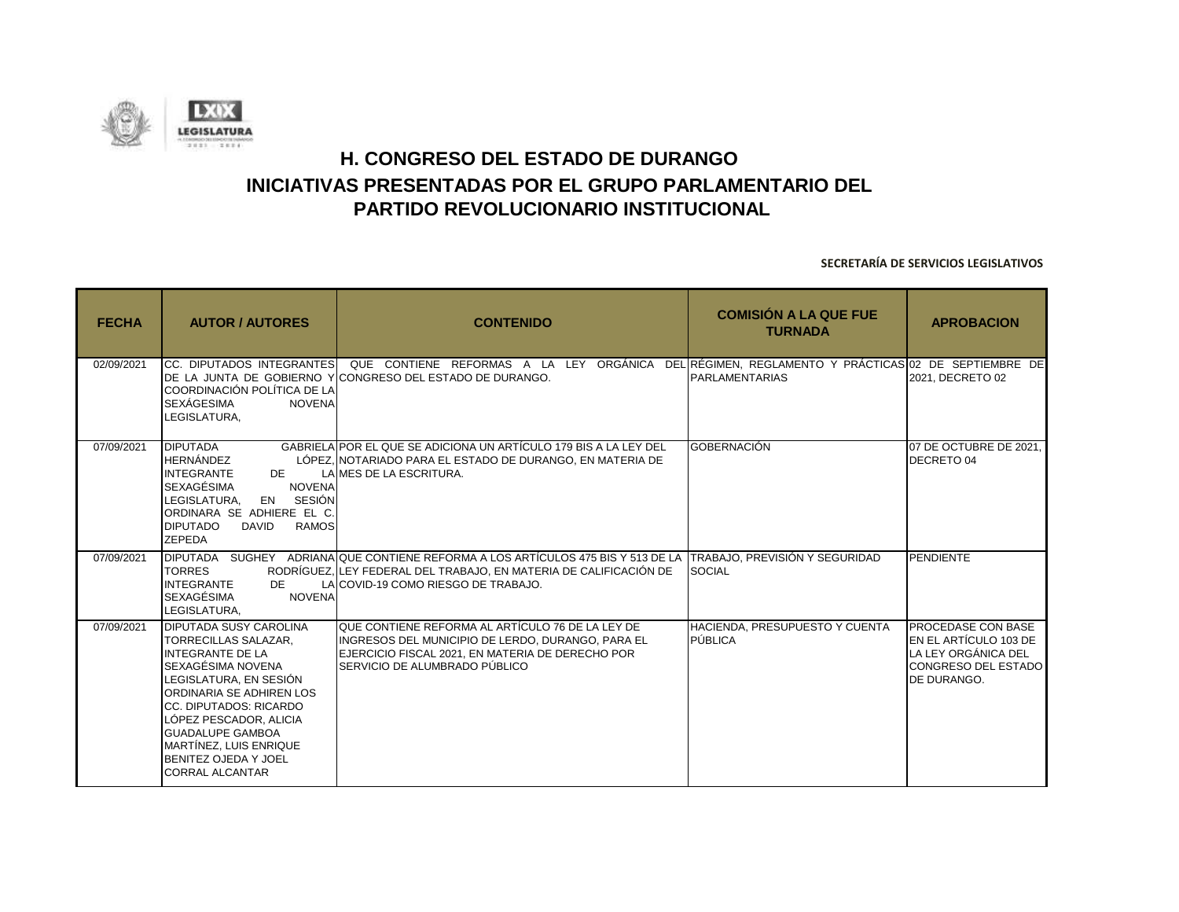

| <b>FECHA</b> | <b>AUTOR / AUTORES</b>                                                                                                                                                                                                                                                                                                 | <b>CONTENIDO</b>                                                                                                                                                                                                             | <b>COMISIÓN A LA QUE FUE</b><br><b>TURNADA</b> | <b>APROBACION</b>                                                                                               |
|--------------|------------------------------------------------------------------------------------------------------------------------------------------------------------------------------------------------------------------------------------------------------------------------------------------------------------------------|------------------------------------------------------------------------------------------------------------------------------------------------------------------------------------------------------------------------------|------------------------------------------------|-----------------------------------------------------------------------------------------------------------------|
| 02/09/2021   | COORDINACIÓN POLÍTICA DE LA<br><b>SEXÁGESIMA</b><br><b>NOVENA</b><br>LEGISLATURA,                                                                                                                                                                                                                                      | CC. DIPUTADOS INTEGRANTES  QUE CONTIENE REFORMAS A LA LEY ORGÀNICA DEL RÉGIMEN, REGLAMENTO Y PRÀCTICAS 02 DE SEPTIEMBRE DE<br>DE LA JUNTA DE GOBIERNO Y CONGRESO DEL ESTADO DE DURANGO.                                      | <b>PARLAMENTARIAS</b>                          | 2021, DECRETO 02                                                                                                |
| 07/09/2021   | <b>DIPUTADA</b><br><b>HERNÁNDEZ</b><br><b>INTEGRANTE</b><br>DE<br><b>SEXAGÉSIMA</b><br><b>NOVENA</b><br>LEGISLATURA.<br>EN SESIÓN<br>ORDINARA SE ADHIERE EL C.<br><b>DIPUTADO</b><br><b>RAMOS</b><br><b>DAVID</b><br><b>ZEPEDA</b>                                                                                     | GABRIELA POR EL QUE SE ADICIONA UN ARTÍCULO 179 BIS A LA LEY DEL<br>LÓPEZ. INOTARIADO PARA EL ESTADO DE DURANGO. EN MATERIA DE<br>LAIMES DE LA ESCRITURA.                                                                    | <b>GOBERNACIÓN</b>                             | 07 DE OCTUBRE DE 2021.<br><b>DECRETO 04</b>                                                                     |
| 07/09/2021   | <b>TORRES</b><br><b>INTEGRANTE</b><br>DE<br><b>SEXAGÉSIMA</b><br><b>NOVENA</b><br>LEGISLATURA.                                                                                                                                                                                                                         | DIPUTADA SUGHEY ADRIANA QUE CONTIENE REFORMA A LOS ARTÍCULOS 475 BIS Y 513 DE LA TTRABAJO, PREVISIÓN Y SEGURIDAD<br>RODRÍGUEZ. LEY FEDERAL DEL TRABAJO. EN MATERIA DE CALIFICACIÓN DE<br>LAICOVID-19 COMO RIESGO DE TRABAJO. | <b>SOCIAL</b>                                  | PENDIENTE                                                                                                       |
| 07/09/2021   | <b>DIPUTADA SUSY CAROLINA</b><br>TORRECILLAS SALAZAR.<br><b>INTEGRANTE DE LA</b><br>SEXAGÉSIMA NOVENA<br>LEGISLATURA. EN SESIÓN<br>ORDINARIA SE ADHIREN LOS<br>CC. DIPUTADOS: RICARDO<br>LÓPEZ PESCADOR. ALICIA<br><b>GUADALUPE GAMBOA</b><br>MARTÍNEZ, LUIS ENRIQUE<br>BENITEZ OJEDA Y JOEL<br><b>CORRAL ALCANTAR</b> | QUE CONTIENE REFORMA AL ARTÍCULO 76 DE LA LEY DE<br>INGRESOS DEL MUNICIPIO DE LERDO, DURANGO, PARA EL<br>EJERCICIO FISCAL 2021, EN MATERIA DE DERECHO POR<br>SERVICIO DE ALUMBRADO PÚBLICO                                   | HACIENDA, PRESUPUESTO Y CUENTA<br>PÚBLICA      | <b>PROCEDASE CON BASE</b><br>EN EL ARTÍCULO 103 DE<br>LA LEY ORGÁNICA DEL<br>CONGRESO DEL ESTADO<br>DE DURANGO. |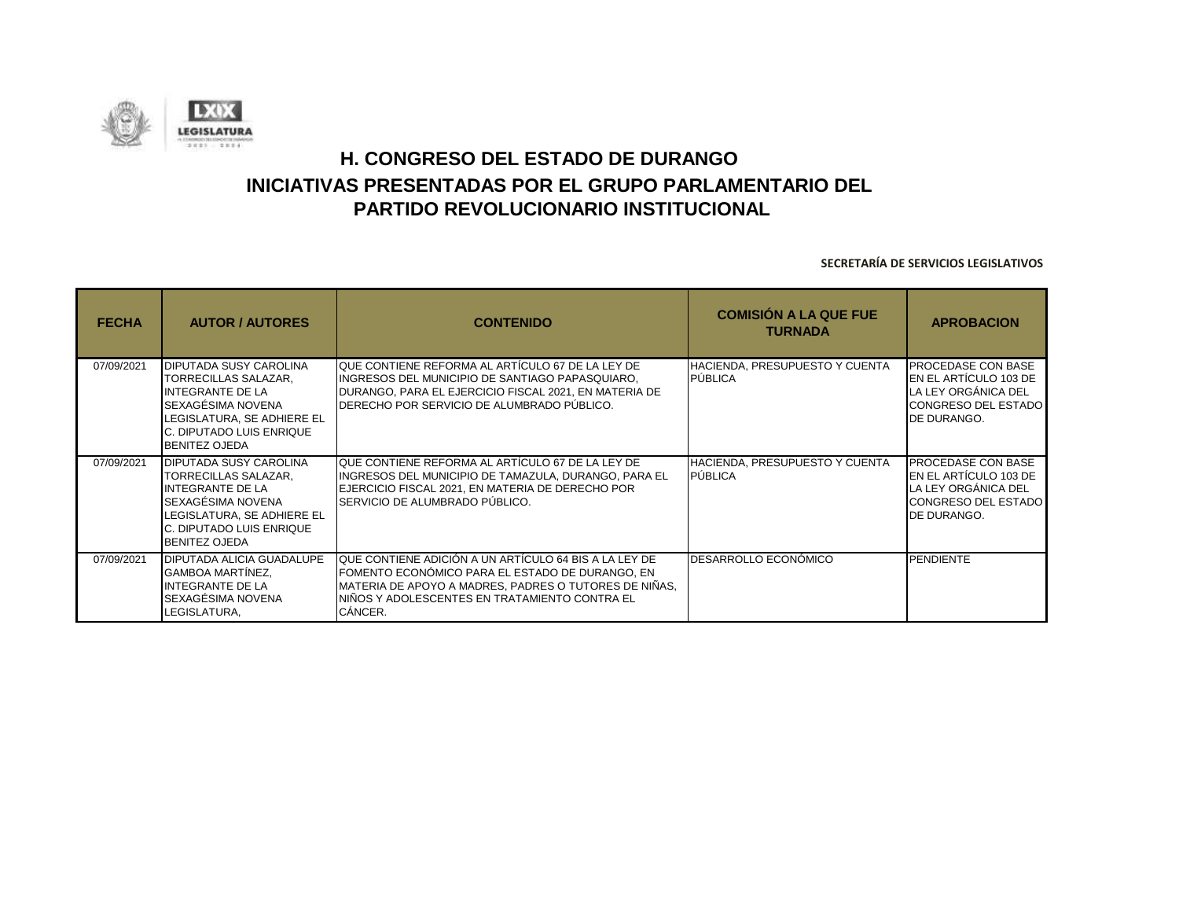

| <b>FECHA</b> | <b>AUTOR / AUTORES</b>                                                                                                                                                                  | <b>CONTENIDO</b>                                                                                                                                                                                                              | <b>COMISIÓN A LA QUE FUE</b><br><b>TURNADA</b>   | <b>APROBACION</b>                                                                                                                     |
|--------------|-----------------------------------------------------------------------------------------------------------------------------------------------------------------------------------------|-------------------------------------------------------------------------------------------------------------------------------------------------------------------------------------------------------------------------------|--------------------------------------------------|---------------------------------------------------------------------------------------------------------------------------------------|
| 07/09/2021   | <b>IDIPUTADA SUSY CAROLINA</b><br>TORRECILLAS SALAZAR,<br>INTEGRANTE DE LA<br>SEXAGÉSIMA NOVENA<br>LEGISLATURA, SE ADHIERE EL<br>C. DIPUTADO LUIS ENRIQUE<br><b>BENITEZ OJEDA</b>       | QUE CONTIENE REFORMA AL ARTÍCULO 67 DE LA LEY DE<br>INGRESOS DEL MUNICIPIO DE SANTIAGO PAPASQUIARO,<br>DURANGO, PARA EL EJERCICIO FISCAL 2021, EN MATERIA DE<br>DERECHO POR SERVICIO DE ALUMBRADO PÚBLICO.                    | IHACIENDA. PRESUPUESTO Y CUENTA<br>PÚBLICA       | <b>PROCEDASE CON BASE</b><br><b>IEN EL ARTÍCULO 103 DE</b><br>LA LEY ORGÁNICA DEL<br><b>CONGRESO DEL ESTADO</b><br><b>DE DURANGO.</b> |
| 07/09/2021   | <b>DIPUTADA SUSY CAROLINA</b><br>TORRECILLAS SALAZAR,<br><b>INTEGRANTE DE LA</b><br>SEXAGÉSIMA NOVENA<br>LEGISLATURA, SE ADHIERE EL<br>C. DIPUTADO LUIS ENRIQUE<br><b>BENITEZ OJEDA</b> | IQUE CONTIENE REFORMA AL ARTÍCULO 67 DE LA LEY DE<br>INGRESOS DEL MUNICIPIO DE TAMAZULA, DURANGO, PARA EL<br>EJERCICIO FISCAL 2021, EN MATERIA DE DERECHO POR<br>SERVICIO DE ALUMBRADO PÚBLICO.                               | HACIENDA, PRESUPUESTO Y CUENTA<br><b>PÚBLICA</b> | <b>PROCEDASE CON BASE</b><br>IEN EL ARTÍCULO 103 DE<br>LA LEY ORGÁNICA DEL<br><b>CONGRESO DEL ESTADO</b><br><b>DE DURANGO.</b>        |
| 07/09/2021   | DIPUTADA ALICIA GUADALUPE<br>GAMBOA MARTÍNEZ,<br><b>INTEGRANTE DE LA</b><br>SEXAGÉSIMA NOVENA<br>LEGISLATURA,                                                                           | QUE CONTIENE ADICIÓN A UN ARTÍCULO 64 BIS A LA LEY DE<br>FOMENTO ECONÓMICO PARA EL ESTADO DE DURANGO, EN<br>MATERIA DE APOYO A MADRES, PADRES O TUTORES DE NIÑAS,<br>NIÑOS Y ADOLESCENTES EN TRATAMIENTO CONTRA EL<br>CÁNCER. | DESARROLLO ECONÓMICO                             | PENDIENTE                                                                                                                             |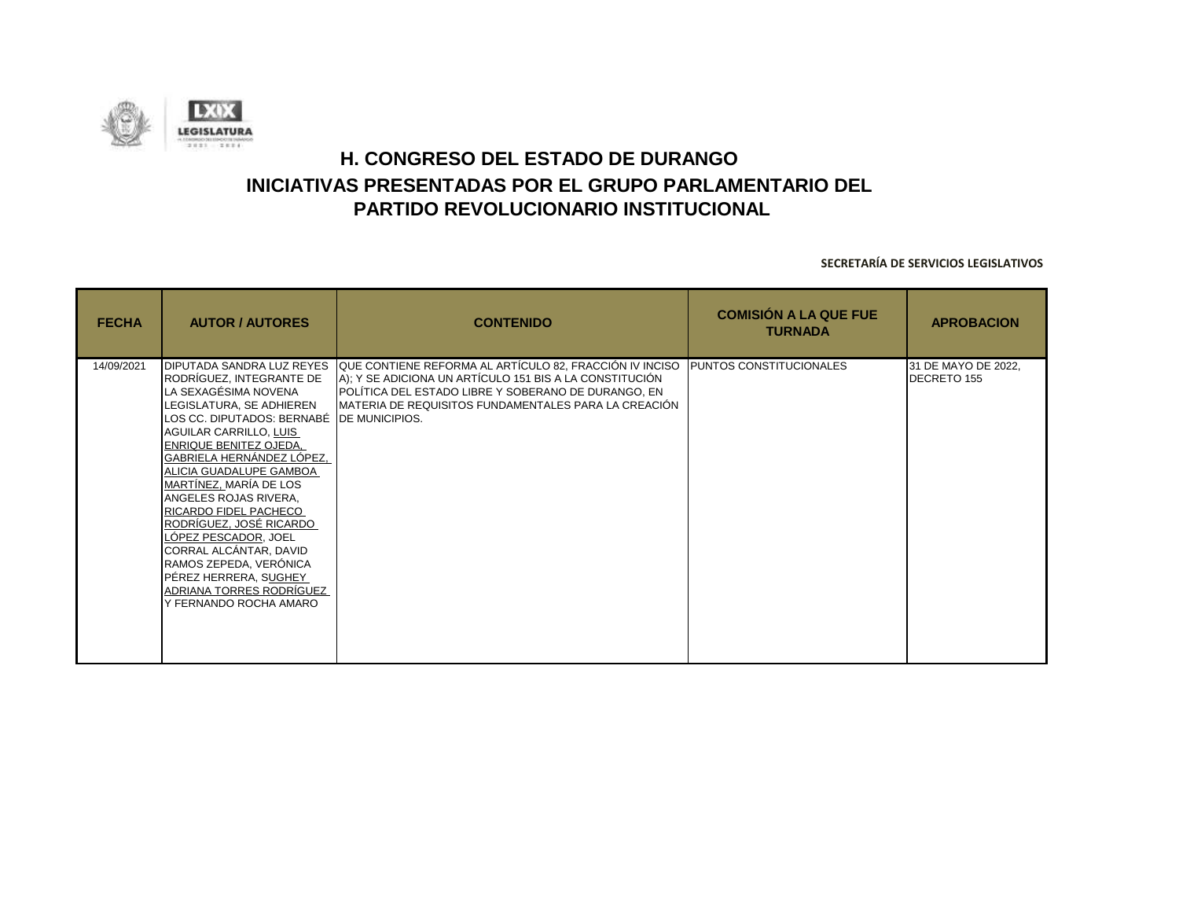

| <b>FECHA</b> | <b>AUTOR / AUTORES</b>                                                                                                                                                                                                                                                                                                                                                                                                                                                                                                               | <b>CONTENIDO</b>                                                                                                                                                                                                                                          | <b>COMISIÓN A LA QUE FUE</b><br><b>TURNADA</b> | <b>APROBACION</b>                  |
|--------------|--------------------------------------------------------------------------------------------------------------------------------------------------------------------------------------------------------------------------------------------------------------------------------------------------------------------------------------------------------------------------------------------------------------------------------------------------------------------------------------------------------------------------------------|-----------------------------------------------------------------------------------------------------------------------------------------------------------------------------------------------------------------------------------------------------------|------------------------------------------------|------------------------------------|
| 14/09/2021   | DIPUTADA SANDRA LUZ REYES<br>RODRÍGUEZ, INTEGRANTE DE<br>LA SEXAGÉSIMA NOVENA<br>LEGISLATURA, SE ADHIEREN<br>LOS CC. DIPUTADOS: BERNABÉ DE MUNICIPIOS.<br>AGUILAR CARRILLO, LUIS<br>ENRIQUE BENITEZ OJEDA,<br>GABRIELA HERNÁNDEZ LÓPEZ,<br>ALICIA GUADALUPE GAMBOA<br>MARTÍNEZ, MARÍA DE LOS<br>ANGELES ROJAS RIVERA,<br>RICARDO FIDEL PACHECO<br>RODRÍGUEZ, JOSÉ RICARDO<br>LÓPEZ PESCADOR, JOEL<br>CORRAL ALCÁNTAR, DAVID<br>RAMOS ZEPEDA, VERÓNICA<br>PÉREZ HERRERA, SUGHEY<br>ADRIANA TORRES RODRÍGUEZ<br>Y FERNANDO ROCHA AMARO | QUE CONTIENE REFORMA AL ARTÍCULO 82, FRACCIÓN IV INCISO PUNTOS CONSTITUCIONALES<br>A); Y SE ADICIONA UN ARTÍCULO 151 BIS A LA CONSTITUCIÓN<br>POLÍTICA DEL ESTADO LIBRE Y SOBERANO DE DURANGO, EN<br>MATERIA DE REQUISITOS FUNDAMENTALES PARA LA CREACIÓN |                                                | 31 DE MAYO DE 2022,<br>DECRETO 155 |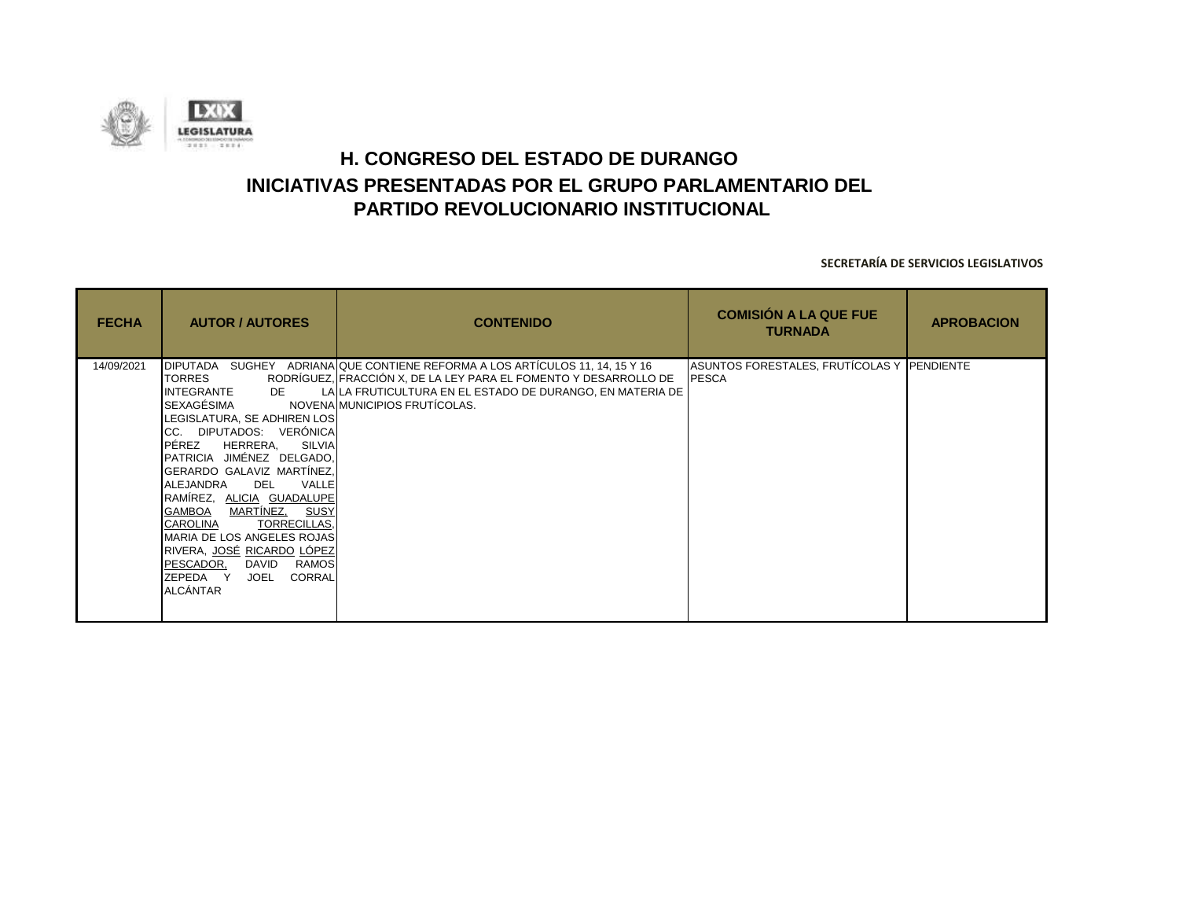

| <b>FECHA</b> | <b>AUTOR / AUTORES</b>                                                                                                                                                                                                                                                                                                                                                                                                                                                  | <b>CONTENIDO</b>                                                                                                                                                                                                                               | <b>COMISIÓN A LA QUE FUE</b><br><b>TURNADA</b>             | <b>APROBACION</b> |
|--------------|-------------------------------------------------------------------------------------------------------------------------------------------------------------------------------------------------------------------------------------------------------------------------------------------------------------------------------------------------------------------------------------------------------------------------------------------------------------------------|------------------------------------------------------------------------------------------------------------------------------------------------------------------------------------------------------------------------------------------------|------------------------------------------------------------|-------------------|
| 14/09/2021   | TORRES<br>INTEGRANTE<br>DE<br>SEXAGÉSIMA<br>LEGISLATURA, SE ADHIREN LOS<br>CC. DIPUTADOS: VERÓNICA<br>PÉREZ<br>HERRERA,<br>SILVIA<br>PATRICIA JIMÉNEZ DELGADO,<br>GERARDO GALAVIZ MARTÍNEZ,<br>ALEJANDRA<br>DEL<br>VALLE<br>RAMÍREZ, ALICIA GUADALUPE<br><u>MARTÍNEZ, SUSY</u><br>GAMBOA<br>TORRECILLAS,<br><b>CAROLINA</b><br>MARIA DE LOS ANGELES ROJAS<br>RIVERA, JOSÉ RICARDO LOPEZ<br>PESCADOR,<br>DAVID<br>RAMOS<br>CORRAL<br>ZEPEDA Y<br>JOEL<br><b>ALCÁNTAR</b> | DIPUTADA SUGHEY ADRIANA QUE CONTIENE REFORMA A LOS ARTÍCULOS 11, 14, 15 Y 16<br>RODRÍGUEZ, FRACCIÓN X, DE LA LEY PARA EL FOMENTO Y DESARROLLO DE<br>LA LA FRUTICULTURA EN EL ESTADO DE DURANGO, EN MATERIA DE<br>NOVENA MUNICIPIOS FRUTÍCOLAS. | ASUNTOS FORESTALES, FRUTÍCOLAS Y PENDIENTE<br><b>PESCA</b> |                   |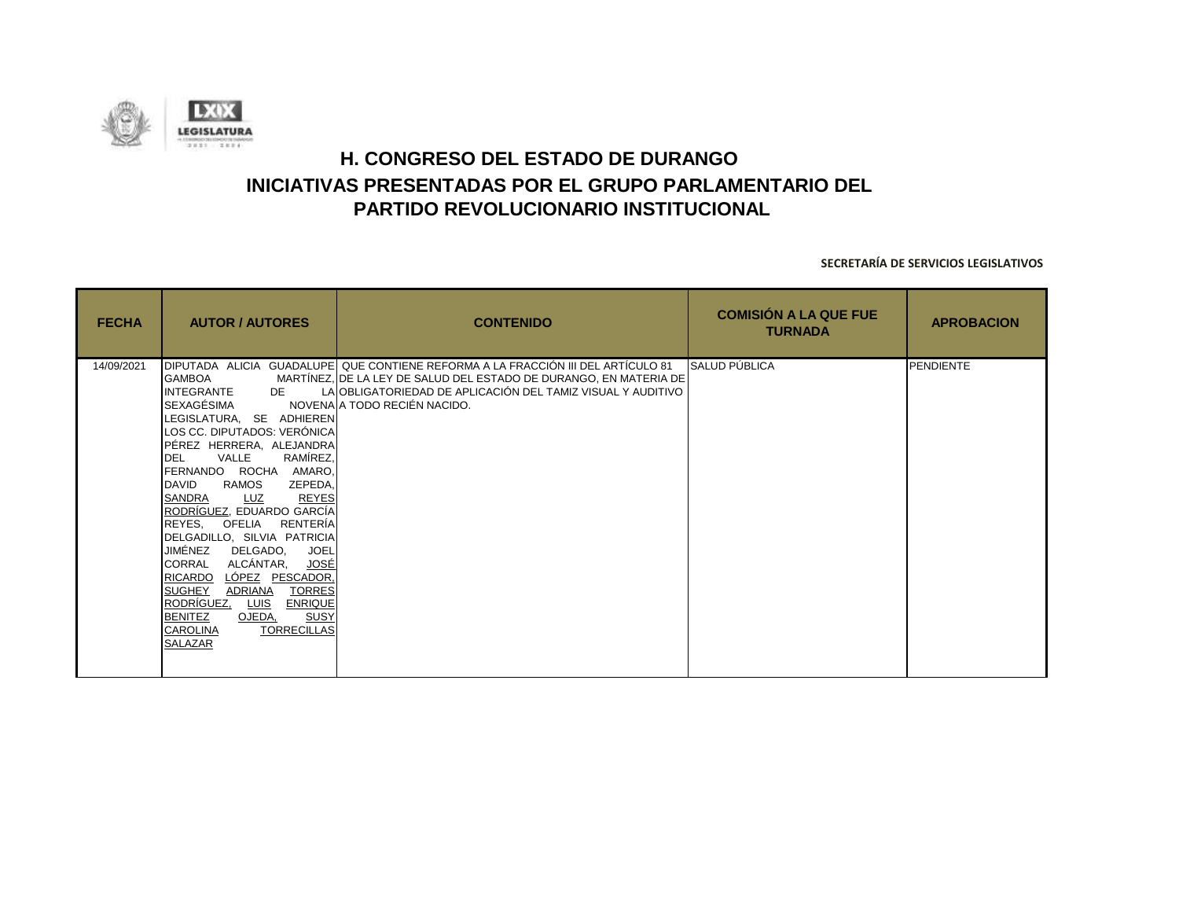

| <b>FECHA</b> | <b>AUTOR / AUTORES</b>                                                                                                                                                                                                                                                                                                                                                                                                                                                                                                                                                                                                                            | <b>CONTENIDO</b>                                                                                                                                                                                                                                     | <b>COMISIÓN A LA QUE FUE</b><br><b>TURNADA</b> | <b>APROBACION</b> |
|--------------|---------------------------------------------------------------------------------------------------------------------------------------------------------------------------------------------------------------------------------------------------------------------------------------------------------------------------------------------------------------------------------------------------------------------------------------------------------------------------------------------------------------------------------------------------------------------------------------------------------------------------------------------------|------------------------------------------------------------------------------------------------------------------------------------------------------------------------------------------------------------------------------------------------------|------------------------------------------------|-------------------|
| 14/09/2021   | <b>GAMBOA</b><br>INTEGRANTE DE<br>SEXAGÉSIMA<br>LEGISLATURA, SE ADHIEREN<br>LOS CC. DIPUTADOS: VERÓNICA<br>PÉREZ HERRERA, ALEJANDRA<br>RAMÍREZ,<br>VALLE<br>DEL<br>FERNANDO ROCHA AMARO,<br><b>DAVID</b><br>RAMOS<br>ZEPEDA.<br>SANDRA<br><b>REYES</b><br><u>LUZ</u><br>RODRÍGUEZ, EDUARDO GARCÍA<br>REYES, OFELIA RENTERÍA<br>DELGADILLO, SILVIA PATRICIA<br>JIMÉNEZ<br>DELGADO.<br><b>JOEL</b><br>ALCÁNTAR,<br>CORRAL<br>JOSÉ<br>RICARDO<br>LÓPEZ PESCADOR,<br>ADRIANA<br><b>TORRES</b><br><b>SUGHEY</b><br>RODRÍGUEZ,<br><b>ENRIQUE</b><br>LUIS<br><b>BENITEZ</b><br><b>SUSY</b><br>OJEDA,<br><b>TORRECILLAS</b><br><b>CAROLINA</b><br>SALAZAR | DIPUTADA ALICIA GUADALUPE QUE CONTIENE REFORMA A LA FRACCIÓN III DEL ARTÍCULO 81<br>MARTÍNEZ, DE LA LEY DE SALUD DEL ESTADO DE DURANGO, EN MATERIA DE<br>LA OBLIGATORIEDAD DE APLICACIÓN DEL TAMIZ VISUAL Y AUDITIVO<br>NOVENA A TODO RECIÉN NACIDO. | <b>SALUD PÚBLICA</b>                           | PENDIENTE         |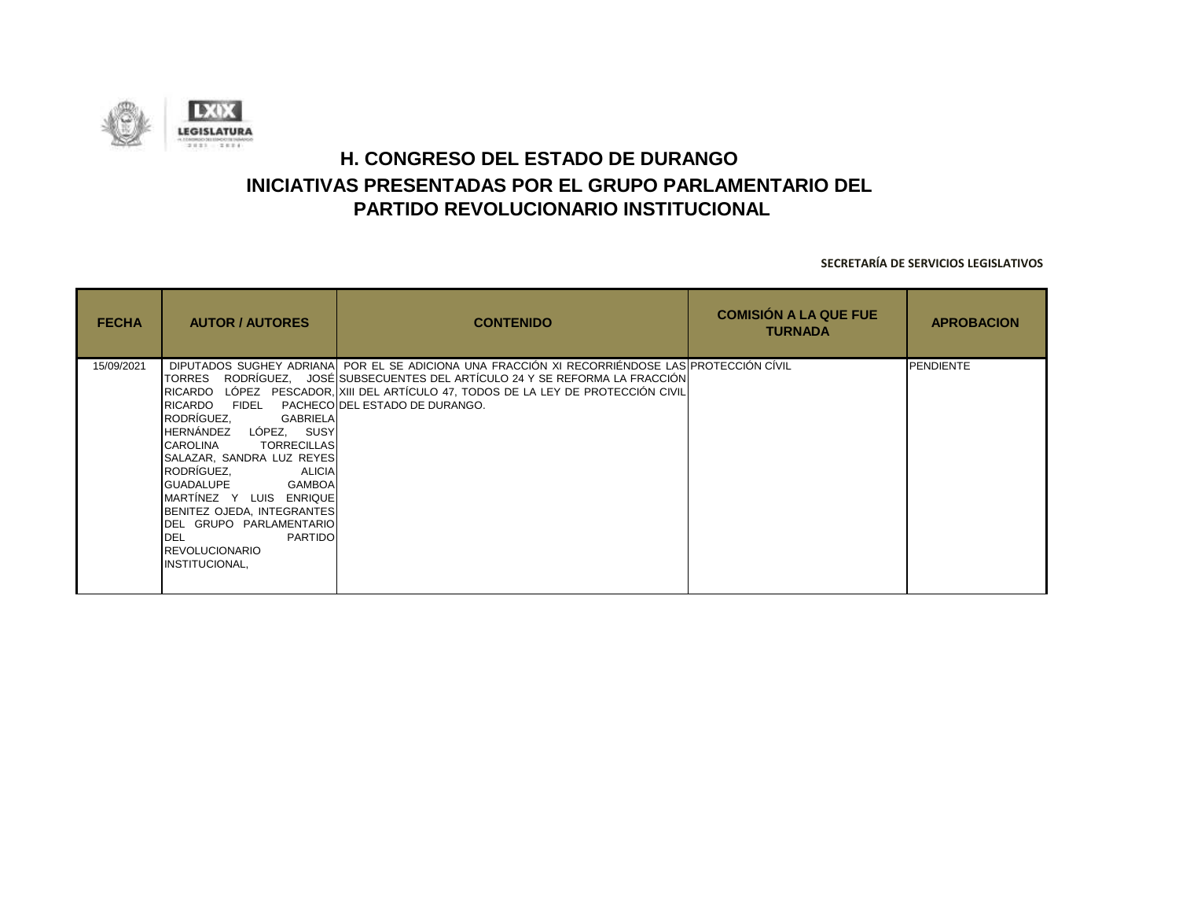

| <b>FECHA</b> | <b>AUTOR / AUTORES</b>                                                                                                                                                                                                                                                                                                                                              | <b>CONTENIDO</b>                                                                                                                                                                                                                                                                               | <b>COMISIÓN A LA QUE FUE</b><br><b>TURNADA</b> | <b>APROBACION</b> |
|--------------|---------------------------------------------------------------------------------------------------------------------------------------------------------------------------------------------------------------------------------------------------------------------------------------------------------------------------------------------------------------------|------------------------------------------------------------------------------------------------------------------------------------------------------------------------------------------------------------------------------------------------------------------------------------------------|------------------------------------------------|-------------------|
| 15/09/2021   | TORRES<br>RICARDO FIDEL<br>RODRÍGUEZ.<br>GABRIELA<br>HERNÁNDEZ LÓPEZ, SUSY<br><b>CAROLINA</b><br><b>TORRECILLAS</b><br>SALAZAR, SANDRA LUZ REYES<br>RODRÍGUEZ,<br>ALICIA<br>GUADALUPE GAMBOA<br>MARTÍNEZ Y LUIS ENRIQUE<br>BENITEZ OJEDA, INTEGRANTES<br><b>IDEL GRUPO PARLAMENTARIO</b><br><b>DEL</b><br>PARTIDO<br><b>REVOLUCIONARIO</b><br><b>INSTITUCIONAL,</b> | DIPUTADOS SUGHEY ADRIANA POR EL SE ADICIONA UNA FRACCIÓN XI RECORRIÉNDOSE LAS PROTECCIÓN CÍVIL<br>RODRÍGUEZ, JOSÉ SUBSECUENTES DEL ARTÍCULO 24 Y SE REFORMA LA FRACCIÓN<br>RICARDO LÓPEZ PESCADOR, XIII DEL ARTÍCULO 47, TODOS DE LA LEY DE PROTECCIÓN CIVIL<br>PACHECO DEL ESTADO DE DURANGO. |                                                | <b>PENDIENTE</b>  |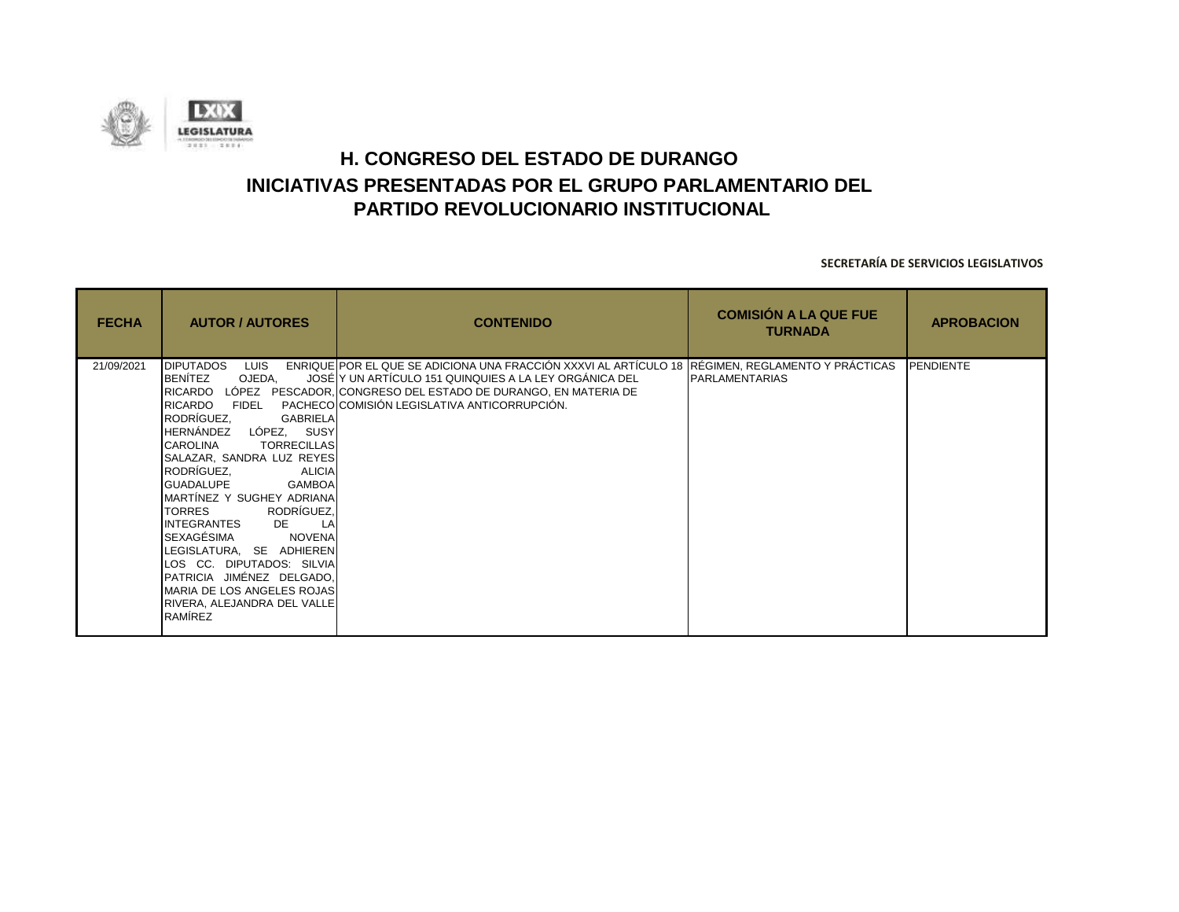

| <b>FECHA</b> | <b>AUTOR / AUTORES</b>                                                                                                                                                                                                                                                                                                                                                                                                                                                                                                                                                                  | <b>CONTENIDO</b>                                                                                                                                                                                                                                                            | <b>COMISIÓN A LA QUE FUE</b><br><b>TURNADA</b> | <b>APROBACION</b> |
|--------------|-----------------------------------------------------------------------------------------------------------------------------------------------------------------------------------------------------------------------------------------------------------------------------------------------------------------------------------------------------------------------------------------------------------------------------------------------------------------------------------------------------------------------------------------------------------------------------------------|-----------------------------------------------------------------------------------------------------------------------------------------------------------------------------------------------------------------------------------------------------------------------------|------------------------------------------------|-------------------|
| 21/09/2021   | <b>DIPUTADOS</b><br><b>LUIS</b><br>BENÍTEZ<br>OJEDA.<br>RICARDO<br><b>RICARDO</b><br><b>FIDEL</b><br>RODRÍGUEZ.<br><b>GABRIELA</b><br>HERNÁNDEZ LÓPEZ, SUSY<br><b>CAROLINA</b><br><b>TORRECILLAS</b><br>SALAZAR, SANDRA LUZ REYES<br>RODRÍGUEZ,<br><b>ALICIA</b><br><b>GUADALUPE</b><br>GAMBOA<br>MARTINEZ Y SUGHEY ADRIANA<br>RODRÍGUEZ,<br><b>TORRES</b><br>INTEGRANTES DE<br>LA<br>ISEXAGÉSIMA<br><b>NOVENA</b><br>LEGISLATURA, SE ADHIEREN<br>LOS CC. DIPUTADOS: SILVIA<br>PATRICIA JIMÉNEZ DELGADO,<br>MARIA DE LOS ANGELES ROJAS<br>RIVERA, ALEJANDRA DEL VALLE<br><b>RAMÍREZ</b> | ENRIQUE POR EL QUE SE ADICIONA UNA FRACCIÓN XXXVI AL ARTÍCULO 18 REGIMEN, REGLAMENTO Y PRÁCTICAS<br>JOSÉ Y UN ARTÍCULO 151 QUINQUIES A LA LEY ORGÁNICA DEL<br>LÓPEZ PESCADOR, CONGRESO DEL ESTADO DE DURANGO, EN MATERIA DE<br>PACHECO COMISIÓN LEGISLATIVA ANTICORRUPCIÓN. | <b>PARLAMENTARIAS</b>                          | <b>PENDIENTE</b>  |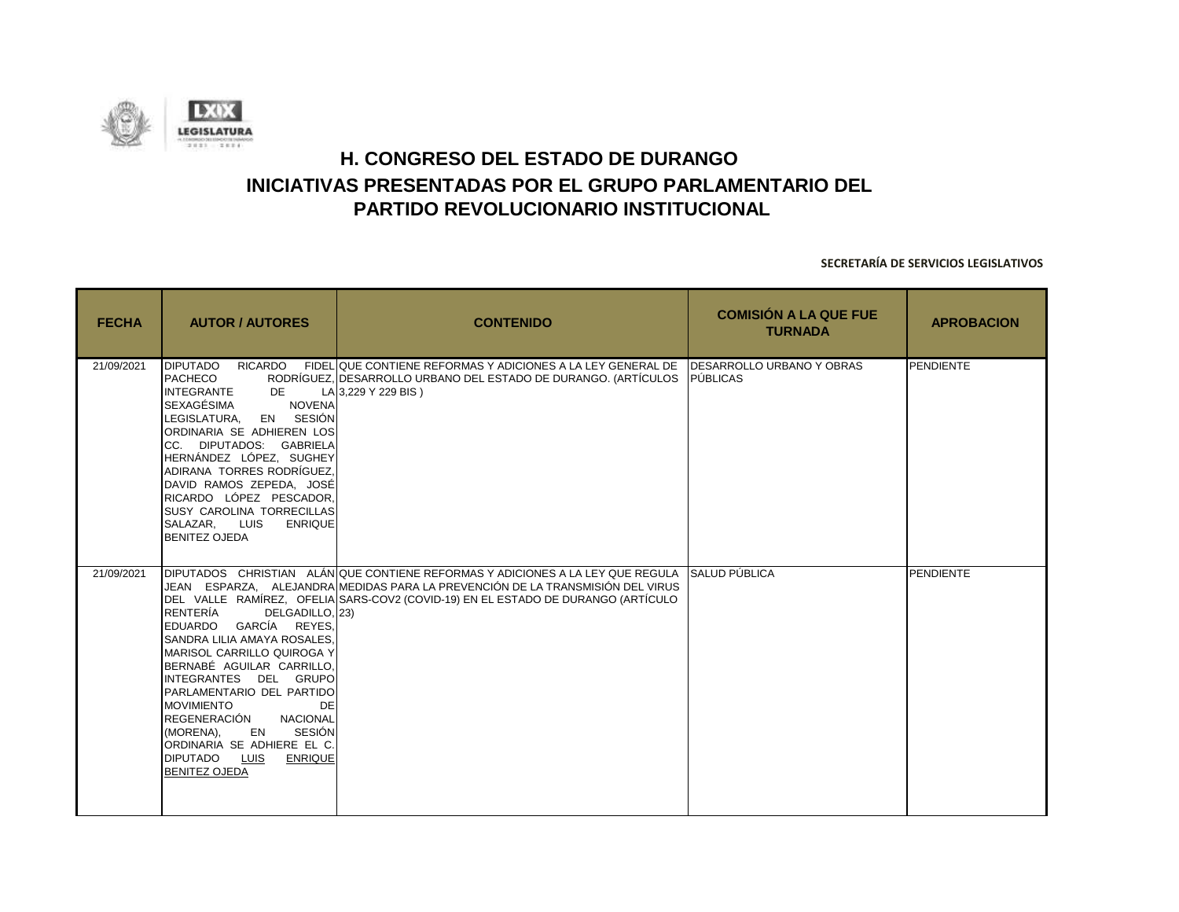

| <b>FECHA</b> | <b>AUTOR / AUTORES</b>                                                                                                                                                                                                                                                                                                                                                                                           | <b>CONTENIDO</b>                                                                                                                                                                                                                                     | <b>COMISIÓN A LA QUE FUE</b><br><b>TURNADA</b> | <b>APROBACION</b> |
|--------------|------------------------------------------------------------------------------------------------------------------------------------------------------------------------------------------------------------------------------------------------------------------------------------------------------------------------------------------------------------------------------------------------------------------|------------------------------------------------------------------------------------------------------------------------------------------------------------------------------------------------------------------------------------------------------|------------------------------------------------|-------------------|
| 21/09/2021   | <b>DIPUTADO</b><br><b>PACHECO</b><br><b>INTEGRANTE</b><br>DE<br>SEXAGÉSIMA<br><b>NOVENA</b><br>EN SESIÓN<br>LEGISLATURA.<br>ORDINARIA SE ADHIEREN LOS<br>CC. DIPUTADOS: GABRIELA<br>HERNÁNDEZ LÓPEZ, SUGHEY<br>ADIRANA TORRES RODRÍGUEZ.<br>DAVID RAMOS ZEPEDA, JOSÉ<br>RICARDO LÓPEZ PESCADOR,<br>SUSY CAROLINA TORRECILLAS<br>SALAZAR, LUIS<br><b>ENRIQUE</b><br><b>BENITEZ OJEDA</b>                          | RICARDO FIDELIQUE CONTIENE REFORMAS Y ADICIONES A LA LEY GENERAL DE IDESARROLLO URBANO Y OBRAS<br>RODRÍGUEZ, DESARROLLO URBANO DEL ESTADO DE DURANGO. (ARTÍCULOS PÚBLICAS<br>LA 3,229 Y 229 BIS)                                                     |                                                | PENDIENTE         |
| 21/09/2021   | RENTERÍA<br>DELGADILLO, 23)<br>EDUARDO GARCÍA REYES.<br>SANDRA LILIA AMAYA ROSALES,<br>MARISOL CARRILLO QUIROGA Y<br>BERNABÉ AGUILAR CARRILLO.<br>INTEGRANTES DEL GRUPO<br>PARLAMENTARIO DEL PARTIDO<br><b>MOVIMIENTO</b><br><b>DE</b><br>REGENERACIÓN<br><b>NACIONAL</b><br>EN<br><b>SESIÓN</b><br>(MORENA),<br>ORDINARIA SE ADHIERE EL C.<br><b>DIPUTADO</b><br>LUIS<br><b>ENRIQUE</b><br><b>BENITEZ OJEDA</b> | DIPUTADOS CHRISTIAN ALÁN QUE CONTIENE REFORMAS Y ADICIONES A LA LEY QUE REGULA<br>JEAN ESPARZA. ALEJANDRA MEDIDAS PARA LA PREVENCIÓN DE LA TRANSMISIÓN DEL VIRUS<br>DEL VALLE RAMÍREZ, OFELIA SARS-COV2 (COVID-19) EN EL ESTADO DE DURANGO (ARTÍCULO | SALUD PÚBLICA                                  | PENDIENTE         |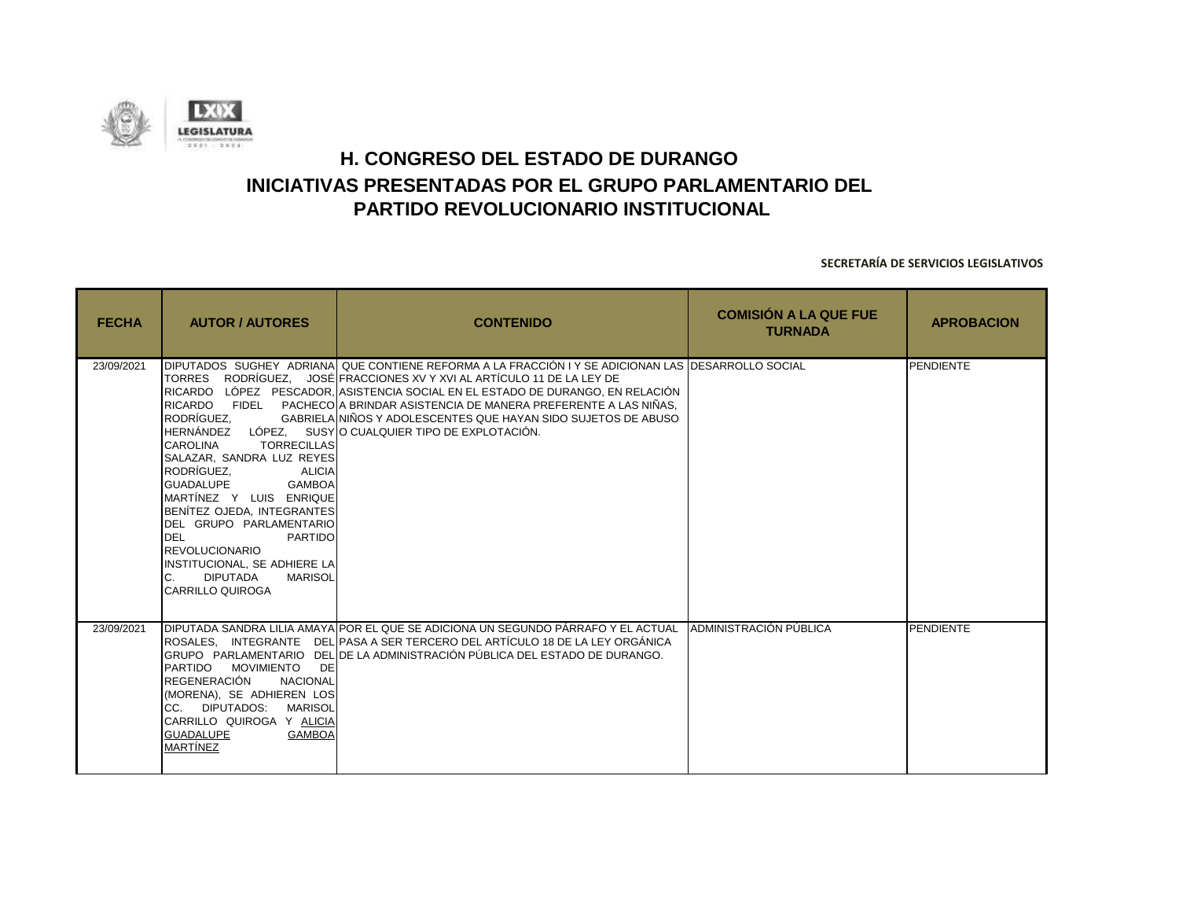

| <b>FECHA</b> | <b>AUTOR / AUTORES</b>                                                                                                                                                                                                                                                                                                                                                             | <b>CONTENIDO</b>                                                                                                                                                                                                                                                                                                                                                                                                                                                           | <b>COMISIÓN A LA QUE FUE</b><br><b>TURNADA</b> | <b>APROBACION</b> |
|--------------|------------------------------------------------------------------------------------------------------------------------------------------------------------------------------------------------------------------------------------------------------------------------------------------------------------------------------------------------------------------------------------|----------------------------------------------------------------------------------------------------------------------------------------------------------------------------------------------------------------------------------------------------------------------------------------------------------------------------------------------------------------------------------------------------------------------------------------------------------------------------|------------------------------------------------|-------------------|
| 23/09/2021   | RODRÍGUEZ.<br>CAROLINA<br><b>TORRECILLAS</b><br>SALAZAR, SANDRA LUZ REYES<br>RODRÍGUEZ.<br><b>ALICIA</b><br><b>GUADALUPE</b><br>GAMBOA<br>MARTÍNEZ Y LUIS ENRIQUE<br>BENÍTEZ OJEDA, INTEGRANTES<br>DEL GRUPO PARLAMENTARIO<br><b>DEL</b><br><b>PARTIDO</b><br><b>REVOLUCIONARIO</b><br>INSTITUCIONAL, SE ADHIERE LA<br>DIPUTADA<br><b>MARISOL</b><br>C.<br><b>CARRILLO QUIROGA</b> | DIPUTADOS SUGHEY ADRIANAL QUE CONTIENE REFORMA A LA FRACCIÓN I Y SE ADICIONAN LAS DESARROLLO SOCIAL<br>TORRES RODRÍGUEZ, JOSÉ FRACCIONES XV Y XVI AL ARTÍCULO 11 DE LA LEY DE<br>RICARDO LÓPEZ PESCADOR, ASISTENCIA SOCIAL EN EL ESTADO DE DURANGO, EN RELACIÓN<br>RICARDO FIDEL PACHECOLA BRINDAR ASISTENCIA DE MANERA PREFERENTE A LAS NIÑAS.<br>GABRIELA NIÑOS Y ADOLESCENTES QUE HAYAN SIDO SUJETOS DE ABUSO<br>HERNÁNDEZ LÓPEZ. SUSY O CUALQUIER TIPO DE EXPLOTACIÓN. |                                                | PENDIENTE         |
| 23/09/2021   | PARTIDO MOVIMIENTO DE<br><b>REGENERACIÓN</b><br><b>NACIONAL</b><br>(MORENA), SE ADHIEREN LOS<br>ICC. DIPUTADOS: MARISOL<br>CARRILLO QUIROGA Y ALICIA<br><b>GAMBOA</b><br><b>GUADALUPE</b><br><b>MARTÍNEZ</b>                                                                                                                                                                       | IDIPUTADA SANDRA LILIA AMAYAIPOR EL QUE SE ADICIONA UN SEGUNDO PÁRRAFO Y EL ACTUAL<br>IROSALES. INTEGRANTE DELIPASA A SER TERCERO DEL ARTÍCULO 18 DE LA LEY ORGÁNICA<br>GRUPO PARLAMENTARIO DELIDE LA ADMINISTRACIÓN PÚBLICA DEL ESTADO DE DURANGO.                                                                                                                                                                                                                        | ADMINISTRACIÓN PÚBLICA                         | <b>PENDIENTE</b>  |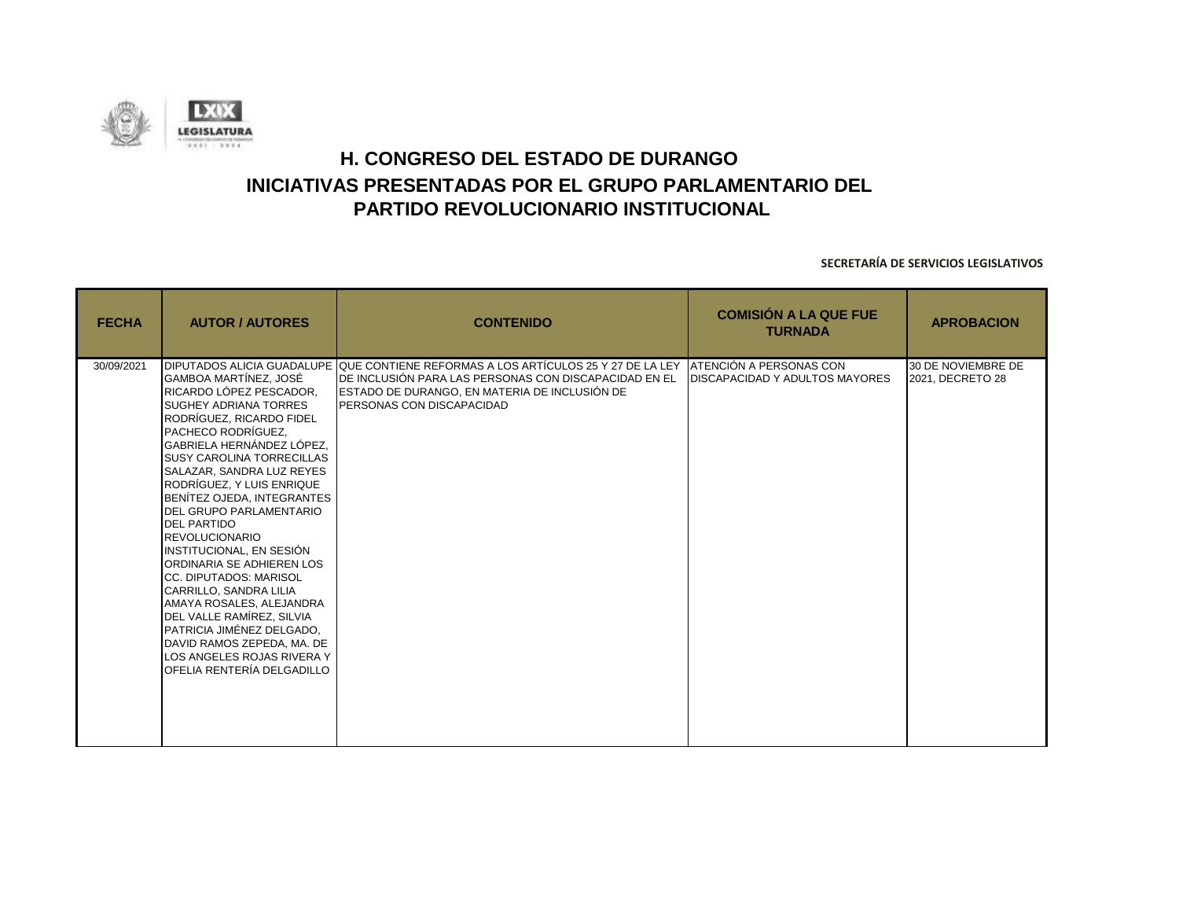

| <b>FECHA</b> | <b>AUTOR / AUTORES</b>                                                                                                                                                                                                                                                                                                                                                                                                                                                                                                                                                                                                                                                     | <b>CONTENIDO</b>                                                                                                                                                                                                                  | <b>COMISIÓN A LA QUE FUE</b><br><b>TURNADA</b>                           | <b>APROBACION</b>                      |
|--------------|----------------------------------------------------------------------------------------------------------------------------------------------------------------------------------------------------------------------------------------------------------------------------------------------------------------------------------------------------------------------------------------------------------------------------------------------------------------------------------------------------------------------------------------------------------------------------------------------------------------------------------------------------------------------------|-----------------------------------------------------------------------------------------------------------------------------------------------------------------------------------------------------------------------------------|--------------------------------------------------------------------------|----------------------------------------|
| 30/09/2021   | GAMBOA MARTÍNEZ, JOSÉ<br>RICARDO LÓPEZ PESCADOR.<br>SUGHEY ADRIANA TORRES<br>RODRÍGUEZ, RICARDO FIDEL<br><b>PACHECO RODRÍGUEZ.</b><br>GABRIELA HERNÁNDEZ LÓPEZ,<br><b>SUSY CAROLINA TORRECILLAS</b><br>SALAZAR, SANDRA LUZ REYES<br>RODRÍGUEZ, Y LUIS ENRIQUE<br>BENÍTEZ OJEDA, INTEGRANTES<br>DEL GRUPO PARLAMENTARIO<br><b>DEL PARTIDO</b><br><b>REVOLUCIONARIO</b><br>INSTITUCIONAL, EN SESIÓN<br>ORDINARIA SE ADHIEREN LOS<br><b>ICC. DIPUTADOS: MARISOL</b><br>CARRILLO, SANDRA LILIA<br>AMAYA ROSALES, ALEJANDRA<br>DEL VALLE RAMÍREZ, SILVIA<br>PATRICIA JIMÉNEZ DELGADO,<br>DAVID RAMOS ZEPEDA, MA. DE<br>LOS ANGELES ROJAS RIVERA Y<br>OFELIA RENTERÍA DELGADILLO | DIPUTADOS ALICIA GUADALUPE IQUE CONTIENE REFORMAS A LOS ARTÍCULOS 25 Y 27 DE LA LEY<br>DE INCLUSIÓN PARA LAS PERSONAS CON DISCAPACIDAD EN EL<br>ESTADO DE DURANGO, EN MATERIA DE INCLUSIÓN DE<br><b>PERSONAS CON DISCAPACIDAD</b> | <b>IATENCIÓN A PERSONAS CON</b><br><b>DISCAPACIDAD Y ADULTOS MAYORES</b> | 30 DE NOVIEMBRE DE<br>2021, DECRETO 28 |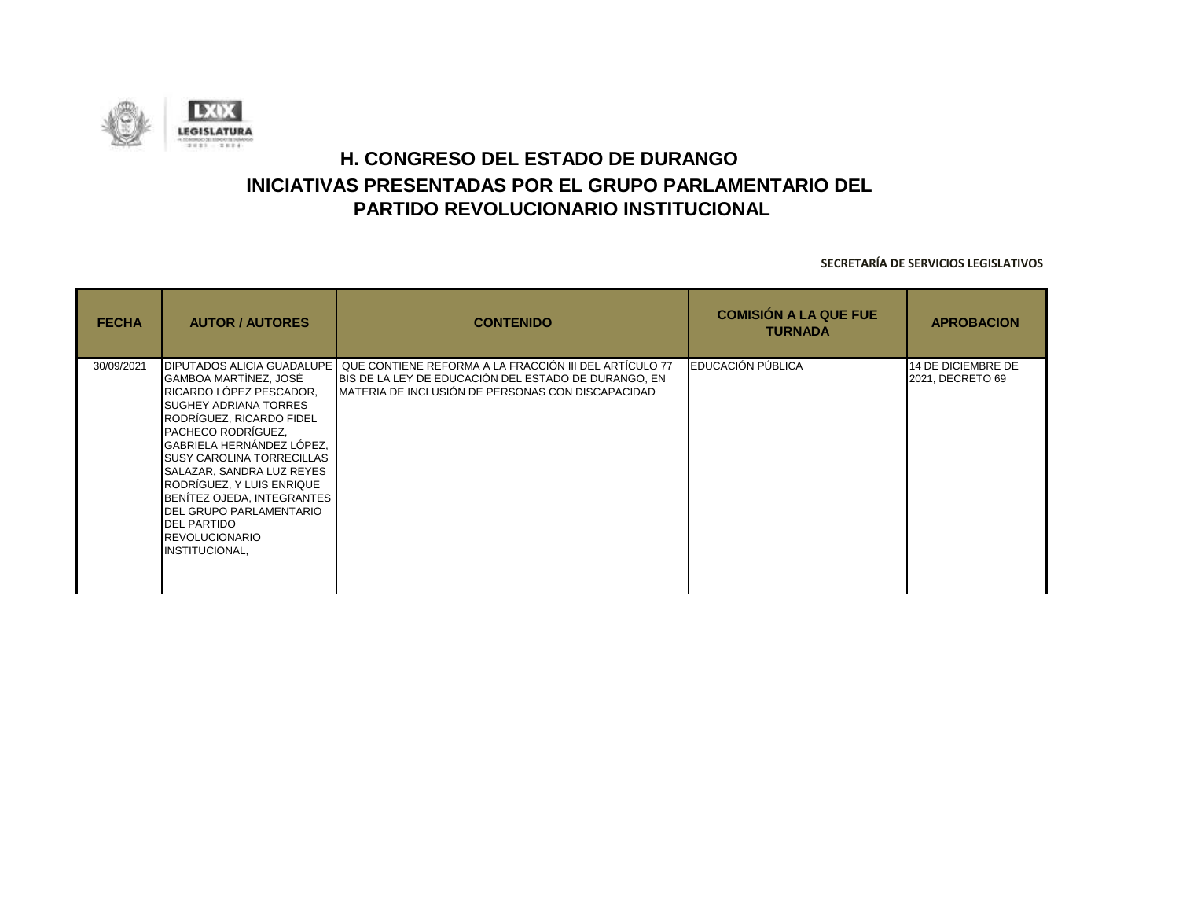

| <b>FECHA</b> | <b>AUTOR / AUTORES</b>                                                                                                                                                                                                                                                                                                                                                                                                | <b>CONTENIDO</b>                                                                                                                                                    | <b>COMISIÓN A LA QUE FUE</b><br><b>TURNADA</b> | <b>APROBACION</b>                      |
|--------------|-----------------------------------------------------------------------------------------------------------------------------------------------------------------------------------------------------------------------------------------------------------------------------------------------------------------------------------------------------------------------------------------------------------------------|---------------------------------------------------------------------------------------------------------------------------------------------------------------------|------------------------------------------------|----------------------------------------|
| 30/09/2021   | <b>DIPUTADOS ALICIA GUADALUPE</b><br>GAMBOA MARTÍNEZ, JOSÉ<br>RICARDO LÓPEZ PESCADOR,<br>SUGHEY ADRIANA TORRES<br>RODRÍGUEZ, RICARDO FIDEL<br>PACHECO RODRÍGUEZ,<br>GABRIELA HERNÁNDEZ LÓPEZ,<br><b>SUSY CAROLINA TORRECILLAS</b><br>SALAZAR, SANDRA LUZ REYES<br>RODRÍGUEZ, Y LUIS ENRIQUE<br>BENÍTEZ OJEDA, INTEGRANTES<br>DEL GRUPO PARLAMENTARIO<br><b>DEL PARTIDO</b><br><b>REVOLUCIONARIO</b><br>INSTITUCIONAL, | QUE CONTIENE REFORMA A LA FRACCIÓN III DEL ARTÍCULO 77<br>BIS DE LA LEY DE EDUCACIÓN DEL ESTADO DE DURANGO, EN<br>MATERIA DE INCLUSIÓN DE PERSONAS CON DISCAPACIDAD | <b>EDUCACIÓN PÚBLICA</b>                       | 14 DE DICIEMBRE DE<br>2021, DECRETO 69 |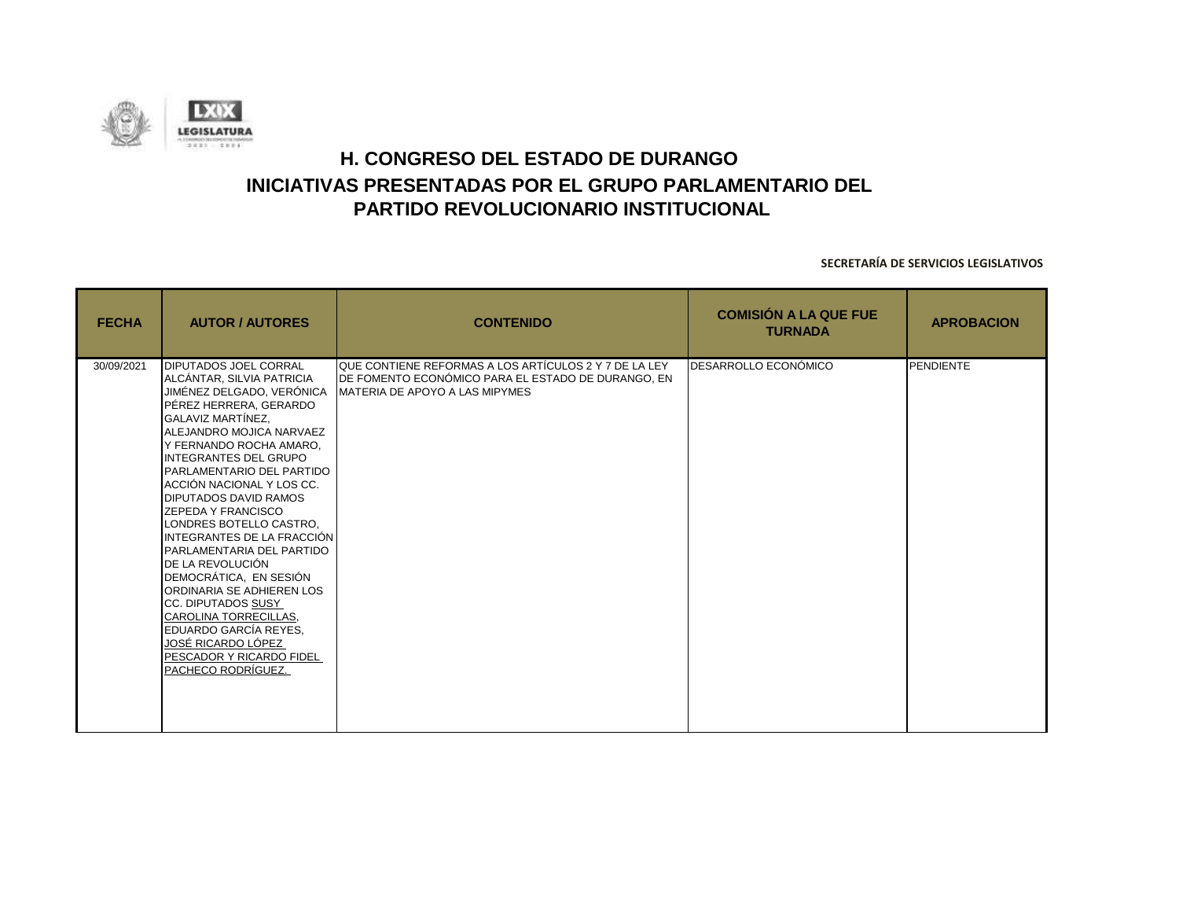

| <b>FECHA</b> | <b>AUTOR / AUTORES</b>                                                                                                                                                                                                                                                                                                                                                                                                                                                                                                                                                                                                                                                         | <b>CONTENIDO</b>                                                                                                                                     | <b>COMISIÓN A LA QUE FUE</b><br><b>TURNADA</b> | <b>APROBACION</b> |
|--------------|--------------------------------------------------------------------------------------------------------------------------------------------------------------------------------------------------------------------------------------------------------------------------------------------------------------------------------------------------------------------------------------------------------------------------------------------------------------------------------------------------------------------------------------------------------------------------------------------------------------------------------------------------------------------------------|------------------------------------------------------------------------------------------------------------------------------------------------------|------------------------------------------------|-------------------|
| 30/09/2021   | <b>DIPUTADOS JOEL CORRAL</b><br>ALCÁNTAR, SILVIA PATRICIA<br>JIMÉNEZ DELGADO, VERÓNICA<br>PÉREZ HERRERA, GERARDO<br><b>GALAVIZ MARTÍNEZ.</b><br>ALEJANDRO MOJICA NARVAEZ<br>Y FERNANDO ROCHA AMARO,<br>INTEGRANTES DEL GRUPO<br>PARLAMENTARIO DEL PARTIDO<br>ACCIÓN NACIONAL Y LOS CC.<br><b>DIPUTADOS DAVID RAMOS</b><br><b>ZEPEDA Y FRANCISCO</b><br>LONDRES BOTELLO CASTRO,<br>IINTEGRANTES DE LA FRACCIÓN I<br>PARLAMENTARIA DEL PARTIDO<br><b>DE LA REVOLUCIÓN</b><br>DEMOCRÁTICA, EN SESIÓN<br>ORDINARIA SE ADHIEREN LOS<br>CC. DIPUTADOS SUSY<br>CAROLINA TORRECILLAS,<br>EDUARDO GARCÍA REYES.<br>JOSÉ RICARDO LÓPEZ<br>PESCADOR Y RICARDO FIDEL<br>PACHECO RODRÍGUEZ. | QUE CONTIENE REFORMAS A LOS ARTÍCULOS 2 Y 7 DE LA LEY<br>DE FOMENTO ECONÓMICO PARA EL ESTADO DE DURANGO, EN<br><b>MATERIA DE APOYO A LAS MIPYMES</b> | <b>DESARROLLO ECONÓMICO</b>                    | <b>PENDIENTE</b>  |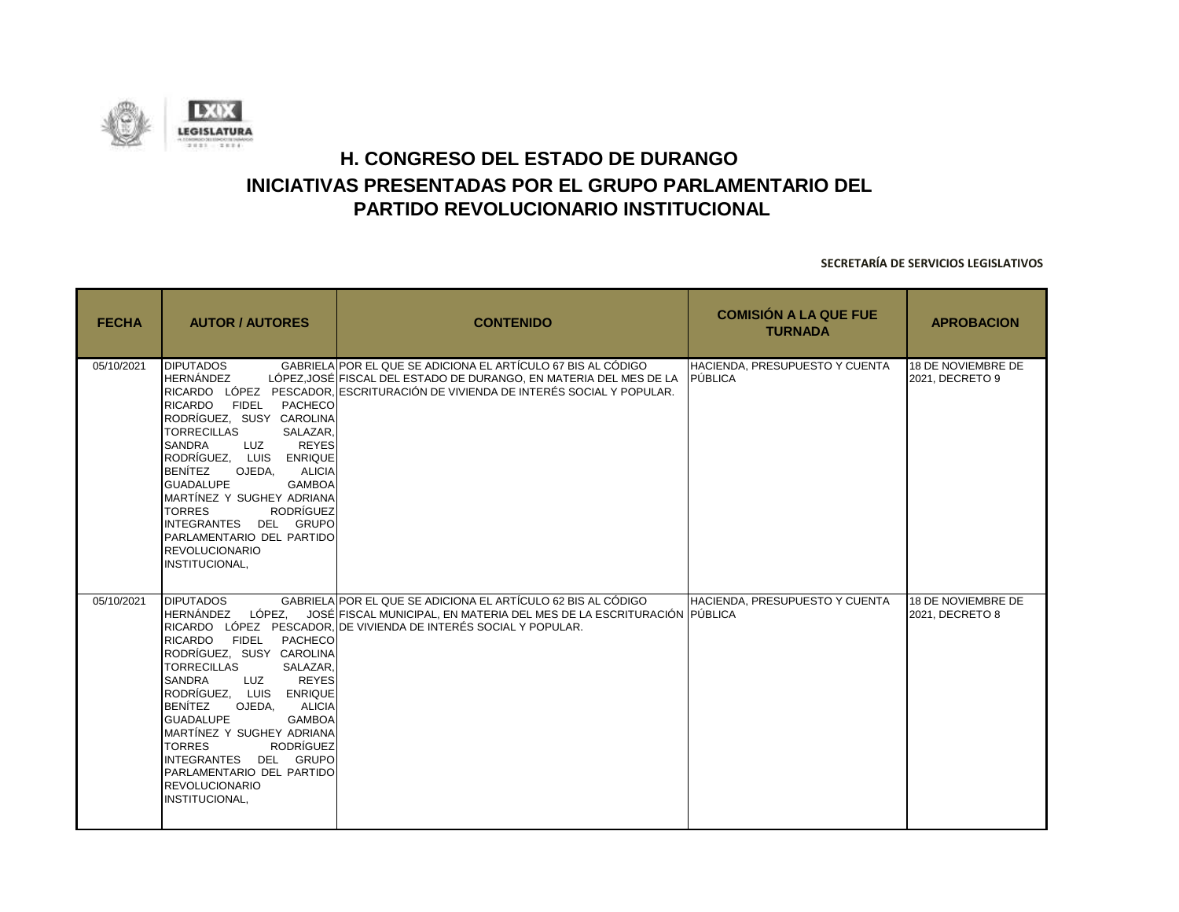

| <b>FECHA</b> | <b>AUTOR / AUTORES</b>                                                                                                                                                                                                                                                                                                                                                                                                                                           | <b>CONTENIDO</b>                                                                                                                                                                                                           | <b>COMISIÓN A LA QUE FUE</b><br><b>TURNADA</b> | <b>APROBACION</b>                     |
|--------------|------------------------------------------------------------------------------------------------------------------------------------------------------------------------------------------------------------------------------------------------------------------------------------------------------------------------------------------------------------------------------------------------------------------------------------------------------------------|----------------------------------------------------------------------------------------------------------------------------------------------------------------------------------------------------------------------------|------------------------------------------------|---------------------------------------|
| 05/10/2021   | <b>DIPUTADOS</b><br><b>HERNÁNDEZ</b><br><b>FIDEL</b><br><b>RICARDO</b><br>PACHECO<br>RODRÍGUEZ, SUSY CAROLINA<br><b>TORRECILLAS</b><br>SALAZAR.<br><b>REYES</b><br>SANDRA<br>LUZ<br>RODRÍGUEZ, LUIS ENRIQUE<br><b>BENÍTEZ</b><br>OJEDA.<br><b>ALICIA</b><br><b>GUADALUPE</b><br><b>GAMBOA</b><br>MARTÍNEZ Y SUGHEY ADRIANA<br><b>RODRÍGUEZ</b><br><b>TORRES</b><br>INTEGRANTES DEL GRUPO<br>PARLAMENTARIO DEL PARTIDO<br><b>REVOLUCIONARIO</b><br>INSTITUCIONAL, | GABRIELA POR EL QUE SE ADICIONA EL ARTÍCULO 67 BIS AL CÓDIGO<br>LÓPEZ,JOSÉ FISCAL DEL ESTADO DE DURANGO, EN MATERIA DEL MES DE LA<br>RICARDO LÓPEZ PESCADOR. ESCRITURACIÓN DE VIVIENDA DE INTERÉS SOCIAL Y POPULAR.        | HACIENDA, PRESUPUESTO Y CUENTA<br>PÚBLICA      | 18 DE NOVIEMBRE DE<br>2021, DECRETO 9 |
| 05/10/2021   | <b>DIPUTADOS</b><br><b>RICARDO</b><br><b>FIDEL</b><br>PACHECO<br>RODRÍGUEZ, SUSY CAROLINA<br><b>TORRECILLAS</b><br>SALAZAR.<br>SANDRA<br><b>REYES</b><br>LUZ<br>RODRÍGUEZ, LUIS ENRIQUE<br><b>BENÍTEZ</b><br>OJEDA.<br><b>ALICIA</b><br><b>GUADALUPE</b><br><b>GAMBOA</b><br>MARTÍNEZ Y SUGHEY ADRIANA<br><b>TORRES</b><br><b>RODRÍGUEZ</b><br>INTEGRANTES DEL GRUPO<br>PARLAMENTARIO DEL PARTIDO<br><b>REVOLUCIONARIO</b><br>INSTITUCIONAL,                     | GABRIELA POR EL QUE SE ADICIONA EL ARTÍCULO 62 BIS AL CÓDIGO<br>HERNÁNDEZ LÓPEZ. JOSÉ FISCAL MUNICIPAL. EN MATERIA DEL MES DE LA ESCRITURACIÓN PUBLICA<br>RICARDO LÓPEZ PESCADOR. DE VIVIENDA DE INTERÉS SOCIAL Y POPULAR. | HACIENDA, PRESUPUESTO Y CUENTA                 | 18 DE NOVIEMBRE DE<br>2021, DECRETO 8 |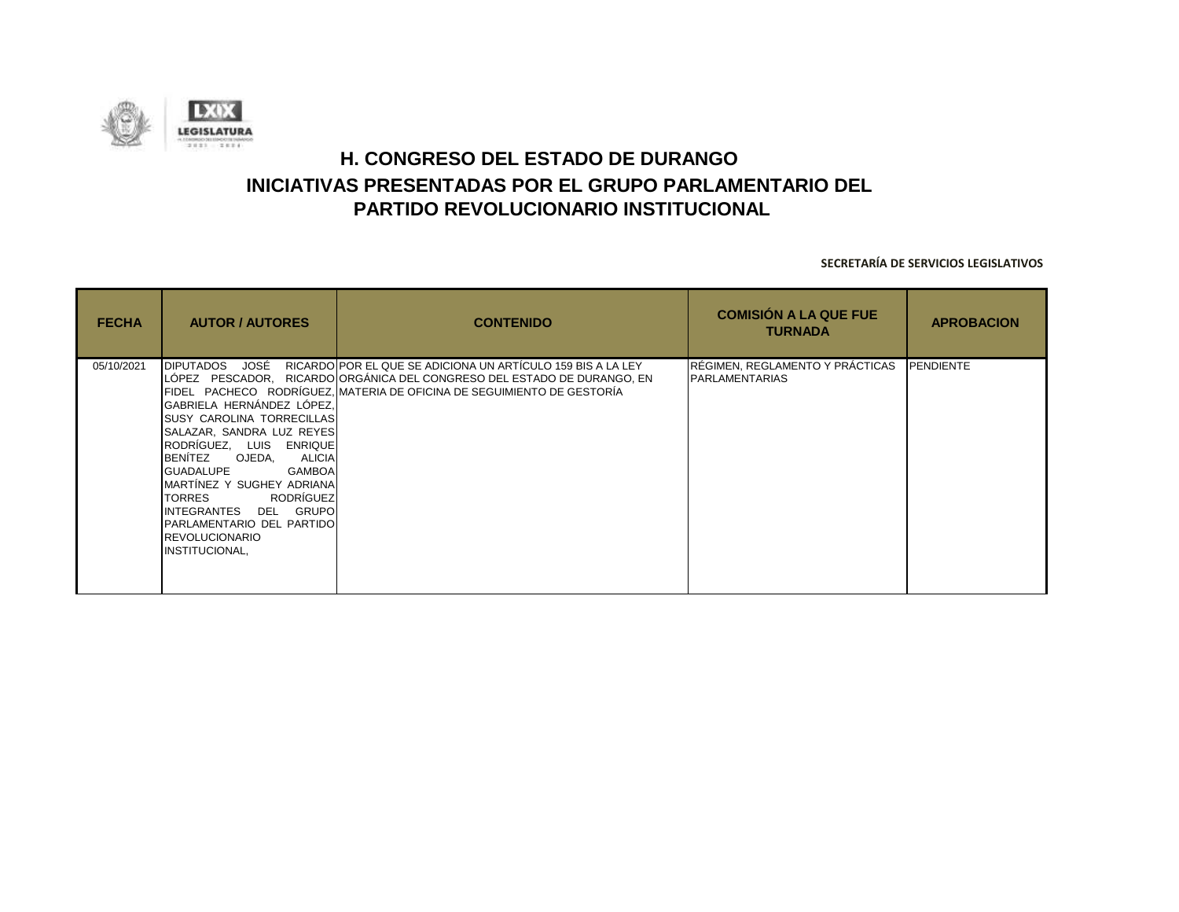

| <b>FECHA</b> | <b>AUTOR / AUTORES</b>                                                                                                                                                                                                                                                                                                                                                                                         | <b>CONTENIDO</b>                                                                                                                                                                                                      | <b>COMISIÓN A LA QUE FUE</b><br><b>TURNADA</b>           | <b>APROBACION</b> |
|--------------|----------------------------------------------------------------------------------------------------------------------------------------------------------------------------------------------------------------------------------------------------------------------------------------------------------------------------------------------------------------------------------------------------------------|-----------------------------------------------------------------------------------------------------------------------------------------------------------------------------------------------------------------------|----------------------------------------------------------|-------------------|
| 05/10/2021   | JOSÉ<br><b>DIPUTADOS</b><br>GABRIELA HERNÁNDEZ LÓPEZ,<br><b>SUSY CAROLINA TORRECILLAS</b><br>SALAZAR, SANDRA LUZ REYES<br>RODRÍGUEZ, LUIS ENRIQUE<br>BENÍTEZ OJEDA,<br><b>ALICIA</b><br><b>GUADALUPE</b><br><b>GAMBOA</b><br>MARTÍNEZ Y SUGHEY ADRIANA<br>RODRÍGUEZ<br><b>TORRES</b><br>DEL GRUPO<br><b>INTEGRANTES</b><br><b>PARLAMENTARIO DEL PARTIDO</b><br><b>IREVOLUCIONARIO</b><br><b>INSTITUCIONAL,</b> | RICARDO POR EL QUE SE ADICIONA UN ARTÍCULO 159 BIS A LA LEY<br>LÓPEZ PESCADOR, RICARDO ORGÁNICA DEL CONGRESO DEL ESTADO DE DURANGO, EN<br>IFIDEL   PACHECO   RODRÍGUEZ.IMATERIA DE OFICINA DE SEGUIMIENTO DE GESTORÍA | RÉGIMEN, REGLAMENTO Y PRÁCTICAS<br><b>PARLAMENTARIAS</b> | <b>PENDIENTE</b>  |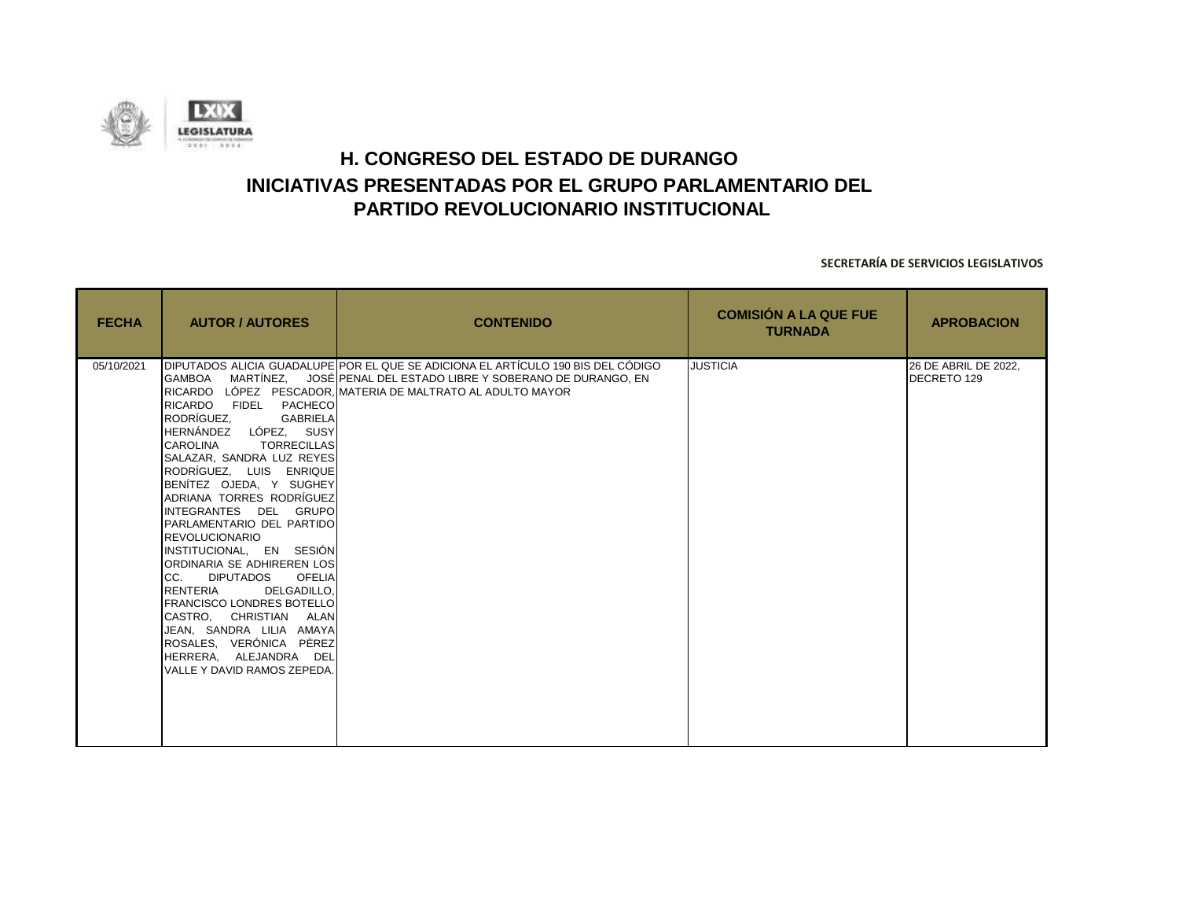

| <b>FECHA</b> | <b>AUTOR / AUTORES</b>                                                                                                                                                                                                                                                                                                                                                                                                                                                                                                                                                                                     | <b>CONTENIDO</b>                                                                                                                                                                                                                 | <b>COMISIÓN A LA QUE FUE</b><br><b>TURNADA</b> | <b>APROBACION</b>                   |
|--------------|------------------------------------------------------------------------------------------------------------------------------------------------------------------------------------------------------------------------------------------------------------------------------------------------------------------------------------------------------------------------------------------------------------------------------------------------------------------------------------------------------------------------------------------------------------------------------------------------------------|----------------------------------------------------------------------------------------------------------------------------------------------------------------------------------------------------------------------------------|------------------------------------------------|-------------------------------------|
| 05/10/2021   | RICARDO FIDEL PACHECO<br>RODRÍGUEZ.<br><b>GABRIELA</b><br>HERNÁNDEZ LÓPEZ, SUSY<br><b>CAROLINA</b><br><b>TORRECILLAS</b><br>SALAZAR, SANDRA LUZ REYES<br>RODRÍGUEZ, LUIS ENRIQUE<br>BENITEZ OJEDA, Y SUGHEY<br>ADRIANA TORRES RODRÍGUEZ<br>INTEGRANTES DEL GRUPO<br>PARLAMENTARIO DEL PARTIDO<br>REVOLUCIONARIO<br>INSTITUCIONAL, EN SESIÓN<br>ORDINARIA SE ADHIREREN LOS<br>CC. DIPUTADOS OFELIA<br>RENTERIA<br>DELGADILLO.<br><b>FRANCISCO LONDRES BOTELLO</b><br>CASTRO, CHRISTIAN ALAN<br>JEAN. SANDRA LILIA AMAYA<br>ROSALES, VERÓNICA PÉREZ<br>HERRERA. ALEJANDRA DEL<br>VALLE Y DAVID RAMOS ZEPEDA. | DIPUTADOS ALICIA GUADALUPE POR EL QUE SE ADICIONA EL ARTÍCULO 190 BIS DEL CÓDIGO<br>ΙGAMBOA — MARTÍNEZ, — JOSÉ∣PENAL DEL ESTADO LIBRE Y SOBERANO DE DURANGO, EN<br>IRICARDO LÓPEZ PESCADOR. IMATERIA DE MALTRATO AL ADULTO MAYOR | <b>JUSTICIA</b>                                | 26 DE ABRIL DE 2022.<br>DECRETO 129 |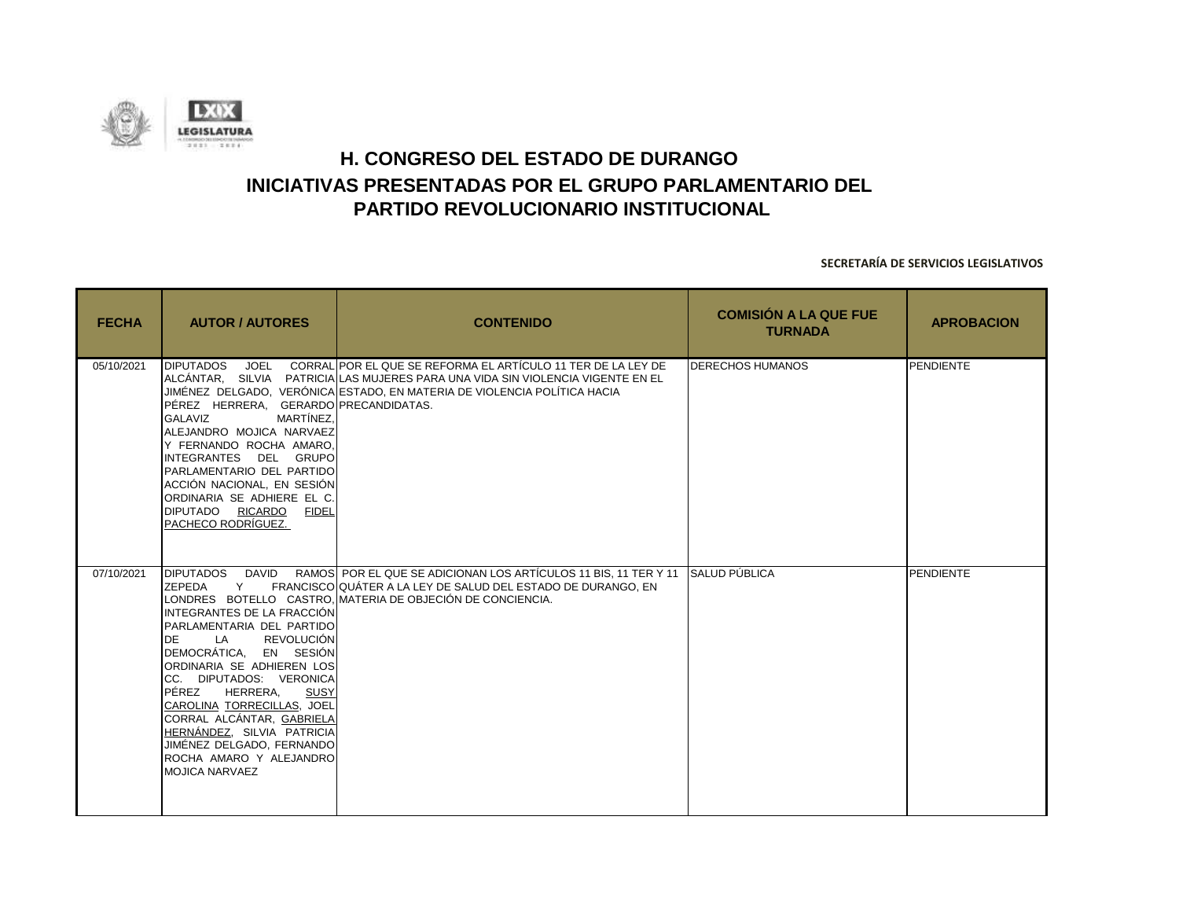

| <b>FECHA</b> | <b>AUTOR / AUTORES</b>                                                                                                                                                                                                                                                                                                                                                                                                                      | <b>CONTENIDO</b>                                                                                                                                                                                                                | <b>COMISIÓN A LA QUE FUE</b><br><b>TURNADA</b> | <b>APROBACION</b> |
|--------------|---------------------------------------------------------------------------------------------------------------------------------------------------------------------------------------------------------------------------------------------------------------------------------------------------------------------------------------------------------------------------------------------------------------------------------------------|---------------------------------------------------------------------------------------------------------------------------------------------------------------------------------------------------------------------------------|------------------------------------------------|-------------------|
| 05/10/2021   | <b>DIPUTADOS</b><br>PÉREZ HERRERA, GERARDO PRECANDIDATAS.<br>MARTÍNEZ.<br>GALAVIZ<br>ALEJANDRO MOJICA NARVAEZ<br>Y FERNANDO ROCHA AMARO,<br>INTEGRANTES DEL GRUPO<br>PARLAMENTARIO DEL PARTIDO<br>ACCIÓN NACIONAL, EN SESIÓN<br>ORDINARIA SE ADHIERE EL C.<br>DIPUTADO RICARDO FIDEL<br>PACHECO RODRÍGUEZ.                                                                                                                                  | JOEL CORRALIPOR EL QUE SE REFORMA EL ARTÍCULO 11 TER DE LA LEY DE<br>ALCÁNTAR. SILVIA PATRICIALAS MUJERES PARA UNA VIDA SIN VIOLENCIA VIGENTE EN EL<br>JIMÉNEZ DELGADO, VERÓNICA ESTADO, EN MATERIA DE VIOLENCIA POLÍTICA HACIA | <b>DERECHOS HUMANOS</b>                        | PENDIENTE         |
| 07/10/2021   | <b>DAVID</b><br><b>DIPUTADOS</b><br>ZEPEDA<br>Y<br>INTEGRANTES DE LA FRACCIÓN<br>PARLAMENTARIA DEL PARTIDO<br>REVOLUCIÓN<br><b>DE</b><br><b>LA</b><br>DEMOCRÁTICA, EN SESIÓN<br>ORDINARIA SE ADHIEREN LOS<br>CC. DIPUTADOS: VERONICA<br>PÉREZ<br>HERRERA,<br>SUSY<br>CAROLINA TORRECILLAS, JOEL<br>CORRAL ALCÁNTAR, GABRIELA<br>HERNÁNDEZ, SILVIA PATRICIA<br>JIMÉNEZ DELGADO, FERNANDO<br>ROCHA AMARO Y ALEJANDRO<br><b>MOJICA NARVAEZ</b> | RAMOS POR EL QUE SE ADICIONAN LOS ARTÍCULOS 11 BIS, 11 TER Y 11 SALUD PÚBLICA<br>FRANCISCO QUÁTER A LA LEY DE SALUD DEL ESTADO DE DURANGO. EN<br>LONDRES BOTELLO CASTRO, MATERIA DE OBJECIÓN DE CONCIENCIA.                     |                                                | PENDIENTE         |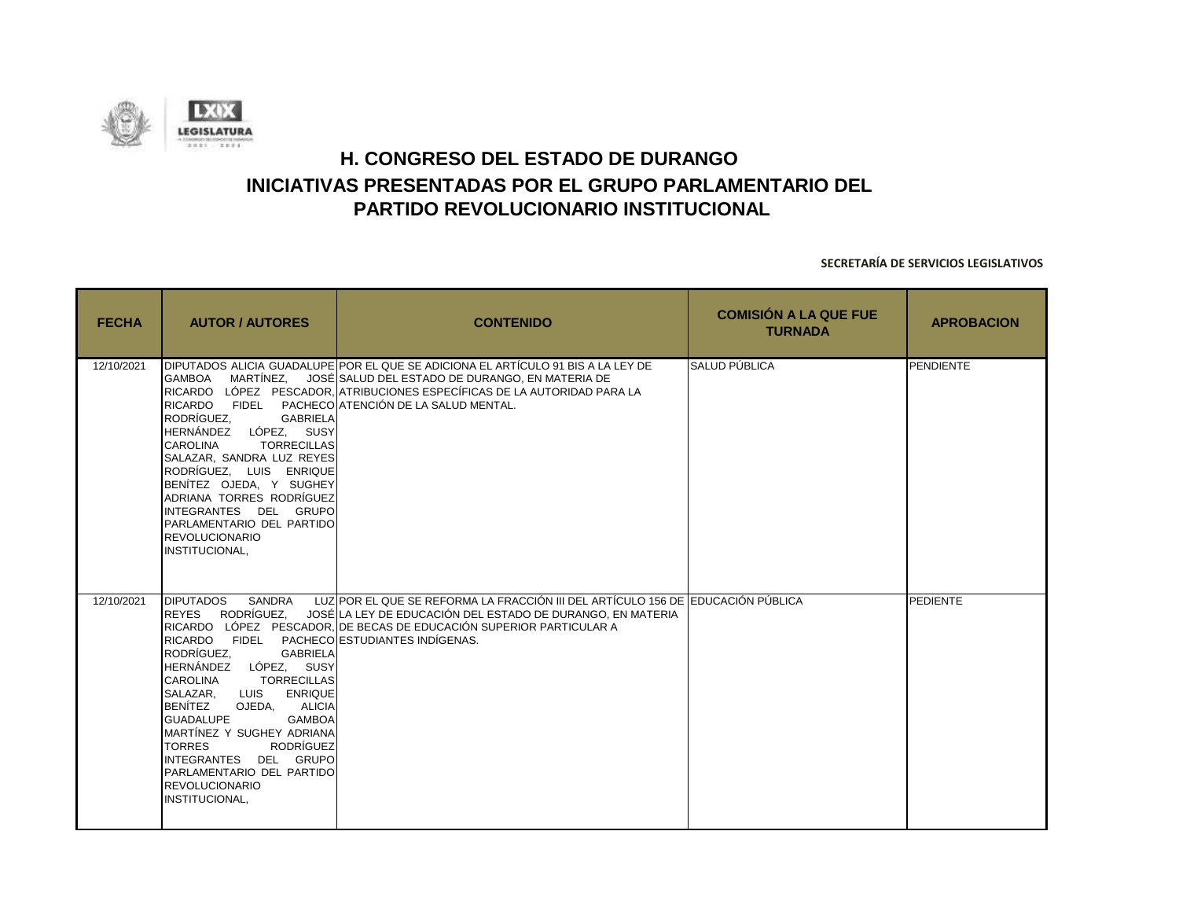

| <b>FECHA</b> | <b>AUTOR / AUTORES</b>                                                                                                                                                                                                                                                                                                                                                                                                                 | <b>CONTENIDO</b>                                                                                                                                                                                                                                                  | <b>COMISIÓN A LA QUE FUE</b><br><b>TURNADA</b> | <b>APROBACION</b> |
|--------------|----------------------------------------------------------------------------------------------------------------------------------------------------------------------------------------------------------------------------------------------------------------------------------------------------------------------------------------------------------------------------------------------------------------------------------------|-------------------------------------------------------------------------------------------------------------------------------------------------------------------------------------------------------------------------------------------------------------------|------------------------------------------------|-------------------|
| 12/10/2021   | <b>GAMBOA</b><br>RICARDO FIDEL<br>RODRÍGUEZ.<br><b>GABRIELA</b><br>HERNÁNDEZ LÓPEZ, SUSY<br><b>CAROLINA</b><br><b>TORRECILLAS</b><br>SALAZAR. SANDRA LUZ REYES<br>RODRÍGUEZ, LUIS ENRIQUE<br>BENITEZ OJEDA, Y SUGHEY<br>ADRIANA TORRES RODRÍGUEZ<br>INTEGRANTES DEL GRUPO<br>PARLAMENTARIO DEL PARTIDO<br><b>REVOLUCIONARIO</b><br>INSTITUCIONAL,                                                                                      | DIPUTADOS ALICIA GUADALUPE POR EL QUE SE ADICIONA EL ARTÍCULO 91 BIS A LA LEY DE<br>MARTÍNEZ, JOSÉ SALUD DEL ESTADO DE DURANGO, EN MATERIA DE<br>RICARDO LÓPEZ PESCADOR. ATRIBUCIONES ESPECÍFICAS DE LA AUTORIDAD PARA LA<br>PACHECO ATENCIÓN DE LA SALUD MENTAL. | <b>SALUD PÚBLICA</b>                           | PENDIENTE         |
| 12/10/2021   | SANDRA<br><b>DIPUTADOS</b><br>REYES RODRÍGUEZ.<br>RICARDO FIDEL<br>RODRÍGUEZ.<br><b>GABRIELA</b><br>HERNÁNDEZ LÓPEZ, SUSY<br><b>TORRECILLAS</b><br><b>CAROLINA</b><br>SALAZAR, LUIS ENRIQUE<br><b>BENÍTEZ</b><br>OJEDA. ALICIA<br><b>GUADALUPE</b><br><b>GAMBOA</b><br>MARTÍNEZ Y SUGHEY ADRIANA<br><b>RODRÍGUEZ</b><br><b>TORRES</b><br>INTEGRANTES DEL GRUPO<br>PARLAMENTARIO DEL PARTIDO<br><b>REVOLUCIONARIO</b><br>INSTITUCIONAL, | LUZIPOR EL QUE SE REFORMA LA FRACCIÓN III DEL ARTÍCULO 156 DE EDUCACIÓN PÚBLICA<br>JOSÉ LA LEY DE EDUCACIÓN DEL ESTADO DE DURANGO. EN MATERIA<br>RICARDO LÓPEZ PESCADOR. DE BECAS DE EDUCACIÓN SUPERIOR PARTICULAR A<br>PACHECO ESTUDIANTES INDÍGENAS.            |                                                | <b>PEDIENTE</b>   |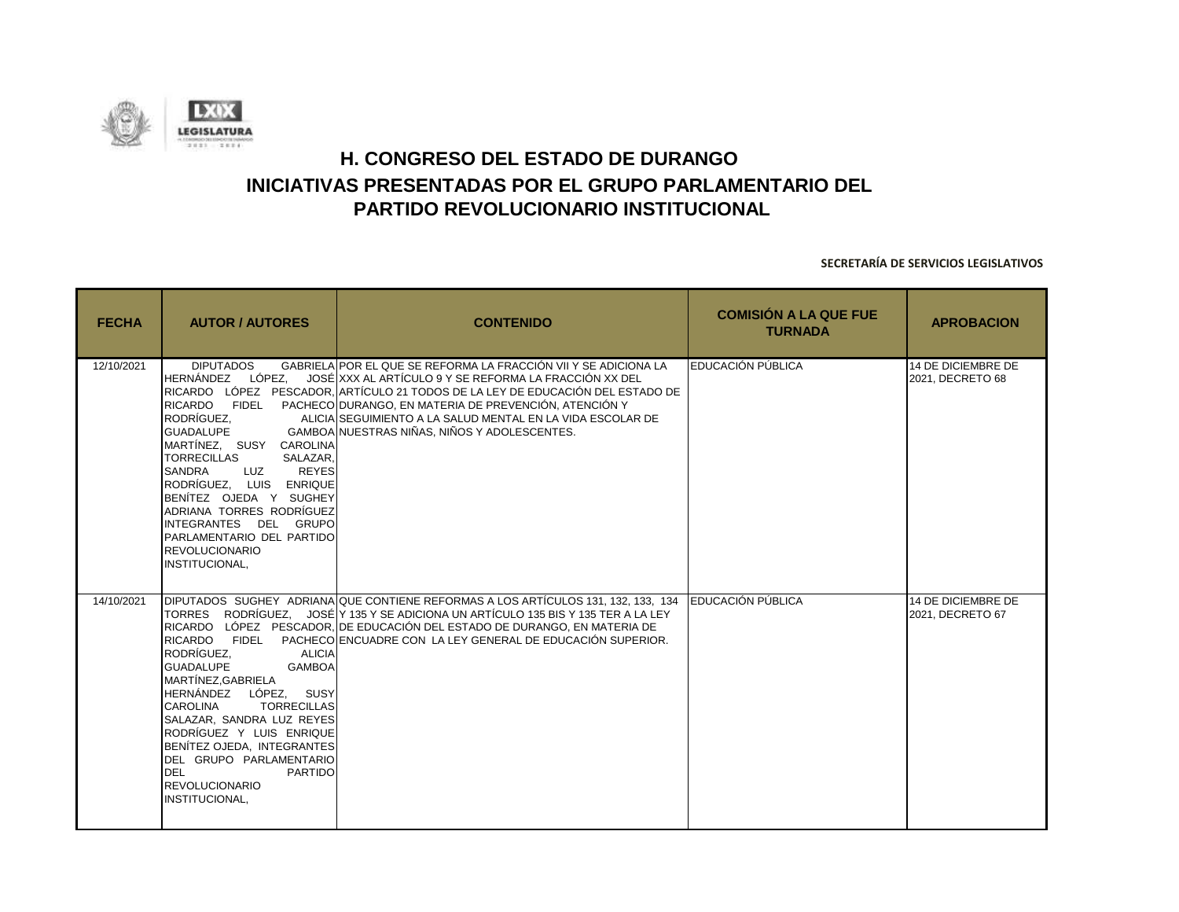

| <b>FECHA</b> | <b>AUTOR / AUTORES</b>                                                                                                                                                                                                                                                                                                                                                         | <b>CONTENIDO</b>                                                                                                                                                                                                                                                                                                                                                                    | <b>COMISIÓN A LA QUE FUE</b><br><b>TURNADA</b> | <b>APROBACION</b>                      |
|--------------|--------------------------------------------------------------------------------------------------------------------------------------------------------------------------------------------------------------------------------------------------------------------------------------------------------------------------------------------------------------------------------|-------------------------------------------------------------------------------------------------------------------------------------------------------------------------------------------------------------------------------------------------------------------------------------------------------------------------------------------------------------------------------------|------------------------------------------------|----------------------------------------|
| 12/10/2021   | <b>DIPUTADOS</b><br>HERNÁNDEZ LÓPEZ.<br>RICARDO FIDEL<br>RODRÍGUEZ.<br><b>GUADALUPE</b><br>MARTÍNEZ, SUSY CAROLINA<br><b>TORRECILLAS</b><br>SALAZAR.<br><b>REYES</b><br>SANDRA<br><b>LUZ</b><br>RODRÍGUEZ. LUIS ENRIQUE<br>BENÍTEZ OJEDA Y SUGHEY<br>ADRIANA TORRES RODRÍGUEZ<br>INTEGRANTES DEL GRUPO<br>PARLAMENTARIO DEL PARTIDO<br><b>REVOLUCIONARIO</b><br>INSTITUCIONAL, | GABRIELA POR EL QUE SE REFORMA LA FRACCIÓN VII Y SE ADICIONA LA<br>JOSÉ XXX AL ARTÍCULO 9 Y SE REFORMA LA FRACCIÓN XX DEL<br>RICARDO LÓPEZ PESCADOR. IARTÍCULO 21 TODOS DE LA LEY DE EDUCACIÓN DEL ESTADO DE<br>PACHECOIDURANGO. EN MATERIA DE PREVENCIÓN. ATENCIÓN Y<br>ALICIA SEGUIMIENTO A LA SALUD MENTAL EN LA VIDA ESCOLAR DE<br>GAMBOA NUESTRAS NIÑAS, NIÑOS Y ADOLESCENTES. | EDUCACIÓN PÚBLICA                              | 14 DE DICIEMBRE DE<br>2021, DECRETO 68 |
| 14/10/2021   | RICARDO FIDEL<br>RODRÍGUEZ.<br><b>ALICIA</b><br><b>GUADALUPE</b><br><b>GAMBOA</b><br>MARTÍNEZ.GABRIELA<br>HERNÁNDEZ LÓPEZ. SUSY<br><b>CAROLINA</b><br><b>TORRECILLAS</b><br>SALAZAR, SANDRA LUZ REYES<br>RODRÍGUEZ Y LUIS ENRIQUE<br>BENÍTEZ OJEDA, INTEGRANTES<br>DEL GRUPO PARLAMENTARIO<br><b>DEL</b><br><b>PARTIDO</b><br><b>REVOLUCIONARIO</b><br>INSTITUCIONAL,          | DIPUTADOS SUGHEY ADRIANA QUE CONTIENE REFORMAS A LOS ARTÍCULOS 131, 132, 133, 134<br>TORRES RODRÍGUEZ. JOSÉ Y 135 Y SE ADICIONA UN ARTÍCULO 135 BIS Y 135 TER A LA LEY<br>RICARDO LÓPEZ PESCADOR, DE EDUCACIÓN DEL ESTADO DE DURANGO, EN MATERIA DE<br>PACHECOLENCUADRE CON LA LEY GENERAL DE EDUCACIÓN SUPERIOR.                                                                   | EDUCACIÓN PÚBLICA                              | 14 DE DICIEMBRE DE<br>2021, DECRETO 67 |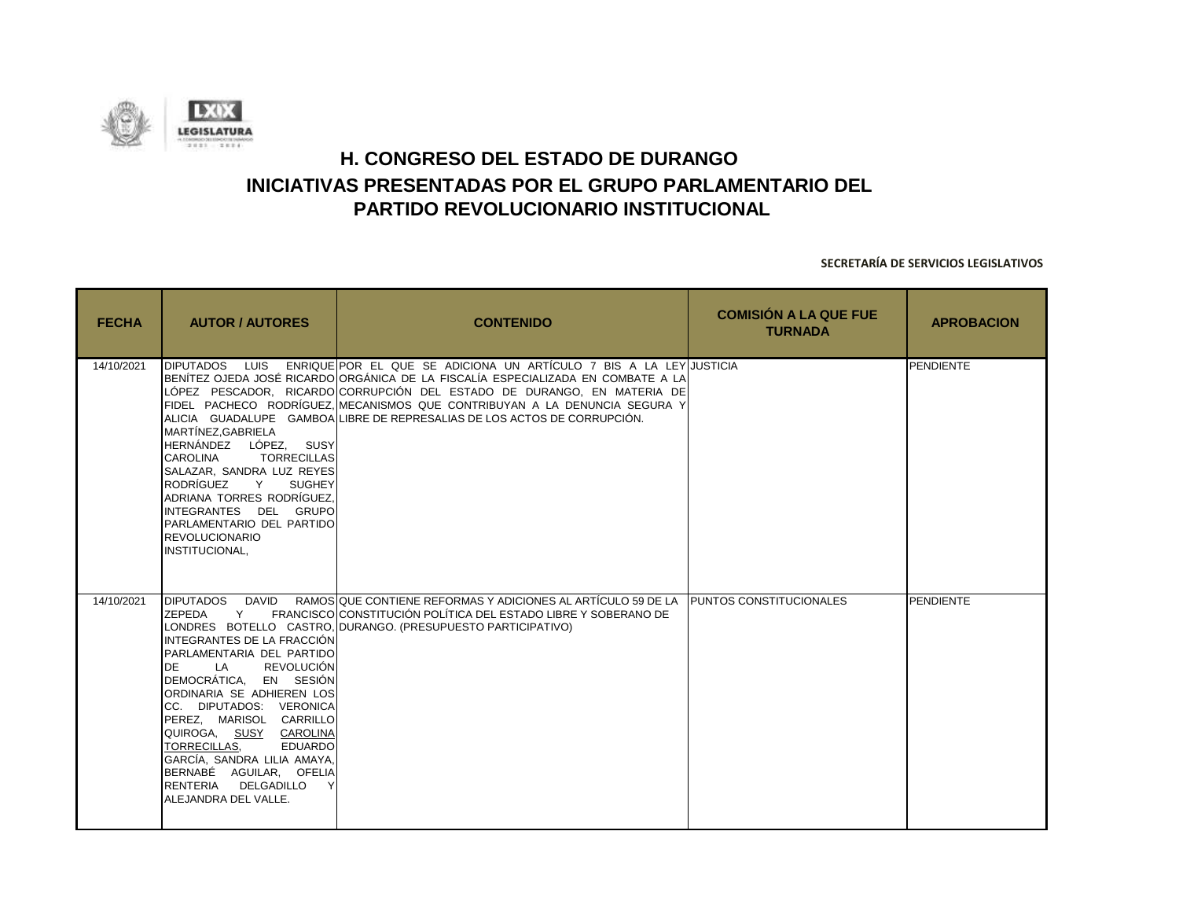

| <b>FECHA</b> | <b>AUTOR / AUTORES</b>                                                                                                                                                                                                                                                                                                                                                                                                   | <b>CONTENIDO</b>                                                                                                                                                                                                                                                                                                                                                                            | <b>COMISIÓN A LA QUE FUE</b><br><b>TURNADA</b> | <b>APROBACION</b> |
|--------------|--------------------------------------------------------------------------------------------------------------------------------------------------------------------------------------------------------------------------------------------------------------------------------------------------------------------------------------------------------------------------------------------------------------------------|---------------------------------------------------------------------------------------------------------------------------------------------------------------------------------------------------------------------------------------------------------------------------------------------------------------------------------------------------------------------------------------------|------------------------------------------------|-------------------|
| 14/10/2021   | DIPUTADOS LUIS<br>MARTÍNEZ, GABRIELA<br>HERNÁNDEZ LÓPEZ, SUSY<br><b>CAROLINA</b><br><b>TORRECILLAS</b><br>SALAZAR, SANDRA LUZ REYES<br>RODRÍGUEZ<br>Y<br><b>SUGHEY</b><br>ADRIANA TORRES RODRÍGUEZ.<br>INTEGRANTES DEL GRUPO<br>PARLAMENTARIO DEL PARTIDO<br><b>REVOLUCIONARIO</b><br>INSTITUCIONAL.                                                                                                                     | ENRIQUE POR EL QUE SE ADICIONA UN ARTÍCULO 7 BIS A LA LEY JUSTICIA<br>BENÍTEZ OJEDA JOSÉ RICARDOLORGÁNICA DE LA FISCALÍA ESPECIALIZADA EN COMBATE A LA<br>LÓPEZ PESCADOR, RICARDO CORRUPCIÓN DEL ESTADO DE DURANGO, EN MATERIA DE<br>FIDEL PACHECO RODRÍGUEZ, MECANISMOS QUE CONTRIBUYAN A LA DENUNCIA SEGURA Y<br>ALICIA GUADALUPE GAMBOA LIBRE DE REPRESALIAS DE LOS ACTOS DE CORRUPCIÓN. |                                                | <b>PENDIENTE</b>  |
| 14/10/2021   | DIPUTADOS DAVID<br>ZEPEDA<br>Y<br>INTEGRANTES DE LA FRACCIÓN<br>PARLAMENTARIA DEL PARTIDO<br><b>DE</b><br><b>REVOLUCIÓN</b><br>LA<br>DEMOCRÁTICA, EN SESIÓN<br>ORDINARIA SE ADHIEREN LOS<br>CC. DIPUTADOS: VERONICA<br>PEREZ, MARISOL CARRILLO<br>QUIROGA, SUSY CAROLINA<br><b>EDUARDO</b><br>TORRECILLAS.<br>GARCÍA. SANDRA LILIA AMAYA.<br>BERNABÉ AGUILAR, OFELIA<br>RENTERIA DELGADILLO<br>Y<br>ALEJANDRA DEL VALLE. | RAMOS QUE CONTIENE REFORMAS Y ADICIONES AL ARTÍCULO 59 DE LA PUNTOS CONSTITUCIONALES<br>FRANCISCO CONSTITUCIÓN POLÍTICA DEL ESTADO LIBRE Y SOBERANO DE<br>LONDRES BOTELLO CASTRO, DURANGO. (PRESUPUESTO PARTICIPATIVO)                                                                                                                                                                      |                                                | <b>PENDIENTE</b>  |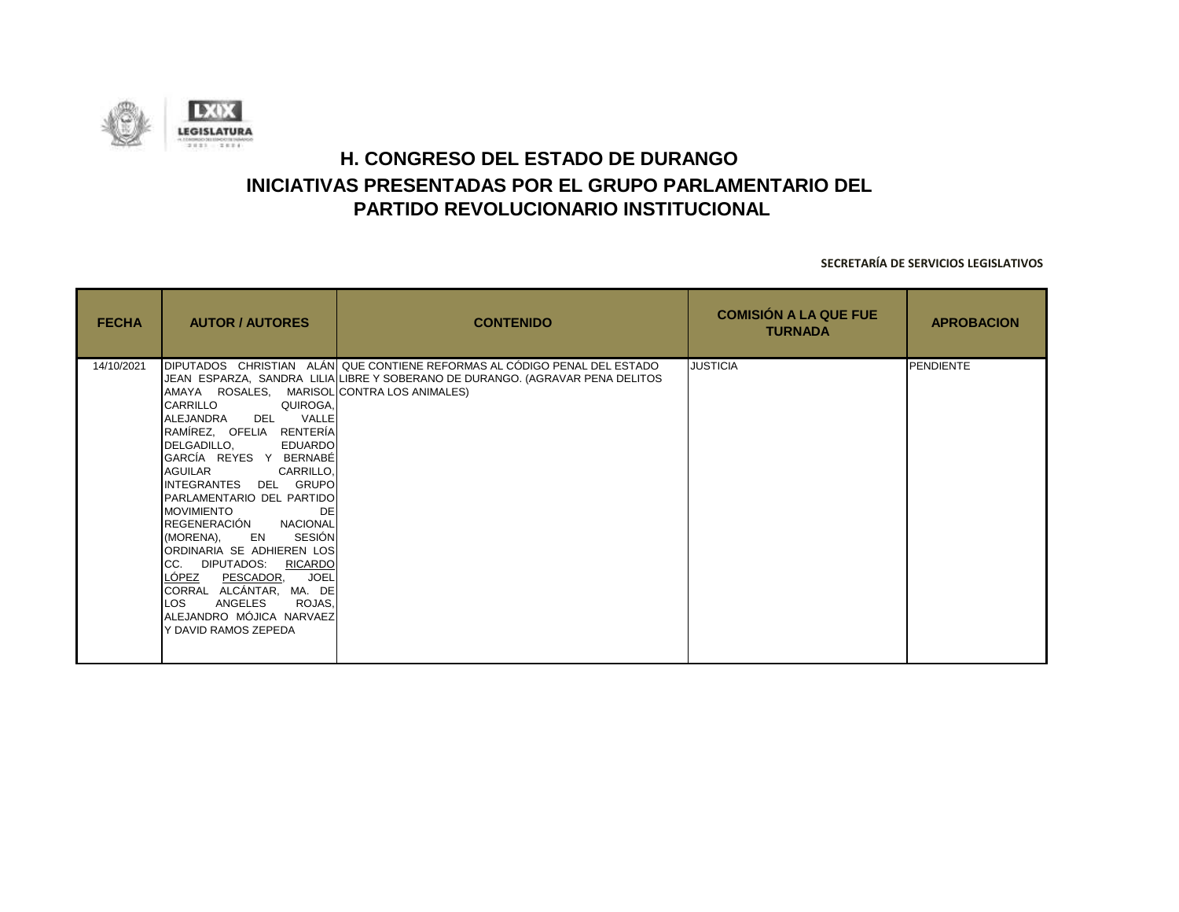

| <b>FECHA</b> | <b>AUTOR / AUTORES</b>                                                                                                                                                                                                                                                                                                                                                                                                                                                                                                                          | <b>CONTENIDO</b>                                                                                                                                           | <b>COMISIÓN A LA QUE FUE</b><br><b>TURNADA</b> | <b>APROBACION</b> |
|--------------|-------------------------------------------------------------------------------------------------------------------------------------------------------------------------------------------------------------------------------------------------------------------------------------------------------------------------------------------------------------------------------------------------------------------------------------------------------------------------------------------------------------------------------------------------|------------------------------------------------------------------------------------------------------------------------------------------------------------|------------------------------------------------|-------------------|
| 14/10/2021   | AMAYA ROSALES, MARISOL CONTRA LOS ANIMALES)<br>CARRILLO<br>QUIROGA,<br>DEL VALLE<br>ALEJANDRA<br>RAMÍREZ, OFELIA RENTERÍA<br>DELGADILLO, EDUARDO<br>GARCÍA REYES Y BERNABÉ<br>AGUILAR CARRILLO,<br>INTEGRANTES DEL GRUPO<br>PARLAMENTARIO DEL PARTIDO<br><b>MOVIMIENTO</b><br>DE<br>REGENERACIÓN NACIONAL<br>(MORENA), EN<br>SESIÓN<br>ORDINARIA SE ADHIEREN LOS<br>CC. DIPUTADOS: RICARDO<br><u>LÓPEZ PESCADOR,</u><br><b>JOEL</b><br>CORRAL ALCÁNTAR, MA. DE<br>LOS.<br>ANGELES<br>ROJAS.<br>ALEJANDRO MÓJICA NARVAEZ<br>Y DAVID RAMOS ZEPEDA | DIPUTADOS CHRISTIAN ALÁN QUE CONTIENE REFORMAS AL CÓDIGO PENAL DEL ESTADO<br>JEAN ESPARZA, SANDRA LILIA LIBRE Y SOBERANO DE DURANGO. (AGRAVAR PENA DELITOS | <b>JUSTICIA</b>                                | <b>PENDIENTE</b>  |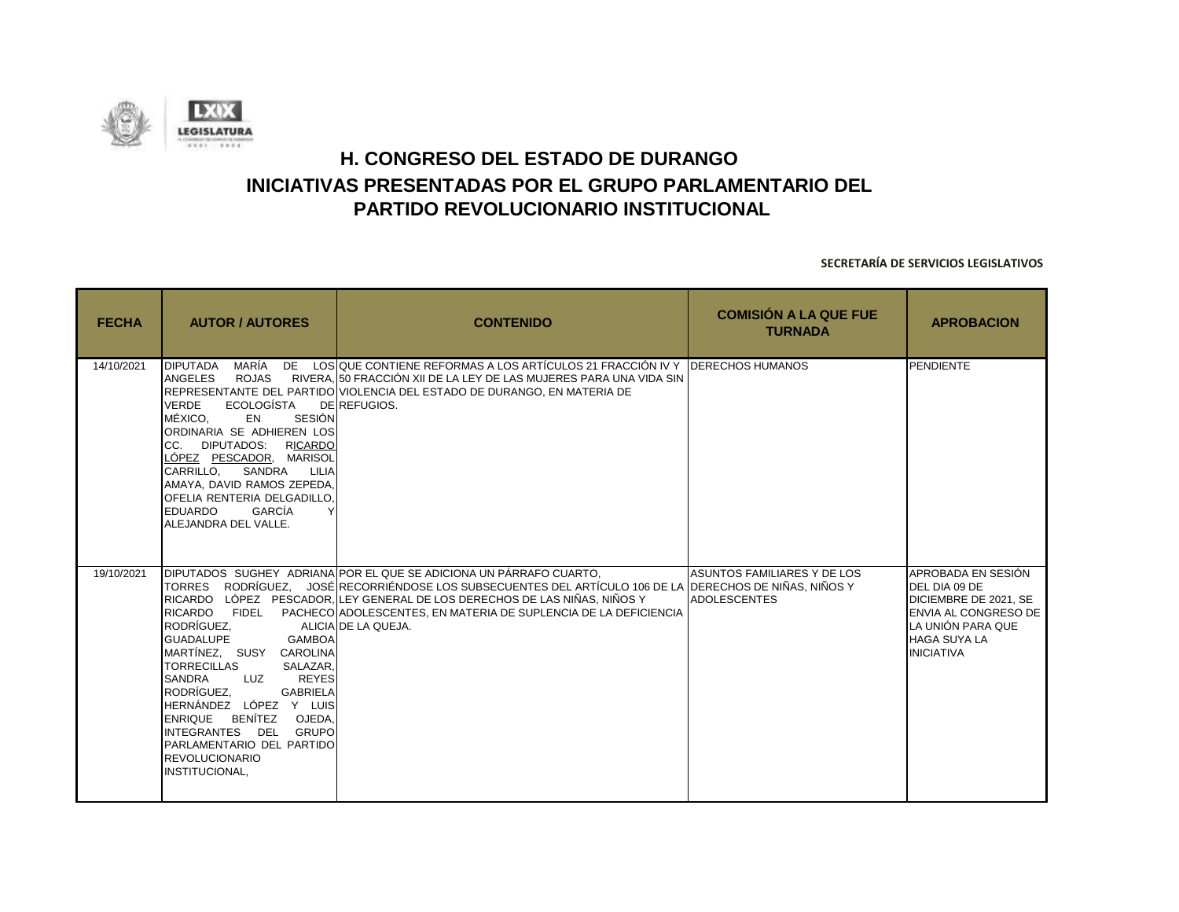

| <b>FECHA</b> | <b>AUTOR / AUTORES</b>                                                                                                                                                                                                                                                                                                                                      | <b>CONTENIDO</b>                                                                                                                                                                                                                                                                                                                                      | <b>COMISIÓN A LA QUE FUE</b><br><b>TURNADA</b>     | <b>APROBACION</b>                                                                                                                                     |
|--------------|-------------------------------------------------------------------------------------------------------------------------------------------------------------------------------------------------------------------------------------------------------------------------------------------------------------------------------------------------------------|-------------------------------------------------------------------------------------------------------------------------------------------------------------------------------------------------------------------------------------------------------------------------------------------------------------------------------------------------------|----------------------------------------------------|-------------------------------------------------------------------------------------------------------------------------------------------------------|
| 14/10/2021   | MARÍA<br><b>DIPUTADA</b><br><b>ROJAS</b><br>ANGELES<br>ECOLOGÍSTA<br><b>VERDE</b><br>MÉXICO.<br>SESIÓN<br>EN<br>ORDINARIA SE ADHIEREN LOS<br>CC. DIPUTADOS: RICARDO<br>LÓPEZ PESCADOR, MARISOL<br>CARRILLO,<br>SANDRA LILIA<br>AMAYA, DAVID RAMOS ZEPEDA,<br>OFELIA RENTERIA DELGADILLO.<br><b>EDUARDO</b><br>GARCÍA<br>ALEJANDRA DEL VALLE.                | DE LOS QUE CONTIENE REFORMAS A LOS ARTÍCULOS 21 FRACCIÓN IV Y DERECHOS HUMANOS<br>RIVERA, 50 FRACCIÓN XII DE LA LEY DE LAS MUJERES PARA UNA VIDA SIN<br>REPRESENTANTE DEL PARTIDO VIOLENCIA DEL ESTADO DE DURANGO, EN MATERIA DE<br>DE REFUGIOS.                                                                                                      |                                                    | <b>PENDIENTE</b>                                                                                                                                      |
| 19/10/2021   | RICARDO FIDEL<br>RODRÍGUEZ.<br><b>GUADALUPE</b><br><b>GAMBOA</b><br>MARTÍNEZ. SUSY CAROLINA<br><b>TORRECILLAS</b><br>SALAZAR.<br><b>REYES</b><br><b>SANDRA</b><br>LUZ<br>RODRÍGUEZ.<br><b>GABRIELA</b><br>HERNÁNDEZ LÓPEZ Y LUIS<br>ENRIQUE BENÍTEZ OJEDA,<br>INTEGRANTES DEL GRUPO<br>PARLAMENTARIO DEL PARTIDO<br><b>REVOLUCIONARIO</b><br>INSTITUCIONAL, | DIPUTADOS SUGHEY ADRIANA POR EL QUE SE ADICIONA UN PÁRRAFO CUARTO.<br>TORRES RODRÍGUEZ. JOSÉ RECORRIÉNDOSE LOS SUBSECUENTES DEL ARTÍCULO 106 DE LA DERECHOS DE NIÑAS, NIÑOS Y<br>RICARDO LÓPEZ PESCADOR. LLEY GENERAL DE LOS DERECHOS DE LAS NIÑAS. NIÑOS Y<br>PACHECO ADOLESCENTES, EN MATERIA DE SUPLENCIA DE LA DEFICIENCIA<br>ALICIA DE LA QUEJA. | ASUNTOS FAMILIARES Y DE LOS<br><b>ADOLESCENTES</b> | APROBADA EN SESIÓN<br>DEL DIA 09 DE<br>DICIEMBRE DE 2021. SE<br>ENVIA AL CONGRESO DE<br>LA UNIÓN PARA QUE<br><b>HAGA SUYA LA</b><br><b>INICIATIVA</b> |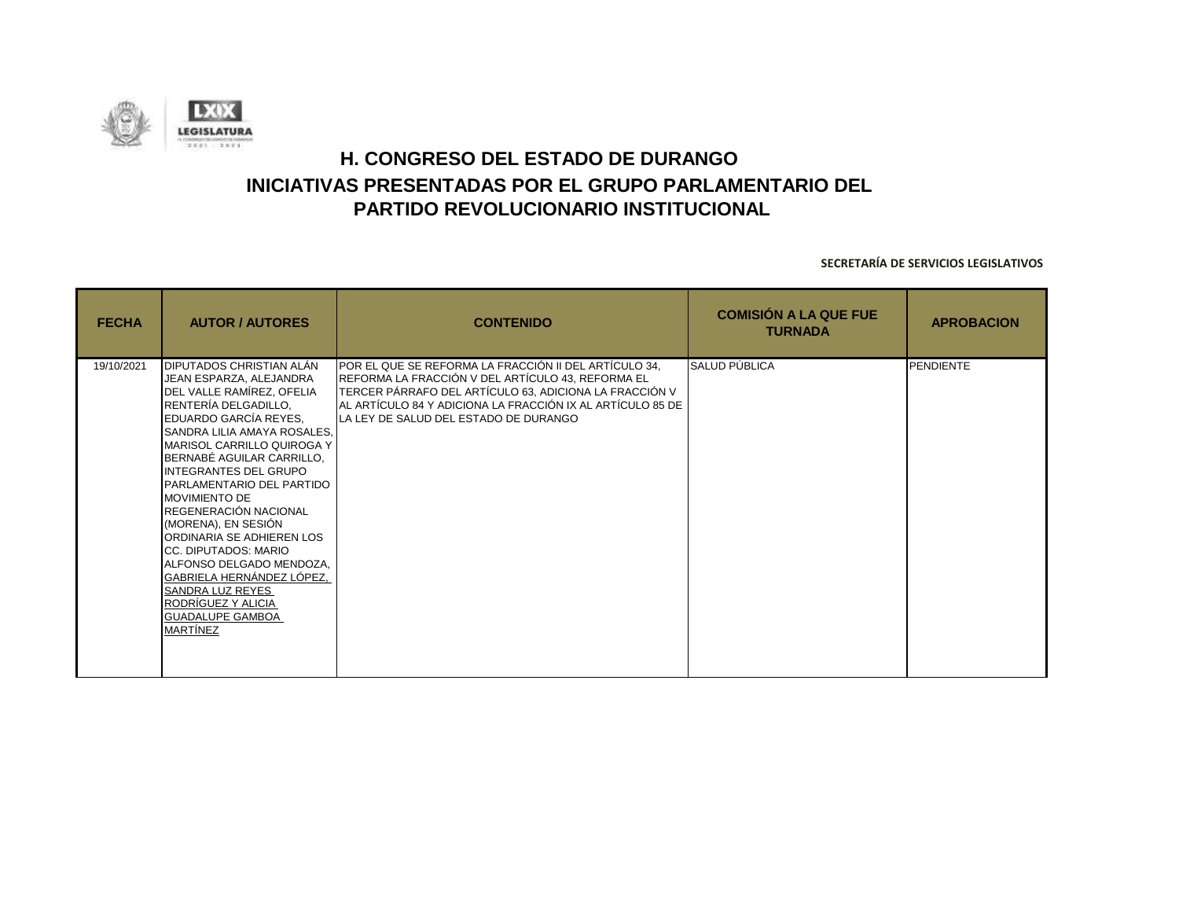

| <b>FECHA</b> | <b>AUTOR / AUTORES</b>                                                                                                                                                                                                                                                                                                                                                                                                                                                                                                                                                 | <b>CONTENIDO</b>                                                                                                                                                                                                                                                            | <b>COMISIÓN A LA QUE FUE</b><br><b>TURNADA</b> | <b>APROBACION</b> |
|--------------|------------------------------------------------------------------------------------------------------------------------------------------------------------------------------------------------------------------------------------------------------------------------------------------------------------------------------------------------------------------------------------------------------------------------------------------------------------------------------------------------------------------------------------------------------------------------|-----------------------------------------------------------------------------------------------------------------------------------------------------------------------------------------------------------------------------------------------------------------------------|------------------------------------------------|-------------------|
| 19/10/2021   | DIPUTADOS CHRISTIAN ALÁN<br>JEAN ESPARZA, ALEJANDRA<br>DEL VALLE RAMÍREZ, OFELIA<br>RENTERÍA DELGADILLO,<br>EDUARDO GARCÍA REYES.<br>SANDRA LILIA AMAYA ROSALES,<br>MARISOL CARRILLO QUIROGA Y<br>BERNABÉ AGUILAR CARRILLO,<br><b>INTEGRANTES DEL GRUPO</b><br>PARLAMENTARIO DEL PARTIDO<br><b>MOVIMIENTO DE</b><br>REGENERACIÓN NACIONAL<br>(MORENA), EN SESIÓN<br>ORDINARIA SE ADHIEREN LOS<br>CC. DIPUTADOS: MARIO<br>ALFONSO DELGADO MENDOZA,<br>GABRIELA HERNÁNDEZ LÓPEZ,<br>SANDRA LUZ REYES<br>RODRÍGUEZ Y ALICIA<br><b>GUADALUPE GAMBOA</b><br><b>MARTÍNEZ</b> | POR EL QUE SE REFORMA LA FRACCIÓN II DEL ARTÍCULO 34,<br>REFORMA LA FRACCIÓN V DEL ARTÍCULO 43, REFORMA EL<br>TERCER PÁRRAFO DEL ARTÍCULO 63, ADICIONA LA FRACCIÓN V<br>AL ARTÍCULO 84 Y ADICIONA LA FRACCIÓN IX AL ARTÍCULO 85 DE<br>LA LEY DE SALUD DEL ESTADO DE DURANGO | SALUD PÚBLICA                                  | <b>PENDIENTE</b>  |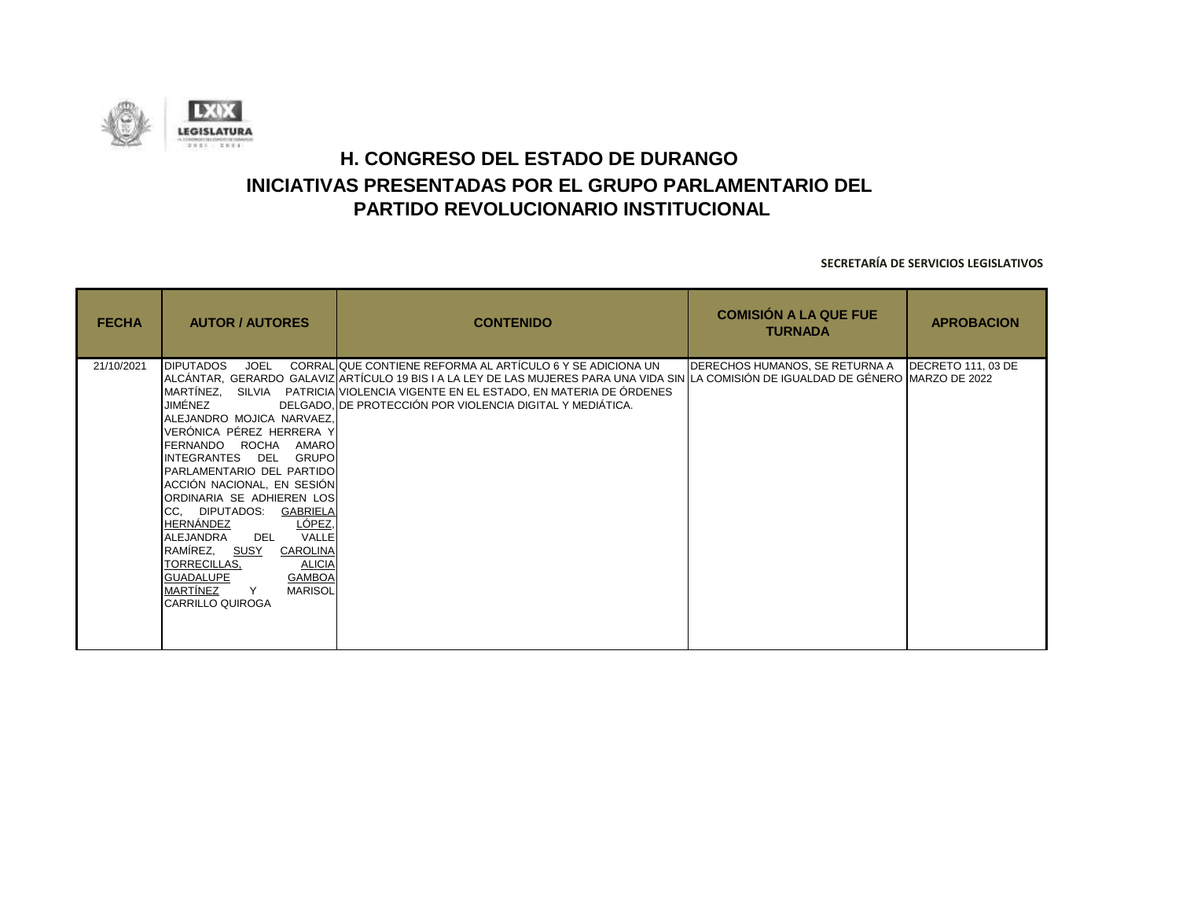![](_page_22_Picture_0.jpeg)

| <b>FECHA</b> | <b>AUTOR / AUTORES</b>                                                                                                                                                                                                                                                                                                                                                                                                                                                                              | <b>CONTENIDO</b>                                                                                                                                                                                                                                                                                                                                    | <b>COMISIÓN A LA QUE FUE</b><br><b>TURNADA</b>      | <b>APROBACION</b> |
|--------------|-----------------------------------------------------------------------------------------------------------------------------------------------------------------------------------------------------------------------------------------------------------------------------------------------------------------------------------------------------------------------------------------------------------------------------------------------------------------------------------------------------|-----------------------------------------------------------------------------------------------------------------------------------------------------------------------------------------------------------------------------------------------------------------------------------------------------------------------------------------------------|-----------------------------------------------------|-------------------|
| 21/10/2021   | <b>DIPUTADOS</b><br><b>JOEL</b><br>JIMÉNEZ<br>ALEJANDRO MOJICA NARVAEZ,<br>VERÓNICA PÉREZ HERRERA Y<br>FERNANDO ROCHA AMARO<br>INTEGRANTES DEL GRUPO<br>PARLAMENTARIO DEL PARTIDO<br>ACCIÓN NACIONAL, EN SESIÓN<br>ORDINARIA SE ADHIEREN LOS<br>CC, DIPUTADOS: GABRIELA<br>LÓPEZ.<br>HERNÁNDEZ<br>VALLE<br>ALEJANDRA<br>DEL<br>RAMÍREZ, <u>SUSY</u><br>CAROLINA<br>TORRECILLAS,<br><b>ALICIA</b><br><b>GAMBOA</b><br><b>GUADALUPE</b><br>MARTÍNEZ<br>Y<br><b>MARISOL</b><br><b>CARRILLO QUIROGA</b> | CORRAL QUE CONTIENE REFORMA AL ARTÍCULO 6 Y SE ADICIONA UN<br>ALCÁNTAR, GERARDO GALAVIZ ARTÍCULO 19 BIS I A LA LEY DE LAS MUJERES PARA UNA VIDA SIN LA COMISIÓN DE IGUALDAD DE GÉNERO MARZO DE 2022<br>MARTÍNEZ, SILVIA PATRICIA VIOLENCIA VIGENTE EN EL ESTADO, EN MATERIA DE ÓRDENES<br>DELGADO. DE PROTECCIÓN POR VIOLENCIA DIGITAL Y MEDIÁTICA. | DERECHOS HUMANOS, SE RETURNA A   DECRETO 111, 03 DE |                   |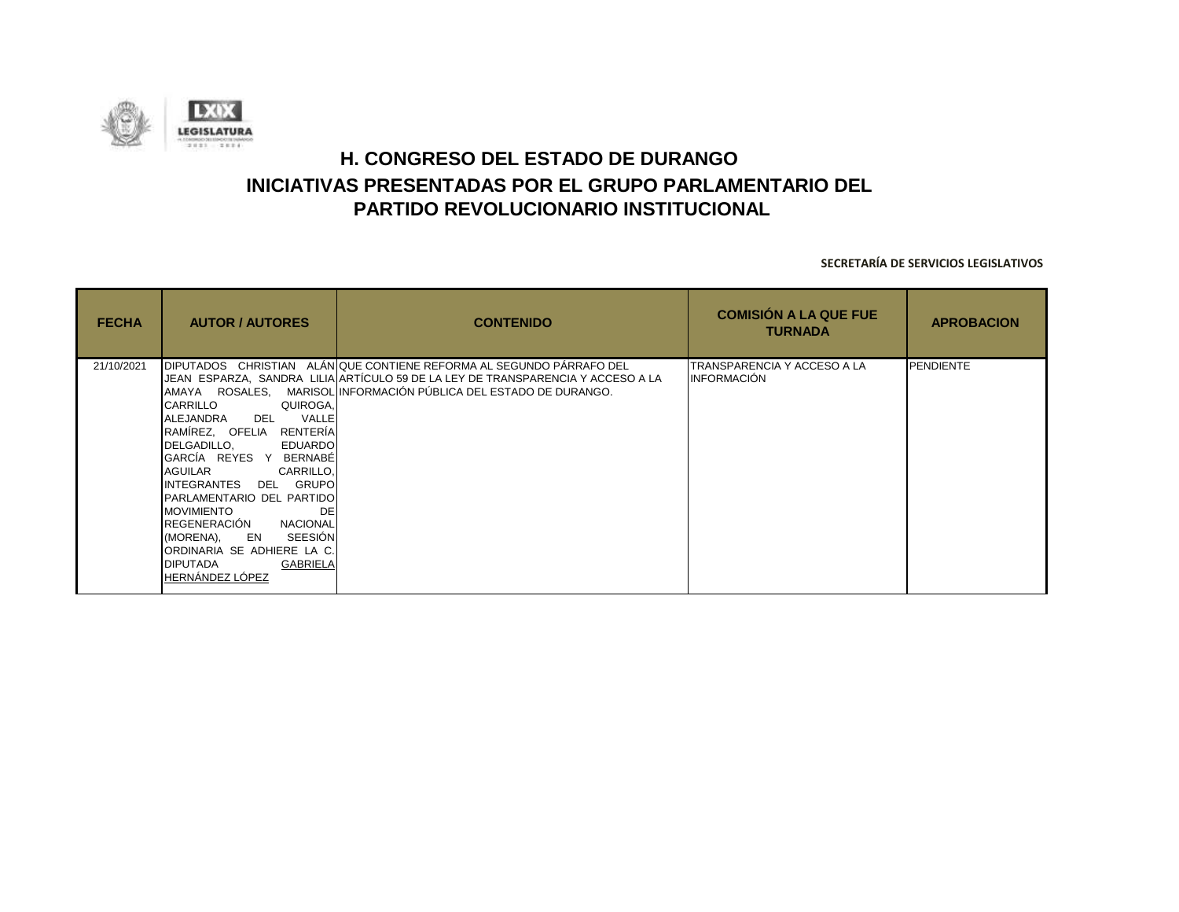![](_page_23_Picture_0.jpeg)

| <b>FECHA</b> | <b>AUTOR / AUTORES</b>                                                                                                                                                                                                                                                                                                                                                                                              | <b>CONTENIDO</b>                                                                                                                                                                                                             | <b>COMISIÓN A LA QUE FUE</b><br><b>TURNADA</b>    | <b>APROBACION</b> |
|--------------|---------------------------------------------------------------------------------------------------------------------------------------------------------------------------------------------------------------------------------------------------------------------------------------------------------------------------------------------------------------------------------------------------------------------|------------------------------------------------------------------------------------------------------------------------------------------------------------------------------------------------------------------------------|---------------------------------------------------|-------------------|
| 21/10/2021   | <b>CARRILLO</b><br>QUIROGA,<br>VALLE<br>ALEJANDRA<br>DEL<br>RAMÍREZ, OFELIA RENTERÍA<br>DELGADILLO,<br><b>EDUARDO</b><br>GARCÍA REYES Y<br>BERNABÉ<br>AGUILAR<br>CARRILLO,<br>DEL GRUPO<br>INTEGRANTES<br>PARLAMENTARIO DEL PARTIDO<br><b>MOVIMIENTO</b><br>DE<br>REGENERACIÓN<br><b>NACIONAL</b><br>SEESIÓN<br>(MORENA), EN<br>ORDINARIA SE ADHIERE LA C.<br><b>GABRIELA</b><br><b>DIPUTADA</b><br>HERNÁNDEZ LÓPEZ | DIPUTADOS CHRISTIAN ALÁNIQUE CONTIENE REFORMA AL SEGUNDO PÁRRAFO DEL<br>JEAN ESPARZA, SANDRA LILIA ARTÍCULO 59 DE LA LEY DE TRANSPARENCIA Y ACCESO A LA<br>AMAYA ROSALES, MARISOL INFORMACIÓN PÚBLICA DEL ESTADO DE DURANGO. | TRANSPARENCIA Y ACCESO A LA<br><b>INFORMACIÓN</b> | <b>PENDIENTE</b>  |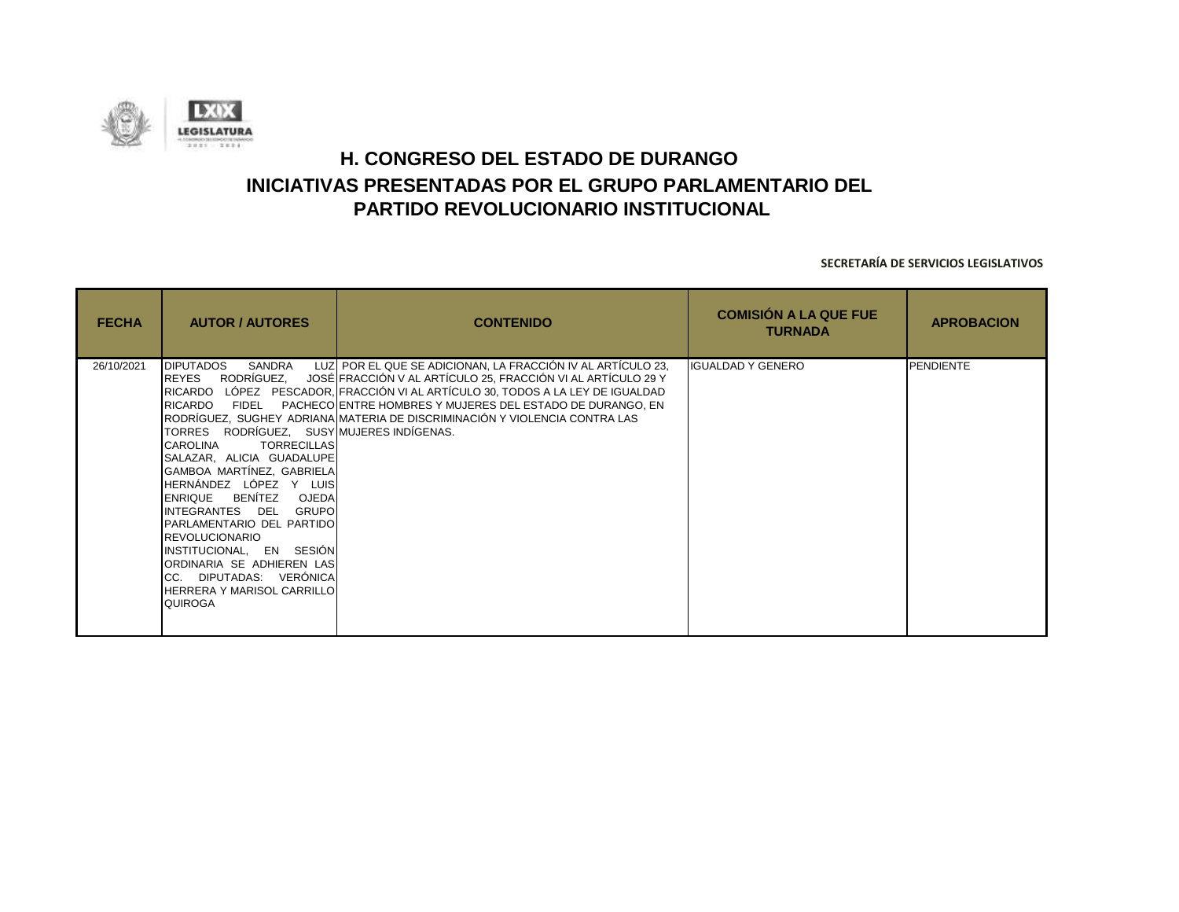![](_page_24_Picture_0.jpeg)

| <b>FECHA</b> | <b>AUTOR / AUTORES</b>                                                                                                                                                                                                                                                                                                                                                                                                                                                                               | <b>CONTENIDO</b>                                                                                                                                                                                                                                                                                                                                                    | <b>COMISIÓN A LA QUE FUE</b><br><b>TURNADA</b> | <b>APROBACION</b> |
|--------------|------------------------------------------------------------------------------------------------------------------------------------------------------------------------------------------------------------------------------------------------------------------------------------------------------------------------------------------------------------------------------------------------------------------------------------------------------------------------------------------------------|---------------------------------------------------------------------------------------------------------------------------------------------------------------------------------------------------------------------------------------------------------------------------------------------------------------------------------------------------------------------|------------------------------------------------|-------------------|
| 26/10/2021   | <b>DIPUTADOS</b><br>SANDRA<br><b>REYES</b><br>RICARDO<br>FIDEL<br>TORRES RODRÍGUEZ, SUSY MUJERES INDÍGENAS.<br>CAROLINA<br><b>TORRECILLAS</b><br>SALAZAR, ALICIA GUADALUPE<br>GAMBOA MARTÍNEZ, GABRIELA<br>HERNÁNDEZ LÓPEZ Y LUIS<br>BENÍTEZ<br>OJEDA<br><b>ENRIQUE</b><br>INTEGRANTES DEL<br><b>GRUPO</b><br>PARLAMENTARIO DEL PARTIDO<br><b>REVOLUCIONARIO</b><br>INSTITUCIONAL, EN SESIÓN<br>ORDINARIA SE ADHIEREN LAS<br>CC. DIPUTADAS: VERÓNICA<br>HERRERA Y MARISOL CARRILLO<br><b>QUIROGA</b> | LUZ POR EL QUE SE ADICIONAN, LA FRACCIÓN IV AL ARTÍCULO 23,<br>RODRÍGUEZ, JOSÉ FRACCIÓN V AL ARTÍCULO 25, FRACCIÓN VI AL ARTÍCULO 29 Y<br>RICARDO LÓPEZ PESCADOR, FRACCIÓN VI AL ARTÍCULO 30, TODOS A LA LEY DE IGUALDAD<br>PACHECO ENTRE HOMBRES Y MUJERES DEL ESTADO DE DURANGO, EN<br>RODRÍGUEZ, SUGHEY ADRIANA MATERIA DE DISCRIMINACIÓN Y VIOLENCIA CONTRA LAS | <b>IGUALDAD Y GENERO</b>                       | <b>PENDIENTE</b>  |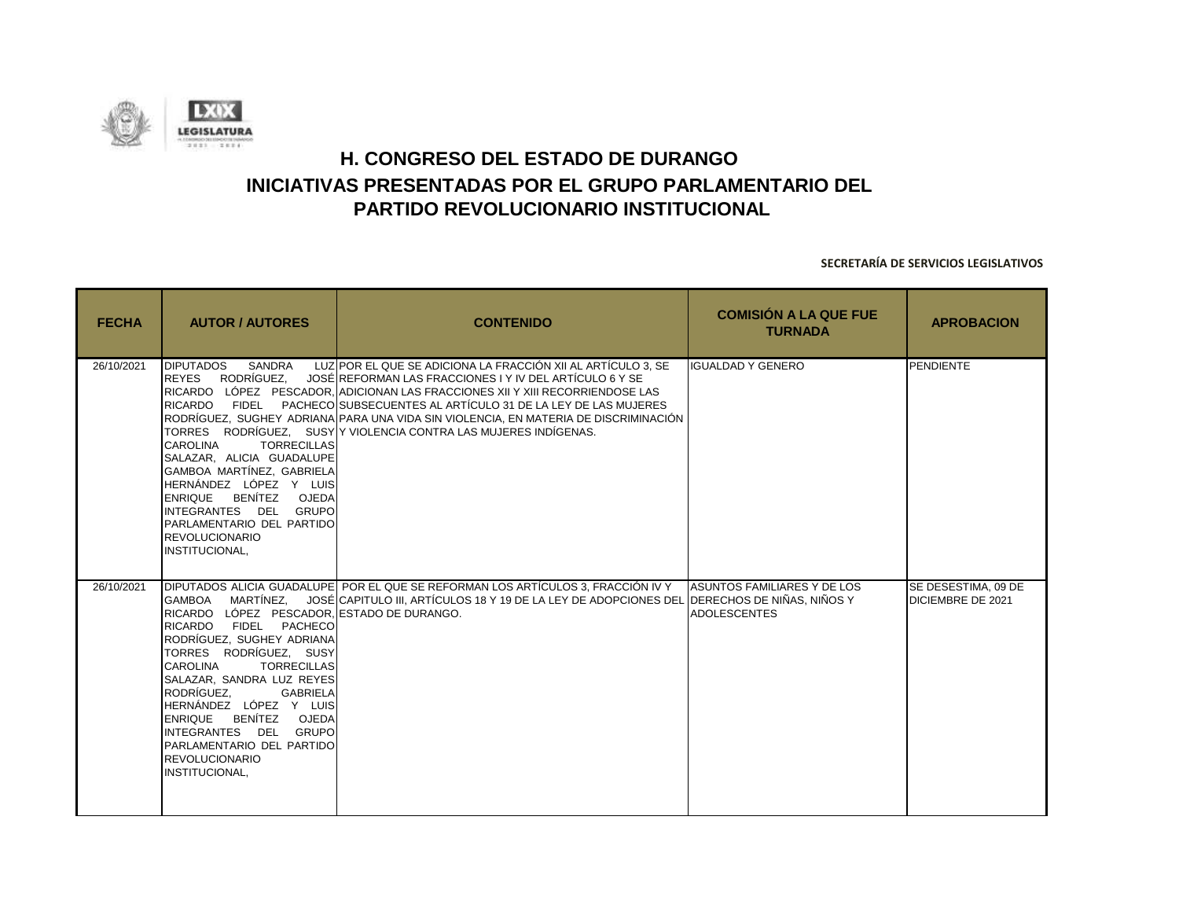![](_page_25_Picture_0.jpeg)

| <b>FECHA</b> | <b>AUTOR / AUTORES</b>                                                                                                                                                                                                                                                                                                                                                                          | <b>CONTENIDO</b>                                                                                                                                                                                                                                                                                                                                                                                                                    | <b>COMISIÓN A LA QUE FUE</b><br><b>TURNADA</b>     | <b>APROBACION</b>                        |
|--------------|-------------------------------------------------------------------------------------------------------------------------------------------------------------------------------------------------------------------------------------------------------------------------------------------------------------------------------------------------------------------------------------------------|-------------------------------------------------------------------------------------------------------------------------------------------------------------------------------------------------------------------------------------------------------------------------------------------------------------------------------------------------------------------------------------------------------------------------------------|----------------------------------------------------|------------------------------------------|
| 26/10/2021   | <b>DIPUTADOS</b><br>SANDRA<br>RODRÍGUEZ.<br><b>REYES</b><br>RICARDO FIDEL<br>CAROLINA<br><b>TORRECILLAS</b><br>SALAZAR. ALICIA GUADALUPE<br>GAMBOA MARTÍNEZ, GABRIELA<br>HERNÁNDEZ LÓPEZ Y LUIS<br>ENRIQUE BENÍTEZ OJEDA<br>INTEGRANTES DEL GRUPO<br>PARLAMENTARIO DEL PARTIDO<br><b>REVOLUCIONARIO</b><br>INSTITUCIONAL,                                                                       | LUZ POR EL QUE SE ADICIONA LA FRACCIÓN XII AL ARTÍCULO 3, SE<br>JOSÉ REFORMAN LAS FRACCIONES I Y IV DEL ARTÍCULO 6 Y SE<br>RICARDO LÓPEZ PESCADOR, ADICIONAN LAS FRACCIONES XII Y XIII RECORRIENDOSE LAS<br>PACHECO SUBSECUENTES AL ARTÍCULO 31 DE LA LEY DE LAS MUJERES<br>RODRÍGUEZ. SUGHEY ADRIANA PARA UNA VIDA SIN VIOLENCIA. EN MATERIA DE DISCRIMINACIÓN<br>TORRES RODRÍGUEZ, SUSY Y VIOLENCIA CONTRA LAS MUJERES INDÍGENAS. | <b>IGUALDAD Y GENERO</b>                           | <b>PENDIENTE</b>                         |
| 26/10/2021   | RICARDO LÓPEZ PESCADOR, ESTADO DE DURANGO.<br>RICARDO FIDEL PACHECO<br>RODRÍGUEZ, SUGHEY ADRIANA<br>TORRES RODRÍGUEZ. SUSY<br><b>CAROLINA</b><br><b>TORRECILLAS</b><br>SALAZAR, SANDRA LUZ REYES<br>RODRÍGUEZ.<br><b>GABRIELA</b><br>HERNÁNDEZ LÓPEZ Y LUIS<br>BENÍTEZ OJEDA<br><b>ENRIQUE</b><br>INTEGRANTES DEL GRUPO<br>PARLAMENTARIO DEL PARTIDO<br><b>REVOLUCIONARIO</b><br>INSTITUCIONAL, | DIPUTADOS ALICIA GUADALUPE POR EL QUE SE REFORMAN LOS ARTÍCULOS 3, FRACCIÓN IV Y<br>GAMBOA — MARTÍNEZ. — JOSÉİCAPITULO III. ARTÍCULOS 18 Y 19 DE LA LEY DE ADOPCIONES DEL IDERECHOS DE NIÑAS. NIÑOS Y                                                                                                                                                                                                                               | ASUNTOS FAMILIARES Y DE LOS<br><b>ADOLESCENTES</b> | SE DESESTIMA, 09 DE<br>DICIEMBRE DE 2021 |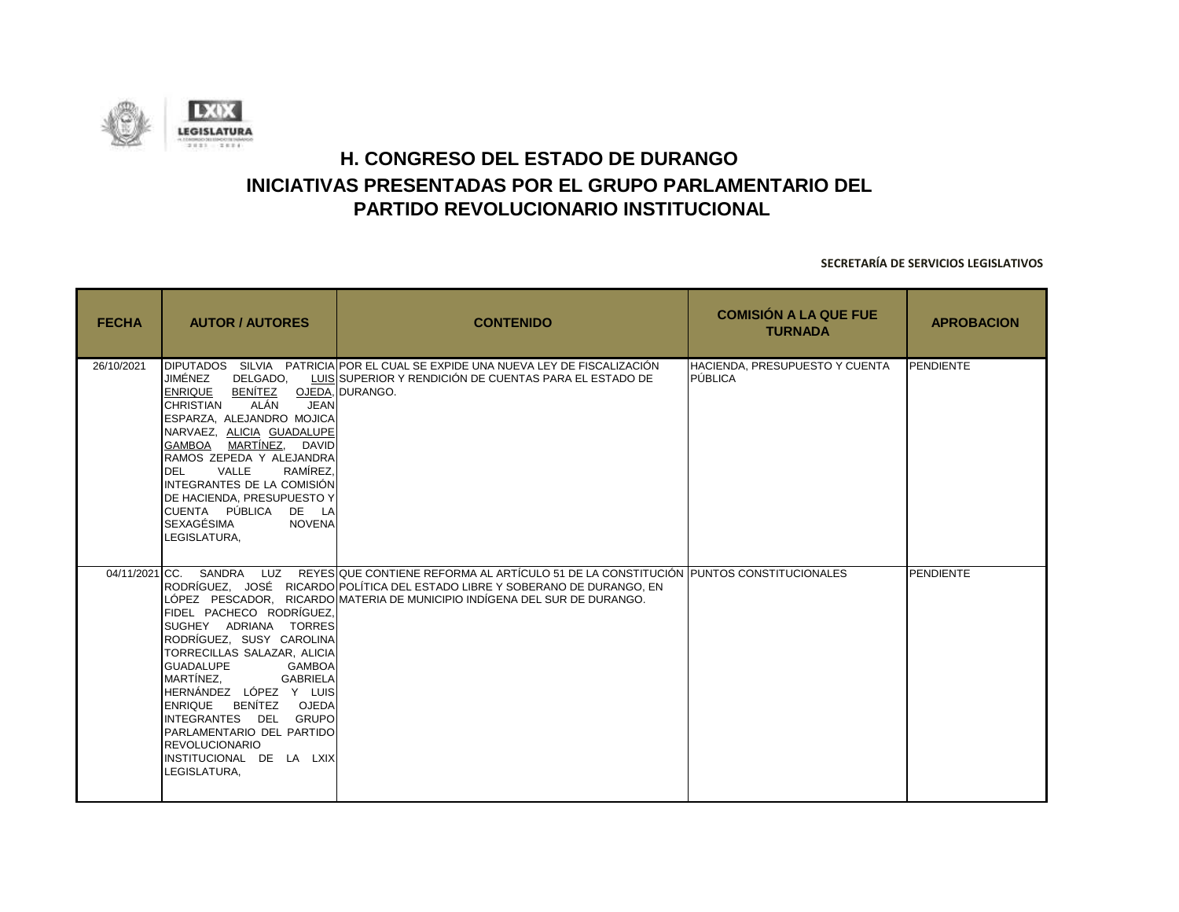![](_page_26_Picture_0.jpeg)

| <b>FECHA</b> | <b>AUTOR / AUTORES</b>                                                                                                                                                                                                                                                                                                                                                                                       | <b>CONTENIDO</b>                                                                                                                                                                                                                                      | <b>COMISIÓN A LA QUE FUE</b><br><b>TURNADA</b>   | <b>APROBACION</b> |
|--------------|--------------------------------------------------------------------------------------------------------------------------------------------------------------------------------------------------------------------------------------------------------------------------------------------------------------------------------------------------------------------------------------------------------------|-------------------------------------------------------------------------------------------------------------------------------------------------------------------------------------------------------------------------------------------------------|--------------------------------------------------|-------------------|
| 26/10/2021   | JIMÉNEZ<br>DELGADO.<br>BENÍTEZ OJEDA, DURANGO.<br><b>ENRIQUE</b><br><b>CHRISTIAN</b><br>ALÁN<br><b>JEAN</b><br>ESPARZA, ALEJANDRO MOJICA<br>NARVAEZ, ALICIA GUADALUPE<br>GAMBOA MARTÍNEZ, DAVID<br>RAMOS ZEPEDA Y ALEJANDRA<br>VALLE<br>RAMÍREZ.<br><b>DEL</b><br>INTEGRANTES DE LA COMISIÓN<br>DE HACIENDA, PRESUPUESTO Y<br>ICUENTA PÚBLICA<br>DE LA<br><b>SEXAGÉSIMA</b><br><b>NOVENA</b><br>LEGISLATURA. | DIPUTADOS SILVIA PATRICIA POR EL CUAL SE EXPIDE UNA NUEVA LEY DE FISCALIZACIÓN<br>LUIS SUPERIOR Y RENDICIÓN DE CUENTAS PARA EL ESTADO DE                                                                                                              | <b>HACIENDA, PRESUPUESTO Y CUENTA</b><br>PÚBLICA | PENDIENTE         |
|              | 04/11/2021 CC. SANDRA<br>FIDEL PACHECO RODRÍGUEZ,<br>SUGHEY ADRIANA TORRES<br>RODRÍGUEZ, SUSY CAROLINA<br>TORRECILLAS SALAZAR, ALICIA<br><b>GUADALUPE</b><br><b>GAMBOA</b><br>MARTÍNEZ,<br>GABRIELA<br>HERNÁNDEZ LÓPEZ Y LUIS<br>ENRIQUE BENÍTEZ OJEDA<br>INTEGRANTES DEL GRUPO<br>PARLAMENTARIO DEL PARTIDO<br><b>REVOLUCIONARIO</b><br>INSTITUCIONAL DE LA LXIX<br>LEGISLATURA,                            | LUZ REYESIQUE CONTIENE REFORMA AL ARTÍCULO 51 DE LA CONSTITUCIÓN IPUNTOS CONSTITUCIONALES<br>RODRÍGUEZ, JOSÉ RICARDO POLÍTICA DEL ESTADO LIBRE Y SOBERANO DE DURANGO, EN<br>LÓPEZ PESCADOR, RICARDO MATERIA DE MUNICIPIO INDÍGENA DEL SUR DE DURANGO. |                                                  | <b>PENDIENTE</b>  |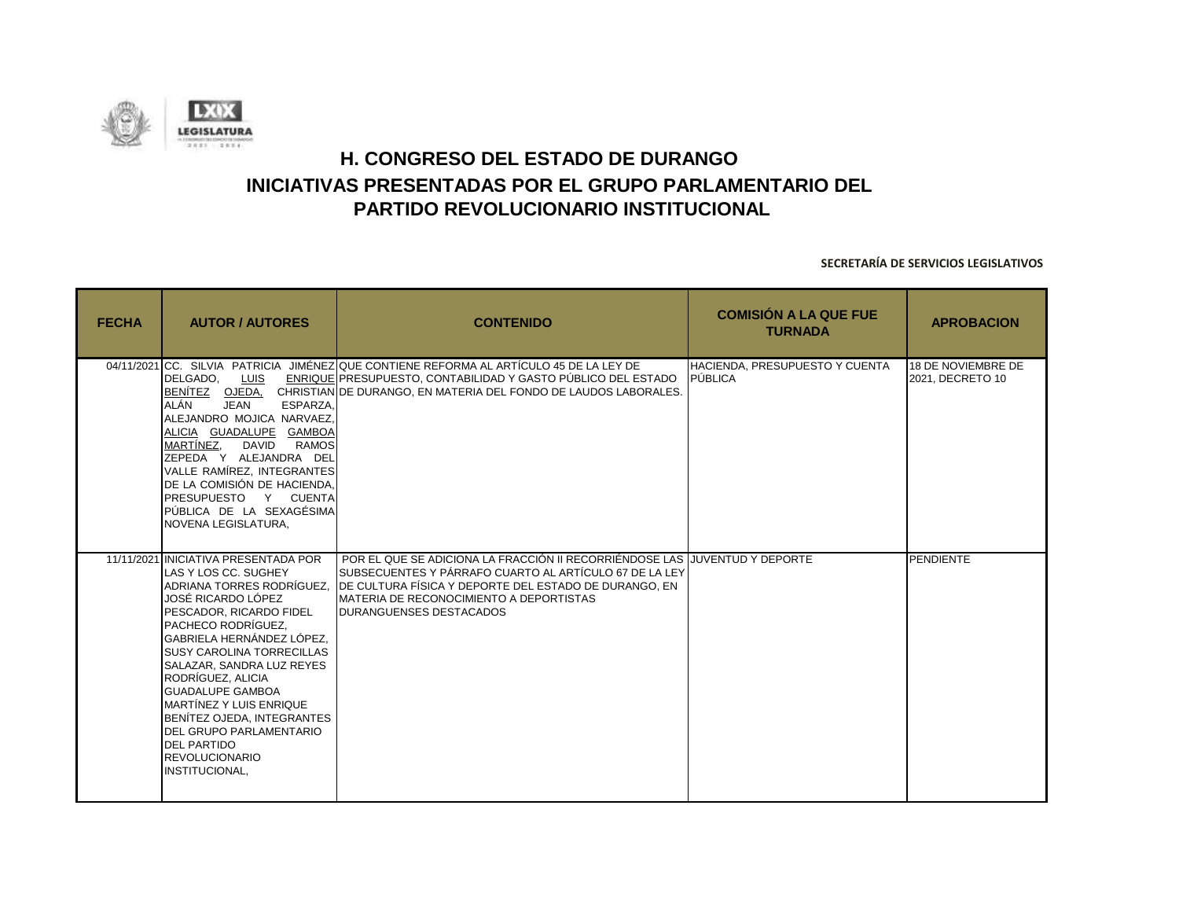![](_page_27_Picture_0.jpeg)

| <b>FECHA</b> | <b>AUTOR / AUTORES</b>                                                                                                                                                                                                                                                                                                                                                                                                                                                            | <b>CONTENIDO</b>                                                                                                                                                                                                                                                                    | <b>COMISIÓN A LA QUE FUE</b><br><b>TURNADA</b> | <b>APROBACION</b>                      |
|--------------|-----------------------------------------------------------------------------------------------------------------------------------------------------------------------------------------------------------------------------------------------------------------------------------------------------------------------------------------------------------------------------------------------------------------------------------------------------------------------------------|-------------------------------------------------------------------------------------------------------------------------------------------------------------------------------------------------------------------------------------------------------------------------------------|------------------------------------------------|----------------------------------------|
|              | DELGADO.<br>LUIS<br>BENÍTEZ OJEDA.<br>ALÁN<br><b>JEAN</b><br>ESPARZA.<br>ALEJANDRO MOJICA NARVAEZ,<br>ALICIA GUADALUPE GAMBOA<br>MARTÍNEZ,<br>DAVID<br><b>RAMOS</b><br>ZEPEDA Y ALEJANDRA DEL<br>VALLE RAMÍREZ. INTEGRANTES<br>DE LA COMISIÓN DE HACIENDA,<br>PRESUPUESTO Y CUENTA<br>PÚBLICA DE LA SEXAGÉSIMA<br>NOVENA LEGISLATURA,                                                                                                                                             | 04/11/2021 CC. SILVIA PATRICIA JIMÉNEZIQUE CONTIENE REFORMA AL ARTÍCULO 45 DE LA LEY DE<br>ENRIQUE PRESUPUESTO, CONTABILIDAD Y GASTO PÚBLICO DEL ESTADO<br>CHRISTIANIDE DURANGO. EN MATERIA DEL FONDO DE LAUDOS LABORALES.                                                          | HACIENDA, PRESUPUESTO Y CUENTA<br>PÚBLICA      | 18 DE NOVIEMBRE DE<br>2021, DECRETO 10 |
|              | 11/11/2021 INICIATIVA PRESENTADA POR<br>LAS Y LOS CC. SUGHEY<br>ADRIANA TORRES RODRÍGUEZ.<br>JOSÉ RICARDO LÓPEZ<br>PESCADOR. RICARDO FIDEL<br>PACHECO RODRÍGUEZ.<br>GABRIELA HERNÁNDEZ LÓPEZ.<br><b>SUSY CAROLINA TORRECILLAS</b><br>SALAZAR, SANDRA LUZ REYES<br>RODRÍGUEZ, ALICIA<br><b>GUADALUPE GAMBOA</b><br><b>MARTÍNEZ Y LUIS ENRIQUE</b><br>BENÍTEZ OJEDA. INTEGRANTES<br><b>DEL GRUPO PARLAMENTARIO</b><br><b>DEL PARTIDO</b><br><b>REVOLUCIONARIO</b><br>INSTITUCIONAL, | POR EL QUE SE ADICIONA LA FRACCIÓN II RECORRIÉNDOSE LAS LJUVENTUD Y DEPORTE<br>SUBSECUENTES Y PÁRRAFO CUARTO AL ARTÍCULO 67 DE LA LEY<br>DE CULTURA FÍSICA Y DEPORTE DEL ESTADO DE DURANGO, EN<br><b>IMATERIA DE RECONOCIMIENTO A DEPORTISTAS</b><br><b>DURANGUENSES DESTACADOS</b> |                                                | <b>PENDIENTE</b>                       |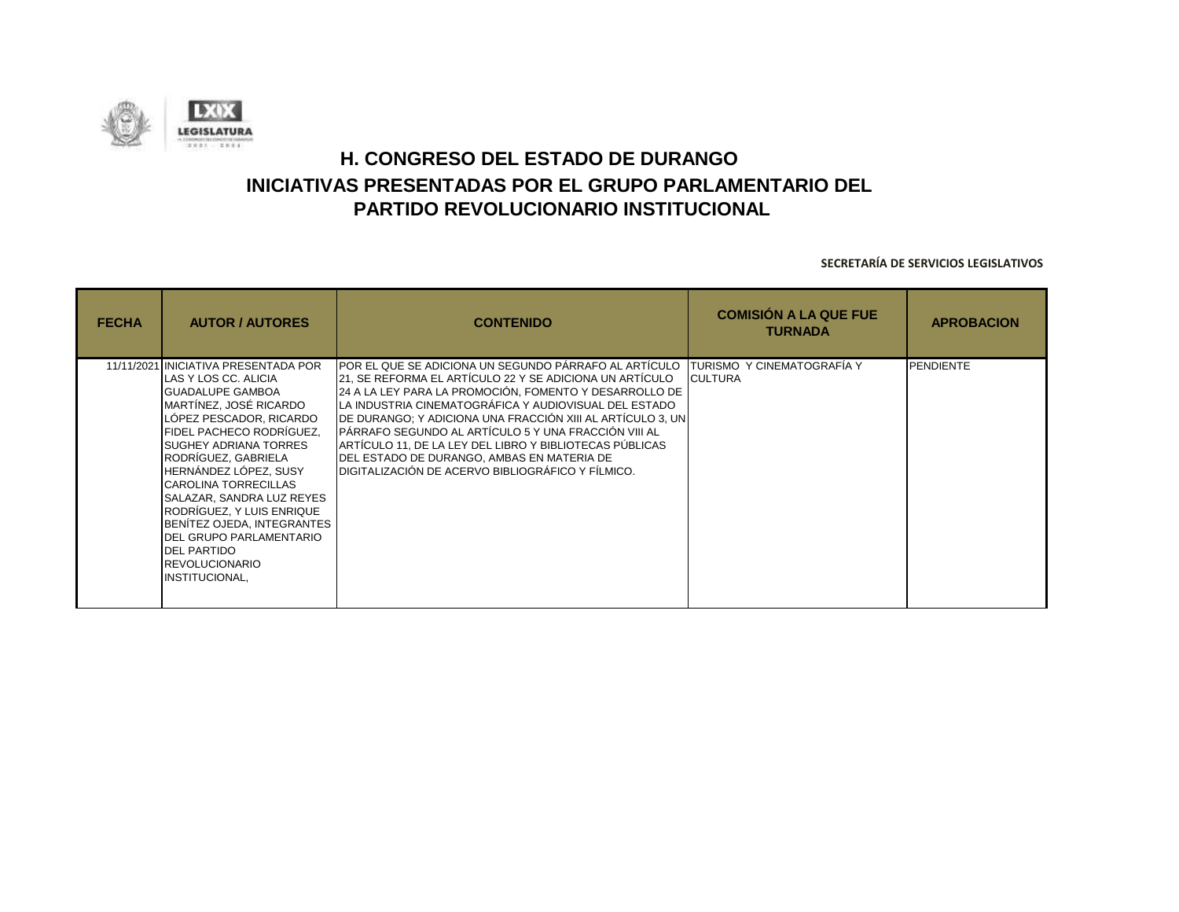![](_page_28_Picture_0.jpeg)

| <b>FECHA</b> | <b>AUTOR / AUTORES</b>                                                                                                                                                                                                                                                                                                                                                                                                                                                          | <b>CONTENIDO</b>                                                                                                                                                                                                                                                                                                                                                                                                                                                                                                          | <b>COMISIÓN A LA QUE FUE</b><br><b>TURNADA</b>       | <b>APROBACION</b> |
|--------------|---------------------------------------------------------------------------------------------------------------------------------------------------------------------------------------------------------------------------------------------------------------------------------------------------------------------------------------------------------------------------------------------------------------------------------------------------------------------------------|---------------------------------------------------------------------------------------------------------------------------------------------------------------------------------------------------------------------------------------------------------------------------------------------------------------------------------------------------------------------------------------------------------------------------------------------------------------------------------------------------------------------------|------------------------------------------------------|-------------------|
|              | 11/11/2021 INICIATIVA PRESENTADA POR<br>ILAS Y LOS CC. ALICIA<br><b>GUADALUPE GAMBOA</b><br>IMARTÍNEZ. JOSÉ RICARDO<br>LÓPEZ PESCADOR, RICARDO<br> FIDEL PACHECO RODRÍGUEZ.<br><b>SUGHEY ADRIANA TORRES</b><br>RODRÍGUEZ, GABRIELA<br>HERNÁNDEZ LÓPEZ, SUSY<br><b>CAROLINA TORRECILLAS</b><br>SALAZAR, SANDRA LUZ REYES<br>RODRÍGUEZ, Y LUIS ENRIQUE<br>BENÍTEZ OJEDA, INTEGRANTES<br>DEL GRUPO PARLAMENTARIO<br><b>DEL PARTIDO</b><br><b>IREVOLUCIONARIO</b><br>INSTITUCIONAL, | IPOR EL QUE SE ADICIONA UN SEGUNDO PÁRRAFO AL ARTÍCULO<br>21, SE REFORMA EL ARTÍCULO 22 Y SE ADICIONA UN ARTÍCULO<br>24 A LA LEY PARA LA PROMOCIÓN, FOMENTO Y DESARROLLO DE<br>LA INDUSTRIA CINEMATOGRÁFICA Y AUDIOVISUAL DEL ESTADO<br>DE DURANGO; Y ADICIONA UNA FRACCIÓN XIII AL ARTÍCULO 3, UN<br>IPÁRRAFO SEGUNDO AL ARTÍCULO 5 Y UNA FRACCIÓN VIII AL<br>ARTÍCULO 11, DE LA LEY DEL LIBRO Y BIBLIOTECAS PÚBLICAS<br>DEL ESTADO DE DURANGO, AMBAS EN MATERIA DE<br>DIGITALIZACIÓN DE ACERVO BIBLIOGRÁFICO Y FÍLMICO. | <b>ITURISMO Y CINEMATOGRAFIA Y</b><br><b>CULTURA</b> | <b>PENDIENTE</b>  |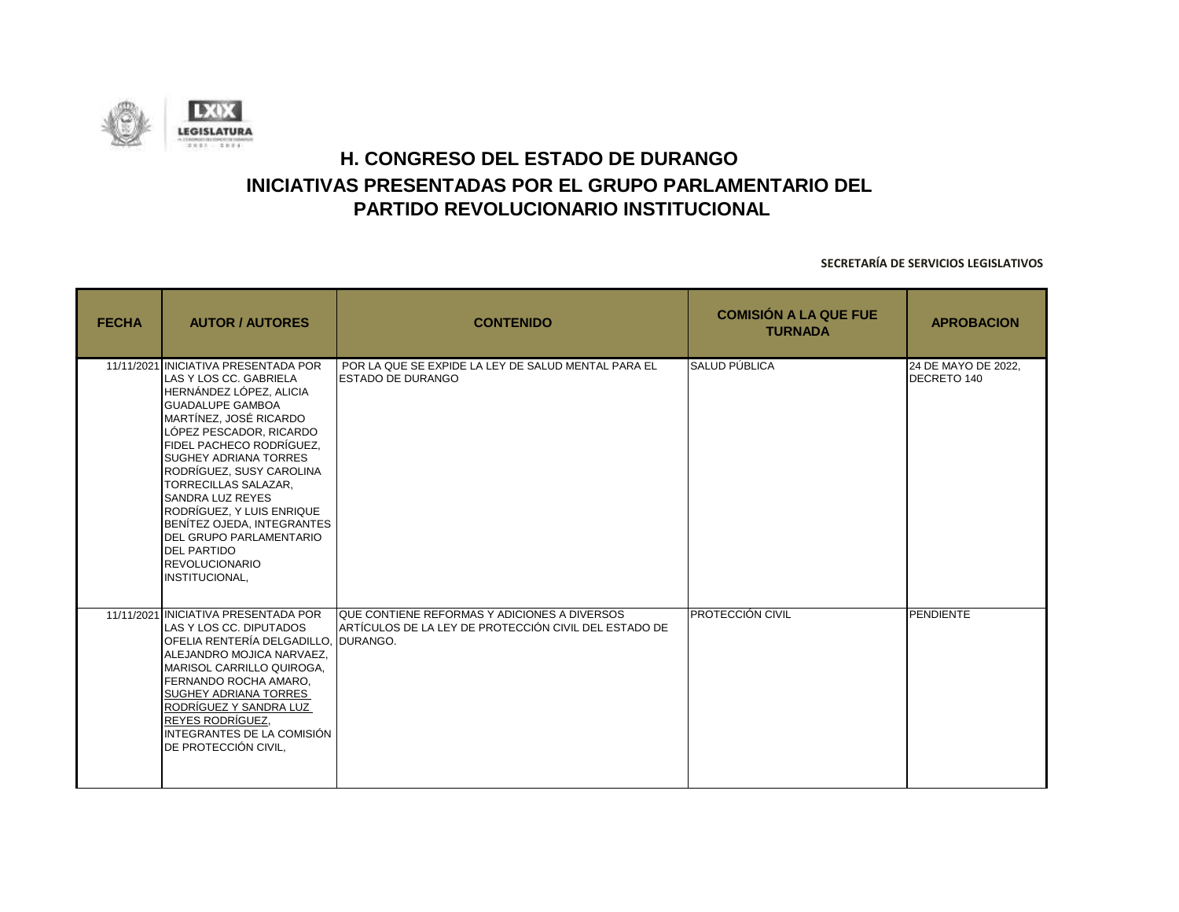![](_page_29_Picture_0.jpeg)

| <b>FECHA</b> | <b>AUTOR / AUTORES</b>                                                                                                                                                                                                                                                                                                                                                                                                                                                                           | <b>CONTENIDO</b>                                                                                                  | <b>COMISIÓN A LA QUE FUE</b><br><b>TURNADA</b> | <b>APROBACION</b>                  |
|--------------|--------------------------------------------------------------------------------------------------------------------------------------------------------------------------------------------------------------------------------------------------------------------------------------------------------------------------------------------------------------------------------------------------------------------------------------------------------------------------------------------------|-------------------------------------------------------------------------------------------------------------------|------------------------------------------------|------------------------------------|
|              | 11/11/2021 INICIATIVA PRESENTADA POR<br>LAS Y LOS CC. GABRIELA<br>HERNÁNDEZ LÓPEZ, ALICIA<br><b>GUADALUPE GAMBOA</b><br>MARTÍNEZ. JOSÉ RICARDO<br>LÓPEZ PESCADOR, RICARDO<br>FIDEL PACHECO RODRÍGUEZ,<br><b>SUGHEY ADRIANA TORRES</b><br>RODRÍGUEZ, SUSY CAROLINA<br><b>TORRECILLAS SALAZAR,</b><br><b>SANDRA LUZ REYES</b><br>RODRÍGUEZ, Y LUIS ENRIQUE<br>BENÍTEZ OJEDA, INTEGRANTES<br><b>DEL GRUPO PARLAMENTARIO</b><br><b>DEL PARTIDO</b><br><b>REVOLUCIONARIO</b><br><b>INSTITUCIONAL.</b> | POR LA QUE SE EXPIDE LA LEY DE SALUD MENTAL PARA EL<br><b>ESTADO DE DURANGO</b>                                   | SALUD PÚBLICA                                  | 24 DE MAYO DE 2022,<br>DECRETO 140 |
|              | 11/11/2021 INICIATIVA PRESENTADA POR<br>LAS Y LOS CC. DIPUTADOS<br>OFELIA RENTERÍA DELGADILLO.<br>ALEJANDRO MOJICA NARVAEZ,<br>MARISOL CARRILLO QUIROGA.<br>FERNANDO ROCHA AMARO.<br><b>SUGHEY ADRIANA TORRES</b><br>RODRÍGUEZ Y SANDRA LUZ<br>REYES RODRÍGUEZ.<br>INTEGRANTES DE LA COMISIÓN<br>DE PROTECCIÓN CIVIL,                                                                                                                                                                            | QUE CONTIENE REFORMAS Y ADICIONES A DIVERSOS<br>ARTÍCULOS DE LA LEY DE PROTECCIÓN CIVIL DEL ESTADO DE<br>DURANGO. | PROTECCIÓN CIVIL                               | <b>PENDIENTE</b>                   |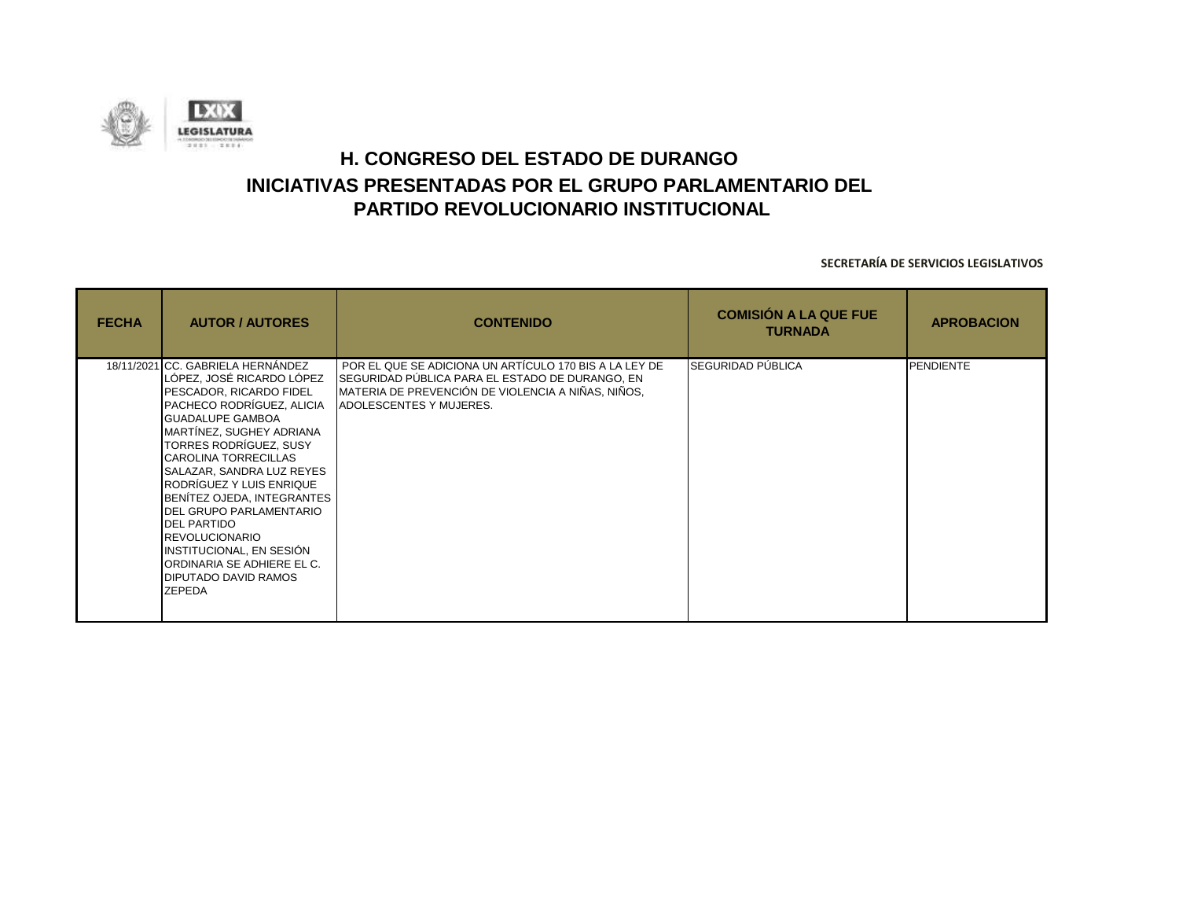![](_page_30_Picture_0.jpeg)

| <b>FECHA</b> | <b>AUTOR / AUTORES</b>                                                                                                                                                                                                                                                                                                                                                                                                                                                                                            | <b>CONTENIDO</b>                                                                                                                                                                                  | <b>COMISIÓN A LA QUE FUE</b><br><b>TURNADA</b> | <b>APROBACION</b> |
|--------------|-------------------------------------------------------------------------------------------------------------------------------------------------------------------------------------------------------------------------------------------------------------------------------------------------------------------------------------------------------------------------------------------------------------------------------------------------------------------------------------------------------------------|---------------------------------------------------------------------------------------------------------------------------------------------------------------------------------------------------|------------------------------------------------|-------------------|
|              | 18/11/2021 CC. GABRIELA HERNÁNDEZ<br>LÓPEZ, JOSÉ RICARDO LÓPEZ<br>PESCADOR, RICARDO FIDEL<br>PACHECO RODRÍGUEZ, ALICIA<br><b>GUADALUPE GAMBOA</b><br>MARTÍNEZ, SUGHEY ADRIANA<br>TORRES RODRÍGUEZ, SUSY<br><b>CAROLINA TORRECILLAS</b><br>SALAZAR, SANDRA LUZ REYES<br>RODRÍGUEZ Y LUIS ENRIQUE<br>BENITEZ OJEDA, INTEGRANTES<br>DEL GRUPO PARLAMENTARIO<br><b>DEL PARTIDO</b><br><b>REVOLUCIONARIO</b><br>INSTITUCIONAL, EN SESIÓN<br>ORDINARIA SE ADHIERE EL C.<br><b>DIPUTADO DAVID RAMOS</b><br><b>ZEPEDA</b> | POR EL QUE SE ADICIONA UN ARTÍCULO 170 BIS A LA LEY DE<br>SEGURIDAD PÚBLICA PARA EL ESTADO DE DURANGO, EN<br>MATERIA DE PREVENCIÓN DE VIOLENCIA A NIÑAS, NIÑOS,<br><b>ADOLESCENTES Y MUJERES.</b> | <b>SEGURIDAD PÚBLICA</b>                       | PENDIENTE         |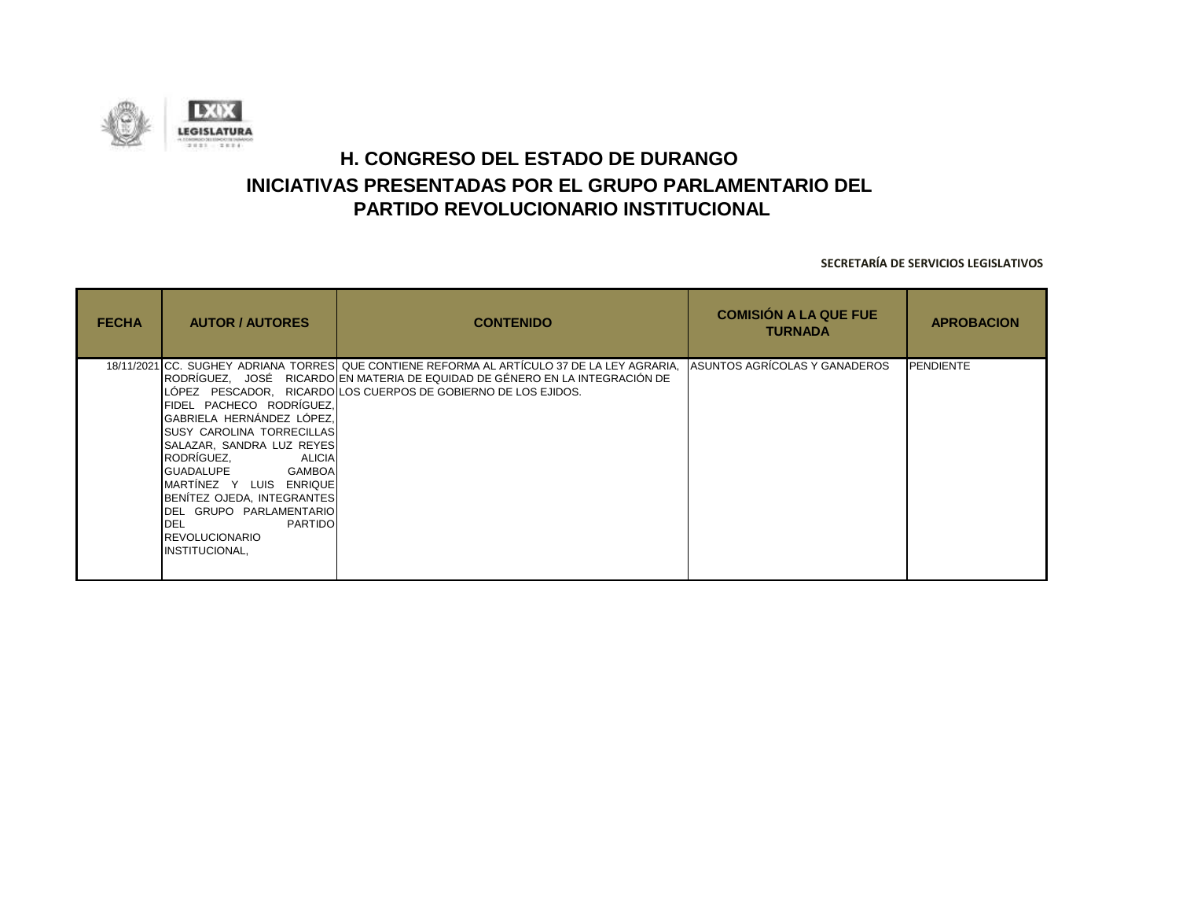![](_page_31_Picture_0.jpeg)

| <b>FECHA</b> | <b>AUTOR / AUTORES</b>                                                                                                                                                                                                                                                                                                                           | <b>CONTENIDO</b>                                                                                                                                                                                                                                      | <b>COMISIÓN A LA QUE FUE</b><br><b>TURNADA</b> | <b>APROBACION</b> |
|--------------|--------------------------------------------------------------------------------------------------------------------------------------------------------------------------------------------------------------------------------------------------------------------------------------------------------------------------------------------------|-------------------------------------------------------------------------------------------------------------------------------------------------------------------------------------------------------------------------------------------------------|------------------------------------------------|-------------------|
|              | FIDEL PACHECO RODRÍGUEZ,<br>GABRIELA HERNÁNDEZ LÓPEZ.<br><b>SUSY CAROLINA TORRECILLAS</b><br>SALAZAR, SANDRA LUZ REYES<br>RODRÍGUEZ.<br><b>ALICIA</b><br><b>IGUADALUPE</b> GAMBOA<br>MARTINEZ Y LUIS ENRIQUE<br>BENÍTEZ OJEDA, INTEGRANTES<br>DEL GRUPO PARLAMENTARIO<br><b>DEL</b><br><b>PARTIDO</b><br><b>REVOLUCIONARIO</b><br>INSTITUCIONAL, | 18/11/2021 CC. SUGHEY ADRIANA TORRES QUE CONTIENE REFORMA AL ARTÍCULO 37 DE LA LEY AGRARIA,<br>IRODRÍGUEZ.    JOSÉ    RICARDOI EN MATERIA DE EQUIDAD DE GÉNERO EN LA INTEGRACIÓN DE<br>LÓPEZ PESCADOR, RICARDO LOS CUERPOS DE GOBIERNO DE LOS EJIDOS. | ASUNTOS AGRÍCOLAS Y GANADEROS                  | <b>PENDIENTE</b>  |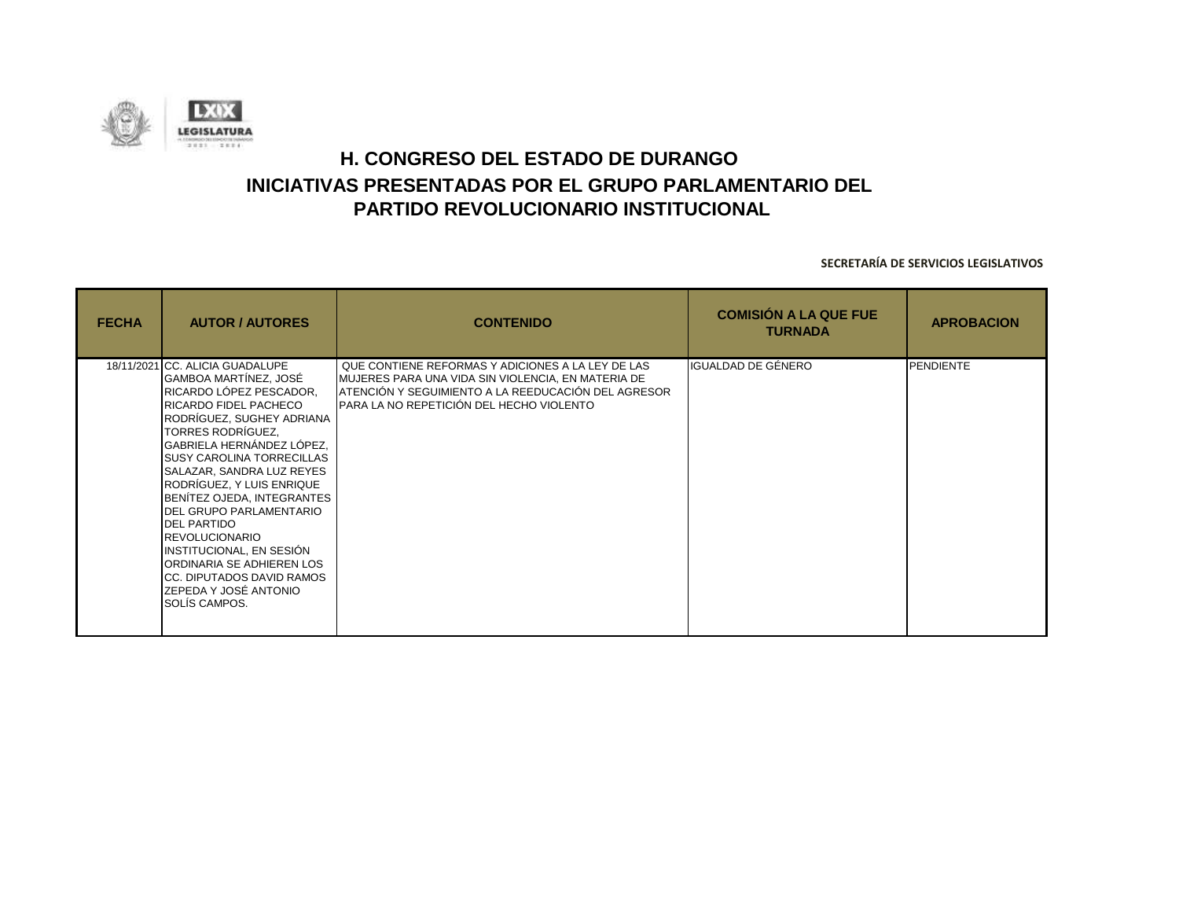![](_page_32_Picture_0.jpeg)

| <b>FECHA</b> | <b>AUTOR / AUTORES</b>                                                                                                                                                                                                                                                                                                                                                                                                                                                                                                       | <b>CONTENIDO</b>                                                                                                                                                                                           | <b>COMISIÓN A LA QUE FUE</b><br><b>TURNADA</b> | <b>APROBACION</b> |
|--------------|------------------------------------------------------------------------------------------------------------------------------------------------------------------------------------------------------------------------------------------------------------------------------------------------------------------------------------------------------------------------------------------------------------------------------------------------------------------------------------------------------------------------------|------------------------------------------------------------------------------------------------------------------------------------------------------------------------------------------------------------|------------------------------------------------|-------------------|
|              | 18/11/2021 CC. ALICIA GUADALUPE<br>GAMBOA MARTÍNEZ, JOSÉ<br>RICARDO LÓPEZ PESCADOR,<br>RICARDO FIDEL PACHECO<br>RODRÍGUEZ, SUGHEY ADRIANA<br>TORRES RODRÍGUEZ,<br>GABRIELA HERNÁNDEZ LÓPEZ,<br>SUSY CAROLINA TORRECILLAS<br>SALAZAR, SANDRA LUZ REYES<br>RODRÍGUEZ, Y LUIS ENRIQUE<br>BENITEZ OJEDA, INTEGRANTES<br>DEL GRUPO PARLAMENTARIO<br><b>DEL PARTIDO</b><br><b>REVOLUCIONARIO</b><br>INSTITUCIONAL, EN SESIÓN<br>IORDINARIA SE ADHIEREN LOS<br>ICC. DIPUTADOS DAVID RAMOS<br>ZEPEDA Y JOSÉ ANTONIO<br>SOLÍS CAMPOS. | QUE CONTIENE REFORMAS Y ADICIONES A LA LEY DE LAS<br>MUJERES PARA UNA VIDA SIN VIOLENCIA, EN MATERIA DE<br>ATENCIÓN Y SEGUIMIENTO A LA REEDUCACIÓN DEL AGRESOR<br>PARA LA NO REPETICIÓN DEL HECHO VIOLENTO | IGUALDAD DE GÉNERO                             | <b>PENDIENTE</b>  |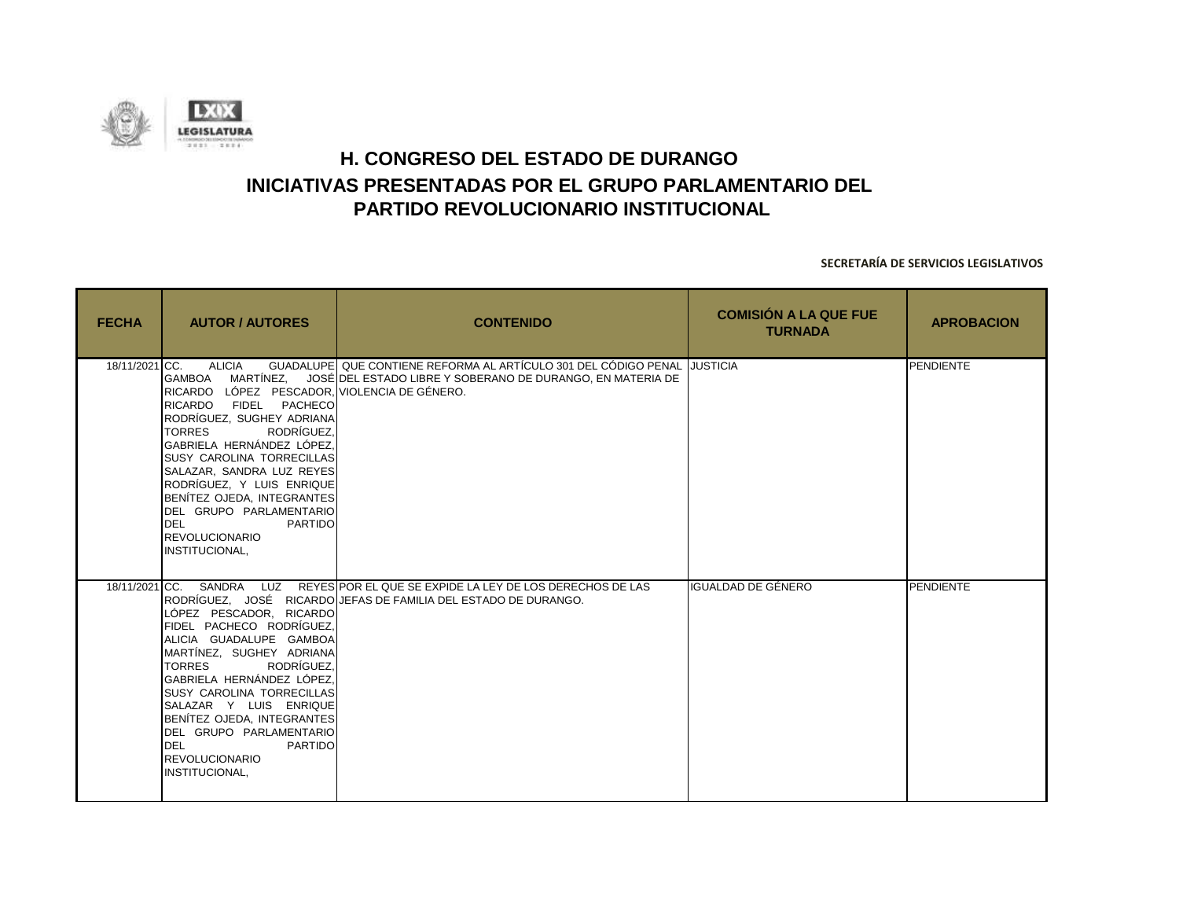![](_page_33_Picture_0.jpeg)

| <b>FECHA</b>  | <b>AUTOR / AUTORES</b>                                                                                                                                                                                                                                                                                                                                                                                                             | <b>CONTENIDO</b>                                                                                                                                 | <b>COMISIÓN A LA QUE FUE</b><br><b>TURNADA</b> | <b>APROBACION</b> |
|---------------|------------------------------------------------------------------------------------------------------------------------------------------------------------------------------------------------------------------------------------------------------------------------------------------------------------------------------------------------------------------------------------------------------------------------------------|--------------------------------------------------------------------------------------------------------------------------------------------------|------------------------------------------------|-------------------|
| 18/11/2021 CC | <b>ALICIA</b><br><b>GAMBOA</b><br>RICARDO LÓPEZ PESCADOR, VIOLENCIA DE GÉNERO.<br>RICARDO FIDEL PACHECO<br>RODRÍGUEZ, SUGHEY ADRIANA<br>RODRÍGUEZ.<br><b>TORRES</b><br>GABRIELA HERNÁNDEZ LÓPEZ.<br><b>SUSY CAROLINA TORRECILLAS</b><br>SALAZAR, SANDRA LUZ REYES<br>RODRÍGUEZ, Y LUIS ENRIQUE<br>BENITEZ OJEDA, INTEGRANTES<br>DEL GRUPO PARLAMENTARIO<br><b>DEL</b><br><b>PARTIDO</b><br><b>REVOLUCIONARIO</b><br>INSTITUCIONAL, | GUADALUPE QUE CONTIENE REFORMA AL ARTÍCULO 301 DEL CÓDIGO PENAL JUSTICIA<br>MARTÍNEZ, JOSÉ DEL ESTADO LIBRE Y SOBERANO DE DURANGO, EN MATERIA DE |                                                | PENDIENTE         |
|               | 18/11/2021 CC. SANDRA<br>LÓPEZ PESCADOR, RICARDO<br>FIDEL PACHECO RODRÍGUEZ,<br>ALICIA GUADALUPE GAMBOA<br>MARTÍNEZ, SUGHEY ADRIANA<br><b>TORRES</b><br>RODRÍGUEZ.<br>GABRIELA HERNÁNDEZ LÓPEZ.<br><b>SUSY CAROLINA TORRECILLAS</b><br>SALAZAR Y LUIS ENRIQUE<br>BENITEZ OJEDA, INTEGRANTES<br>DEL GRUPO PARLAMENTARIO<br><b>DEL</b><br><b>PARTIDO</b><br><b>REVOLUCIONARIO</b><br>INSTITUCIONAL,                                  | LUZ REYES POR EL QUE SE EXPIDE LA LEY DE LOS DERECHOS DE LAS<br>RODRÍGUEZ, JOSÉ RICARDO JEFAS DE FAMILIA DEL ESTADO DE DURANGO.                  | IGUALDAD DE GÉNERO                             | <b>PENDIENTE</b>  |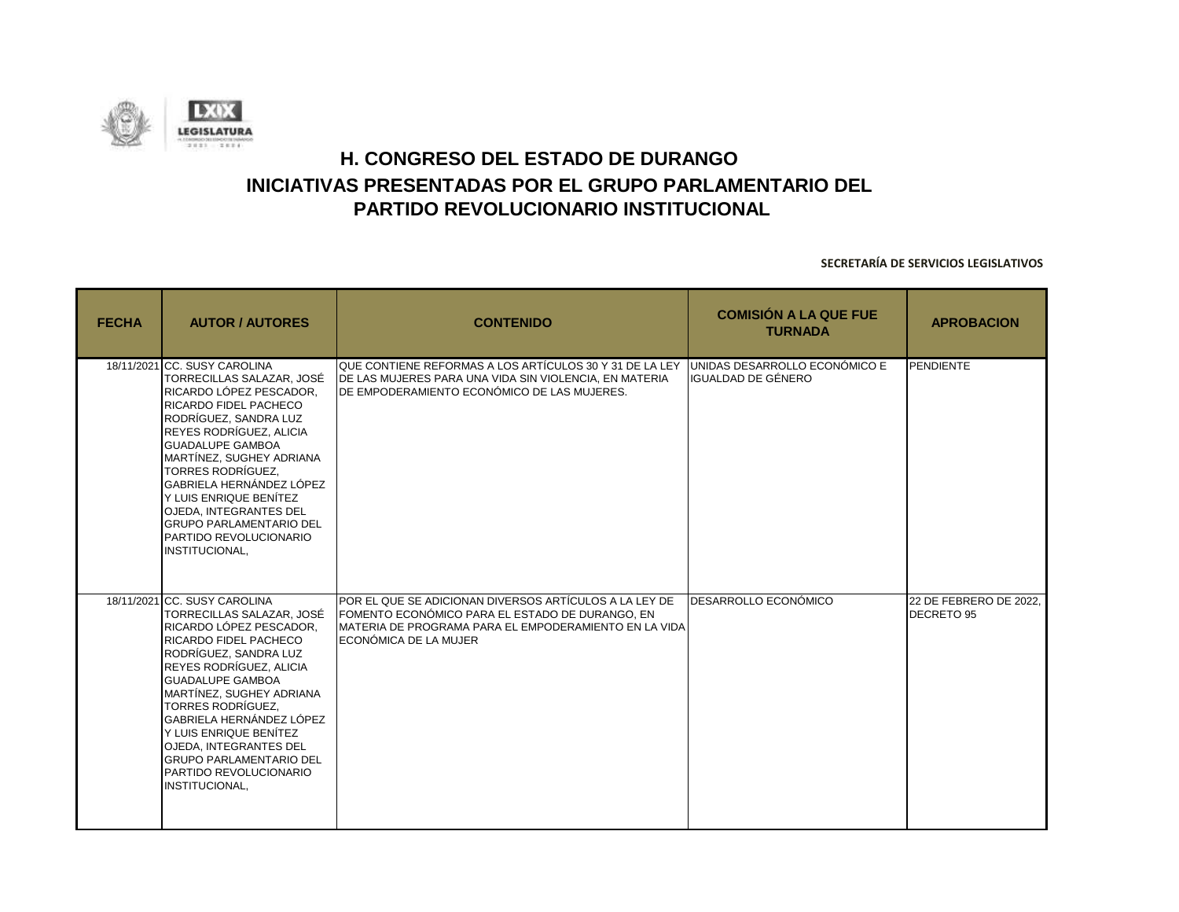![](_page_34_Picture_0.jpeg)

| <b>FECHA</b> | <b>AUTOR / AUTORES</b>                                                                                                                                                                                                                                                                                                                                                                                                    | <b>CONTENIDO</b>                                                                                                                                                                            | <b>COMISIÓN A LA QUE FUE</b><br><b>TURNADA</b>      | <b>APROBACION</b>                    |
|--------------|---------------------------------------------------------------------------------------------------------------------------------------------------------------------------------------------------------------------------------------------------------------------------------------------------------------------------------------------------------------------------------------------------------------------------|---------------------------------------------------------------------------------------------------------------------------------------------------------------------------------------------|-----------------------------------------------------|--------------------------------------|
|              | 18/11/2021 CC. SUSY CAROLINA<br>TORRECILLAS SALAZAR, JOSÉ<br>RICARDO LÓPEZ PESCADOR.<br>RICARDO FIDEL PACHECO<br>RODRÍGUEZ. SANDRA LUZ<br>REYES RODRÍGUEZ, ALICIA<br><b>GUADALUPE GAMBOA</b><br>MARTÍNEZ, SUGHEY ADRIANA<br><b>TORRES RODRÍGUEZ.</b><br>GABRIELA HERNÁNDEZ LÓPEZ<br>Y LUIS ENRIQUE BENÍTEZ<br><b>OJEDA, INTEGRANTES DEL</b><br><b>GRUPO PARLAMENTARIO DEL</b><br>PARTIDO REVOLUCIONARIO<br>INSTITUCIONAL, | QUE CONTIENE REFORMAS A LOS ARTÍCULOS 30 Y 31 DE LA LEY<br>DE LAS MUJERES PARA UNA VIDA SIN VIOLENCIA, EN MATERIA<br>IDE EMPODERAMIENTO ECONÓMICO DE LAS MUJERES.                           | UNIDAS DESARROLLO ECONÓMICO E<br>IGUALDAD DE GÉNERO | PENDIENTE                            |
|              | 18/11/2021 CC. SUSY CAROLINA<br>TORRECILLAS SALAZAR, JOSÉ<br>RICARDO LÓPEZ PESCADOR.<br>RICARDO FIDEL PACHECO<br>RODRÍGUEZ. SANDRA LUZ<br>REYES RODRÍGUEZ, ALICIA<br><b>GUADALUPE GAMBOA</b><br>MARTÍNEZ, SUGHEY ADRIANA<br><b>TORRES RODRÍGUEZ.</b><br>GABRIELA HERNÁNDEZ LÓPEZ<br>Y LUIS ENRIQUE BENÍTEZ<br><b>OJEDA. INTEGRANTES DEL</b><br><b>GRUPO PARLAMENTARIO DEL</b><br>PARTIDO REVOLUCIONARIO<br>INSTITUCIONAL, | POR EL QUE SE ADICIONAN DIVERSOS ARTÍCULOS A LA LEY DE<br>FOMENTO ECONÓMICO PARA EL ESTADO DE DURANGO. EN<br>MATERIA DE PROGRAMA PARA EL EMPODERAMIENTO EN LA VIDA<br>ECONÓMICA DE LA MUJER | <b>DESARROLLO ECONÓMICO</b>                         | 22 DE FEBRERO DE 2022,<br>DECRETO 95 |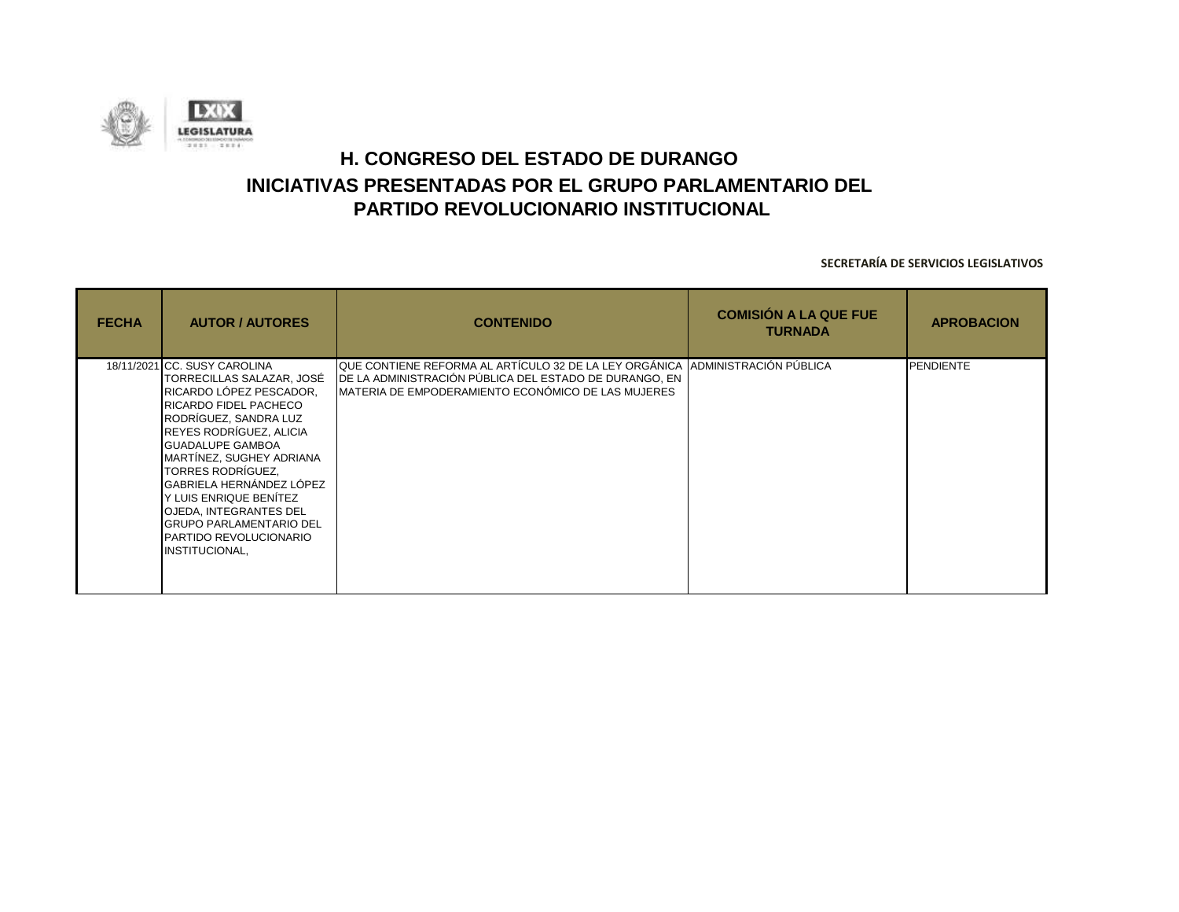![](_page_35_Picture_0.jpeg)

| <b>FECHA</b> | <b>AUTOR / AUTORES</b>                                                                                                                                                                                                                                                                                                                                                                                      | <b>CONTENIDO</b>                                                                                                                                                                                 | <b>COMISIÓN A LA QUE FUE</b><br><b>TURNADA</b> | <b>APROBACION</b> |
|--------------|-------------------------------------------------------------------------------------------------------------------------------------------------------------------------------------------------------------------------------------------------------------------------------------------------------------------------------------------------------------------------------------------------------------|--------------------------------------------------------------------------------------------------------------------------------------------------------------------------------------------------|------------------------------------------------|-------------------|
|              | 18/11/2021 CC. SUSY CAROLINA<br>TORRECILLAS SALAZAR, JOSÉ<br>RICARDO LÓPEZ PESCADOR,<br>RICARDO FIDEL PACHECO<br>RODRÍGUEZ, SANDRA LUZ<br>REYES RODRÍGUEZ, ALICIA<br><b>GUADALUPE GAMBOA</b><br>MARTÍNEZ, SUGHEY ADRIANA<br>TORRES RODRÍGUEZ,<br>GABRIELA HERNÁNDEZ LÓPEZ<br>Y LUIS ENRIQUE BENÍTEZ<br>OJEDA, INTEGRANTES DEL<br><b>GRUPO PARLAMENTARIO DEL</b><br>PARTIDO REVOLUCIONARIO<br>INSTITUCIONAL, | QUE CONTIENE REFORMA AL ARTÍCULO 32 DE LA LEY ORGÁNICA  ADMINISTRACIÓN PÚBLICA<br>DE LA ADMINISTRACIÓN PÚBLICA DEL ESTADO DE DURANGO, EN<br>IMATERIA DE EMPODERAMIENTO ECONÓMICO DE LAS MUJERES. |                                                | <b>PENDIENTE</b>  |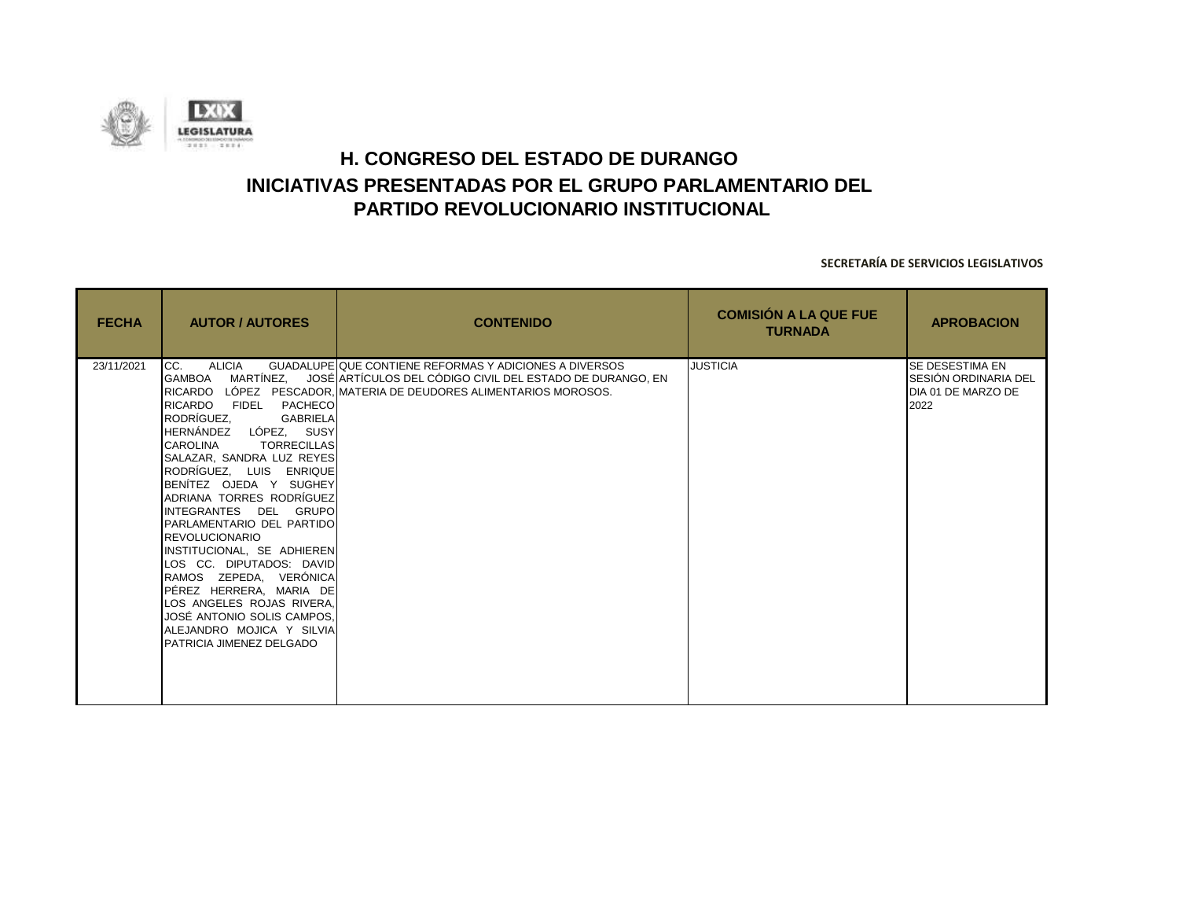![](_page_36_Picture_0.jpeg)

| <b>FECHA</b> | <b>AUTOR / AUTORES</b>                                                                                                                                                                                                                                                                                                                                                                                                                                                                                                                                                                                                                         | <b>CONTENIDO</b>                                                                                                                                                                           | <b>COMISIÓN A LA QUE FUE</b><br><b>TURNADA</b> | <b>APROBACION</b>                                                            |
|--------------|------------------------------------------------------------------------------------------------------------------------------------------------------------------------------------------------------------------------------------------------------------------------------------------------------------------------------------------------------------------------------------------------------------------------------------------------------------------------------------------------------------------------------------------------------------------------------------------------------------------------------------------------|--------------------------------------------------------------------------------------------------------------------------------------------------------------------------------------------|------------------------------------------------|------------------------------------------------------------------------------|
| 23/11/2021   | <b>ALICIA</b><br>CC.<br>MARTÍNEZ.<br><b>GAMBOA</b><br><b>RICARDO</b><br>FIDEL PACHECO<br>RODRÍGUEZ.<br><b>GABRIELA</b><br>HERNÁNDEZ LÓPEZ, SUSY<br><b>CAROLINA</b><br><b>TORRECILLAS</b><br><b>SALAZAR, SANDRA LUZ REYES</b><br>RODRÍGUEZ, LUIS ENRIQUE<br>BENITEZ OJEDA Y SUGHEY<br>ADRIANA TORRES RODRÍGUEZ<br>IINTEGRANTES DEL GRUPO<br><b>PARLAMENTARIO DEL PARTIDO</b><br><b>REVOLUCIONARIO</b><br>INSTITUCIONAL, SE ADHIEREN<br>LOS CC. DIPUTADOS: DAVID<br>RAMOS ZEPEDA, VERÓNICA<br>PÉREZ HERRERA, MARIA DE<br>LOS ANGELES ROJAS RIVERA,<br>JOSÉ ANTONIO SOLIS CAMPOS,<br>ALEJANDRO MOJICA Y SILVIA<br><b>PATRICIA JIMENEZ DELGADO</b> | GUADALUPE QUE CONTIENE REFORMAS Y ADICIONES A DIVERSOS<br>JOSÉ ARTÍCULOS DEL CÓDIGO CIVIL DEL ESTADO DE DURANGO, EN<br>IRICARDO LÓPEZ PESCADOR. IMATERIA DE DEUDORES ALIMENTARIOS MOROSOS. | <b>JUSTICIA</b>                                | <b>SE DESESTIMA EN</b><br>SESIÓN ORDINARIA DEL<br>DIA 01 DE MARZO DE<br>2022 |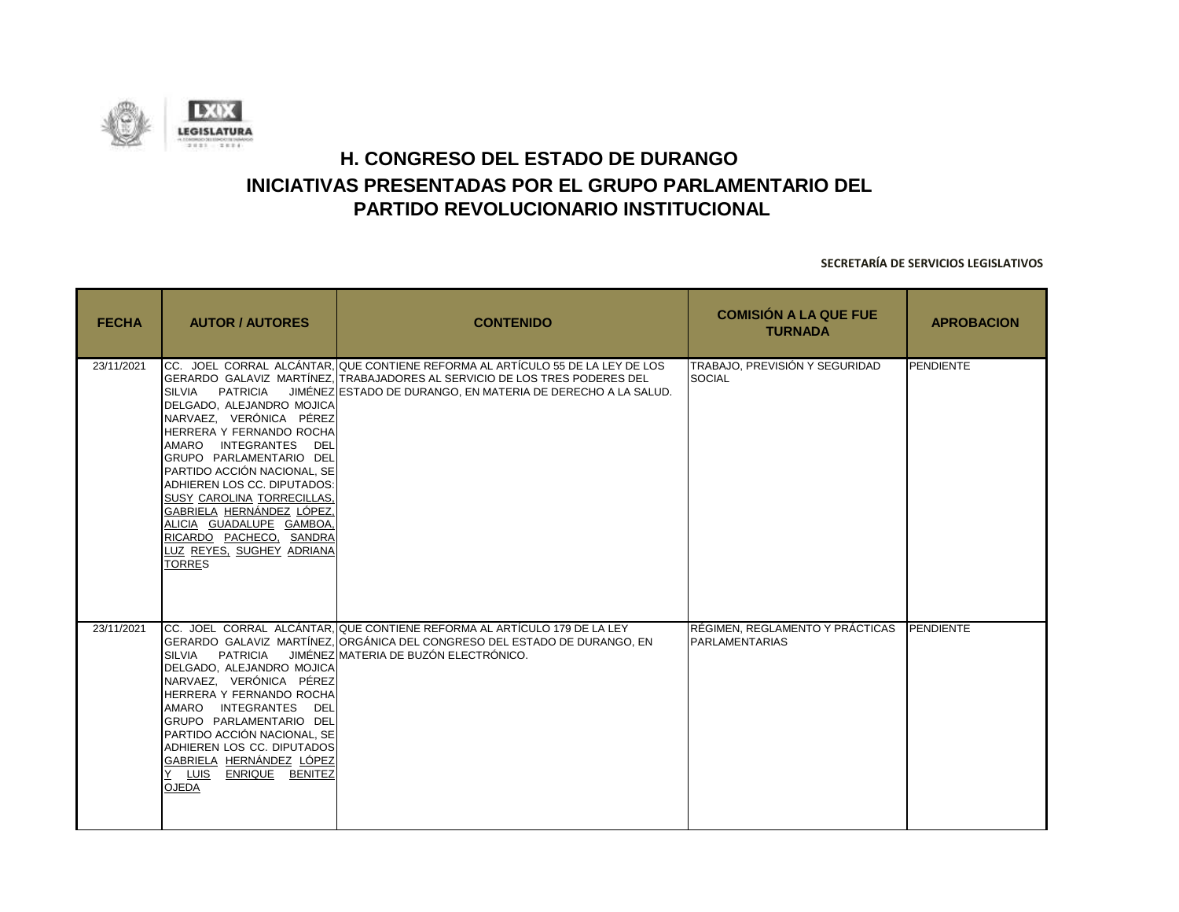![](_page_37_Picture_0.jpeg)

| <b>FECHA</b> | <b>AUTOR / AUTORES</b>                                                                                                                                                                                                                                                                                                                                                            | <b>CONTENIDO</b>                                                                                                                                                                                                             | <b>COMISIÓN A LA QUE FUE</b><br><b>TURNADA</b>           | <b>APROBACION</b> |
|--------------|-----------------------------------------------------------------------------------------------------------------------------------------------------------------------------------------------------------------------------------------------------------------------------------------------------------------------------------------------------------------------------------|------------------------------------------------------------------------------------------------------------------------------------------------------------------------------------------------------------------------------|----------------------------------------------------------|-------------------|
| 23/11/2021   | PATRICIA<br>SILVIA<br>DELGADO, ALEJANDRO MOJICA<br>NARVAEZ, VERÓNICA PÉREZ<br>HERRERA Y FERNANDO ROCHA<br>AMARO INTEGRANTES DEL<br>GRUPO PARLAMENTARIO DEL<br>PARTIDO ACCIÓN NACIONAL, SE<br>ADHIEREN LOS CC. DIPUTADOS:<br>SUSY CAROLINA TORRECILLAS.<br>GABRIELA HERNÁNDEZ LÓPEZ,<br>ALICIA GUADALUPE GAMBOA,<br>RICARDO PACHECO, SANDRA<br>LUZ REYES, SUGHEY ADRIANA<br>TORRES | CC. JOEL CORRAL ALCÁNTAR, QUE CONTIENE REFORMA AL ARTÍCULO 55 DE LA LEY DE LOS<br>GERARDO GALAVIZ MARTÍNEZ, TRABAJADORES AL SERVICIO DE LOS TRES PODERES DEL<br>JIMÉNEZ ESTADO DE DURANGO, EN MATERIA DE DERECHO A LA SALUD. | TRABAJO. PREVISIÓN Y SEGURIDAD<br><b>SOCIAL</b>          | PENDIENTE         |
| 23/11/2021   | SILVIA PATRICIA<br>DELGADO, ALEJANDRO MOJICA<br>NARVAEZ, VERÓNICA PÉREZ<br>HERRERA Y FERNANDO ROCHA<br>AMARO INTEGRANTES DEL<br>GRUPO PARLAMENTARIO DEL<br>PARTIDO ACCIÓN NACIONAL, SE<br>ADHIEREN LOS CC. DIPUTADOS<br>GABRIELA HERNÁNDEZ LÓPEZ<br>Y LUIS ENRIQUE BENITEZ<br><b>OJEDA</b>                                                                                        | CC. JOEL CORRAL ALCÁNTAR. QUE CONTIENE REFORMA AL ARTÍCULO 179 DE LA LEY<br>GERARDO GALAVIZ MARTÍNEZ, ORGÁNICA DEL CONGRESO DEL ESTADO DE DURANGO, EN<br>JIMÉNEZ MATERIA DE BUZÓN ELECTRÓNICO.                               | RÉGIMEN, REGLAMENTO Y PRÁCTICAS<br><b>PARLAMENTARIAS</b> | <b>PENDIENTE</b>  |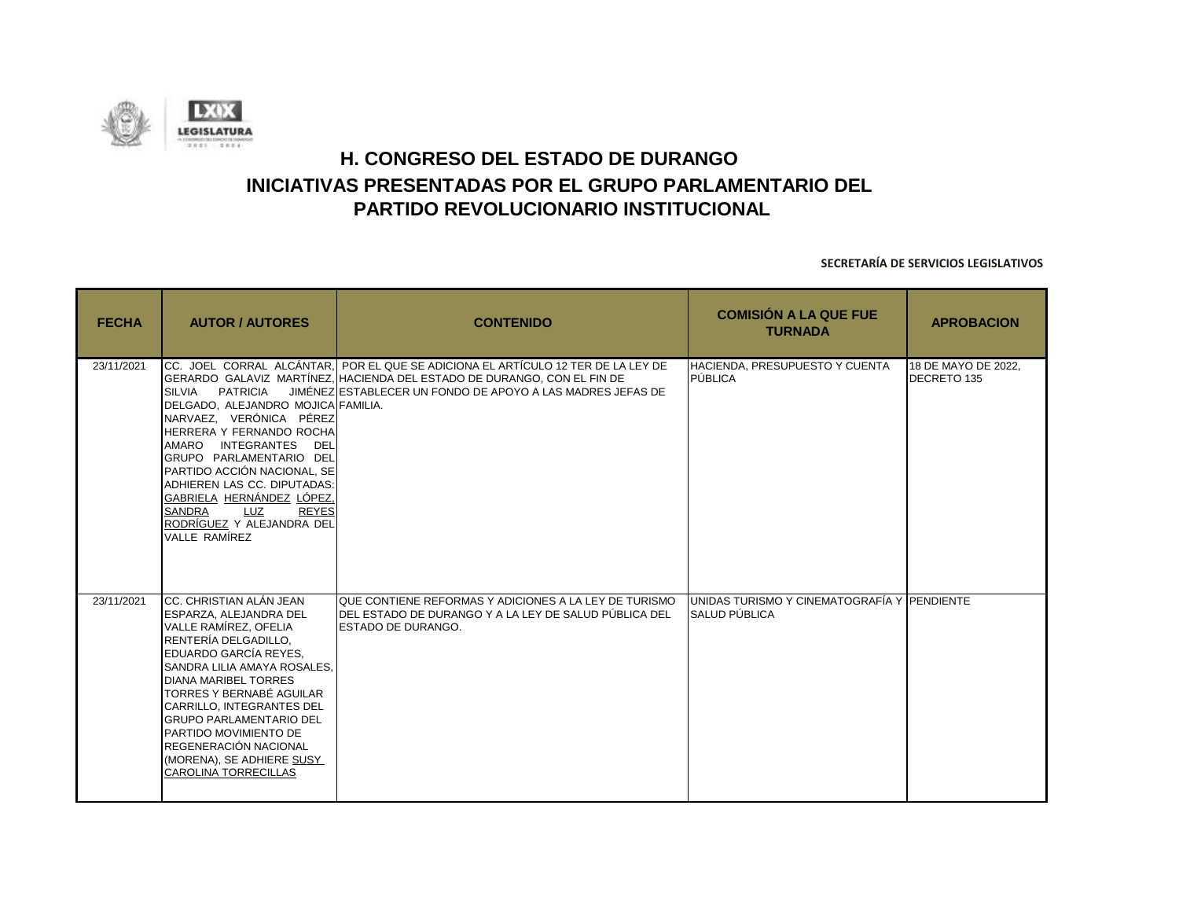![](_page_38_Picture_0.jpeg)

| <b>FECHA</b> | <b>AUTOR / AUTORES</b>                                                                                                                                                                                                                                                                                                                                                                                     | <b>CONTENIDO</b>                                                                                                                                                                                                           | <b>COMISIÓN A LA QUE FUE</b><br><b>TURNADA</b>                               | <b>APROBACION</b>                  |
|--------------|------------------------------------------------------------------------------------------------------------------------------------------------------------------------------------------------------------------------------------------------------------------------------------------------------------------------------------------------------------------------------------------------------------|----------------------------------------------------------------------------------------------------------------------------------------------------------------------------------------------------------------------------|------------------------------------------------------------------------------|------------------------------------|
| 23/11/2021   | <b>SILVIA</b><br>PATRICIA<br>DELGADO. ALEJANDRO MOJICA FAMILIA.<br>NARVAEZ, VERÓNICA PÉREZ<br>HERRERA Y FERNANDO ROCHA<br>AMARO INTEGRANTES<br>DEL<br>GRUPO PARLAMENTARIO DEL<br>PARTIDO ACCIÓN NACIONAL. SE<br>ADHIEREN LAS CC. DIPUTADAS:<br>GABRIELA HERNÁNDEZ LÓPEZ,<br><b>SANDRA</b><br><b>LUZ</b><br><b>REYES</b><br>RODRÍGUEZ Y ALEJANDRA DEL<br>VALLE RAMÍREZ                                      | ICC. JOEL CORRAL ALCÁNTAR. POR EL QUE SE ADICIONA EL ARTÍCULO 12 TER DE LA LEY DE<br>GERARDO GALAVIZ MARTÍNEZ. HACIENDA DEL ESTADO DE DURANGO, CON EL FIN DE<br>JIMÉNEZ ESTABLECER UN FONDO DE APOYO A LAS MADRES JEFAS DE | <b>HACIENDA, PRESUPUESTO Y CUENTA</b><br>PÚBLICA                             | 18 DE MAYO DE 2022.<br>DECRETO 135 |
| 23/11/2021   | ICC. CHRISTIAN ALÁN JEAN<br>ESPARZA, ALEJANDRA DEL<br>VALLE RAMÍREZ, OFELIA<br>RENTERÍA DELGADILLO.<br>EDUARDO GARCÍA REYES.<br>SANDRA LILIA AMAYA ROSALES.<br><b>DIANA MARIBEL TORRES</b><br>TORRES Y BERNABÉ AGUILAR<br><b>CARRILLO. INTEGRANTES DEL</b><br><b>GRUPO PARLAMENTARIO DEL</b><br>PARTIDO MOVIMIENTO DE<br>REGENERACIÓN NACIONAL<br>(MORENA), SE ADHIERE SUSY<br><b>CAROLINA TORRECILLAS</b> | QUE CONTIENE REFORMAS Y ADICIONES A LA LEY DE TURISMO<br>IDEL ESTADO DE DURANGO Y A LA LEY DE SALUD PÚBLICA DEL<br><b>ESTADO DE DURANGO.</b>                                                                               | <b>IUNIDAS TURISMO Y CINEMATOGRAFÍA Y IPENDIENTE</b><br><b>SALUD PÚBLICA</b> |                                    |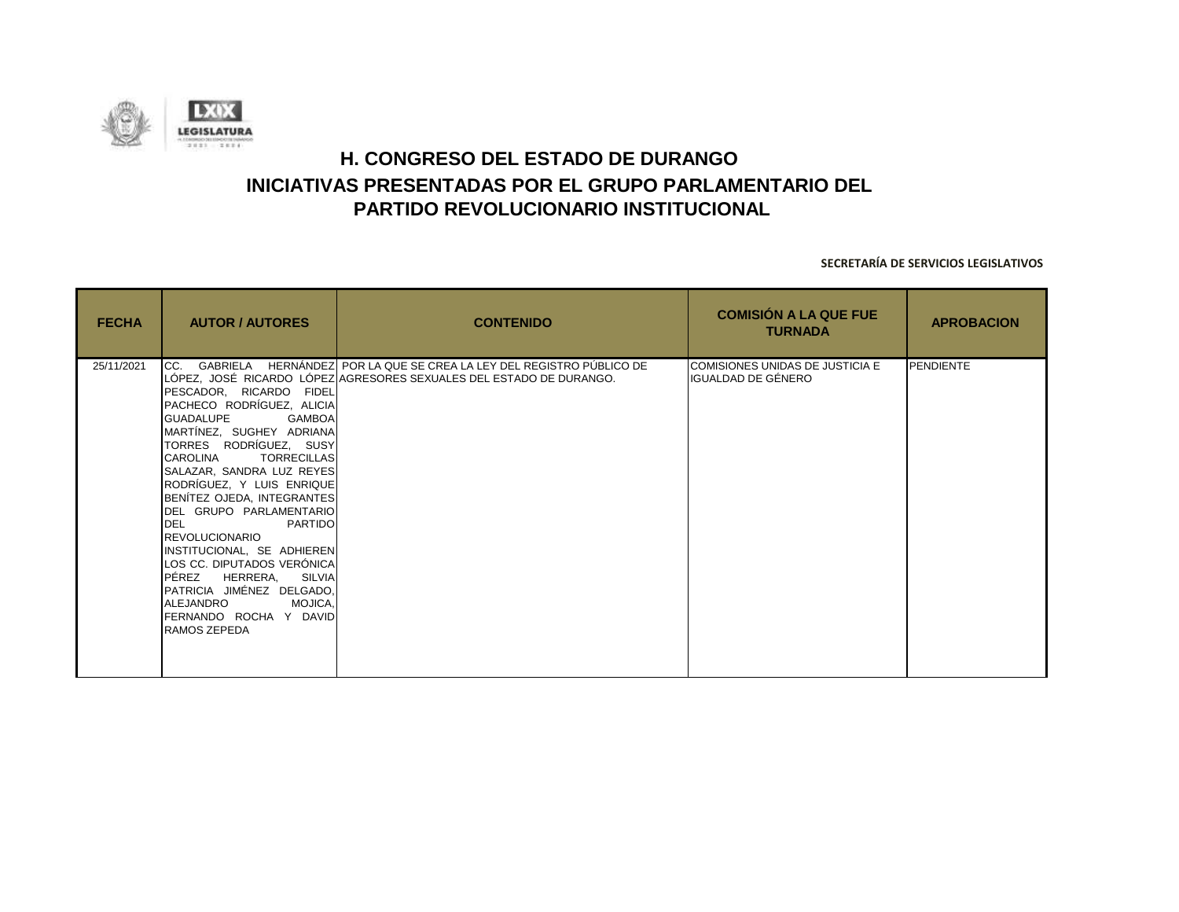![](_page_39_Picture_0.jpeg)

| <b>FECHA</b> | <b>AUTOR / AUTORES</b>                                                                                                                                                                                                                                                                                                                                                                                                                                                                                       | <b>CONTENIDO</b>                                                                                                                                | <b>COMISIÓN A LA QUE FUE</b><br><b>TURNADA</b>        | <b>APROBACION</b> |
|--------------|--------------------------------------------------------------------------------------------------------------------------------------------------------------------------------------------------------------------------------------------------------------------------------------------------------------------------------------------------------------------------------------------------------------------------------------------------------------------------------------------------------------|-------------------------------------------------------------------------------------------------------------------------------------------------|-------------------------------------------------------|-------------------|
| 25/11/2021   | PESCADOR, RICARDO FIDEL<br>PACHECO RODRÍGUEZ, ALICIA<br><b>GUADALUPE</b><br><b>GAMBOA</b><br>MARTÍNEZ, SUGHEY ADRIANA<br>TORRES RODRÍGUEZ, SUSY<br>CAROLINA TORRECILLAS<br>SALAZAR, SANDRA LUZ REYES<br>RODRÍGUEZ, Y LUIS ENRIQUE<br>BENÍTEZ OJEDA, INTEGRANTES<br>DEL GRUPO PARLAMENTARIO<br>DEL PARTIDO<br>REVOLUCIONARIO<br>INSTITUCIONAL, SE ADHIEREN<br>LOS CC. DIPUTADOS VERÓNICA<br>PÉREZ HERRERA, SILVIA<br>PATRICIA JIMÉNEZ DELGADO,<br>ALEJANDRO MOJICA,<br>FERNANDO ROCHA Y DAVID<br>RAMOS ZEPEDA | CC. GABRIELA HERNÁNDEZ POR LA QUE SE CREA LA LEY DEL REGISTRO PÚBLICO DE<br>LÓPEZ, JOSÉ RICARDO LÓPEZ AGRESORES SEXUALES DEL ESTADO DE DURANGO. | COMISIONES UNIDAS DE JUSTICIA E<br>IGUALDAD DE GÉNERO | <b>PENDIENTE</b>  |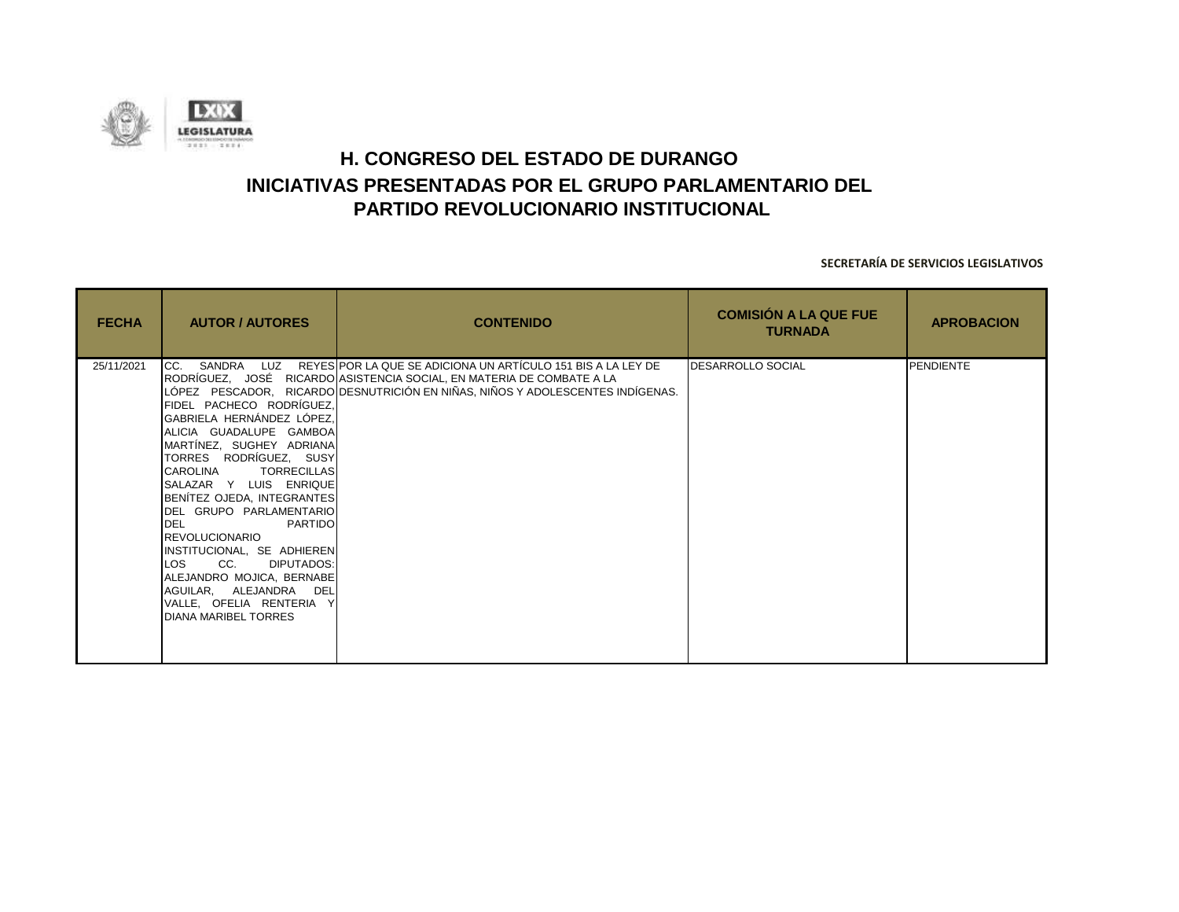![](_page_40_Picture_0.jpeg)

| <b>FECHA</b> | <b>AUTOR / AUTORES</b>                                                                                                                                                                                                                                                                                                                                                                                                                                                                    | <b>CONTENIDO</b>                                                                                                                                                                                                                       | <b>COMISIÓN A LA QUE FUE</b><br><b>TURNADA</b> | <b>APROBACION</b> |
|--------------|-------------------------------------------------------------------------------------------------------------------------------------------------------------------------------------------------------------------------------------------------------------------------------------------------------------------------------------------------------------------------------------------------------------------------------------------------------------------------------------------|----------------------------------------------------------------------------------------------------------------------------------------------------------------------------------------------------------------------------------------|------------------------------------------------|-------------------|
| 25/11/2021   | FIDEL PACHECO RODRÍGUEZ.<br>GABRIELA HERNÁNDEZ LÓPEZ,<br>ALICIA GUADALUPE GAMBOA<br>MARTÍNEZ, SUGHEY ADRIANA<br>TORRES RODRÍGUEZ, SUSY<br>CAROLINA<br><b>TORRECILLAS</b><br>SALAZAR Y LUIS ENRIQUE<br>BENÍTEZ OJEDA, INTEGRANTES<br>DEL GRUPO PARLAMENTARIO<br><b>DEL</b><br>PARTIDO<br><b>REVOLUCIONARIO</b><br>INSTITUCIONAL, SE ADHIEREN<br>DIPUTADOS:<br>LOS<br>CC.<br>ALEJANDRO MOJICA, BERNABE<br>AGUILAR, ALEJANDRA DEL<br>VALLE, OFELIA RENTERIA Y<br><b>DIANA MARIBEL TORRES</b> | CC. SANDRA LUZ REYES POR LA QUE SE ADICIONA UN ARTÍCULO 151 BIS A LA LEY DE<br>RODRÍGUEZ, JOSÉ RICARDO ASISTENCIA SOCIAL, EN MATERIA DE COMBATE A LA<br>LÓPEZ PESCADOR, RICARDO DESNUTRICIÓN EN NIÑAS, NIÑOS Y ADOLESCENTES INDÍGENAS. | <b>DESARROLLO SOCIAL</b>                       | <b>PENDIENTE</b>  |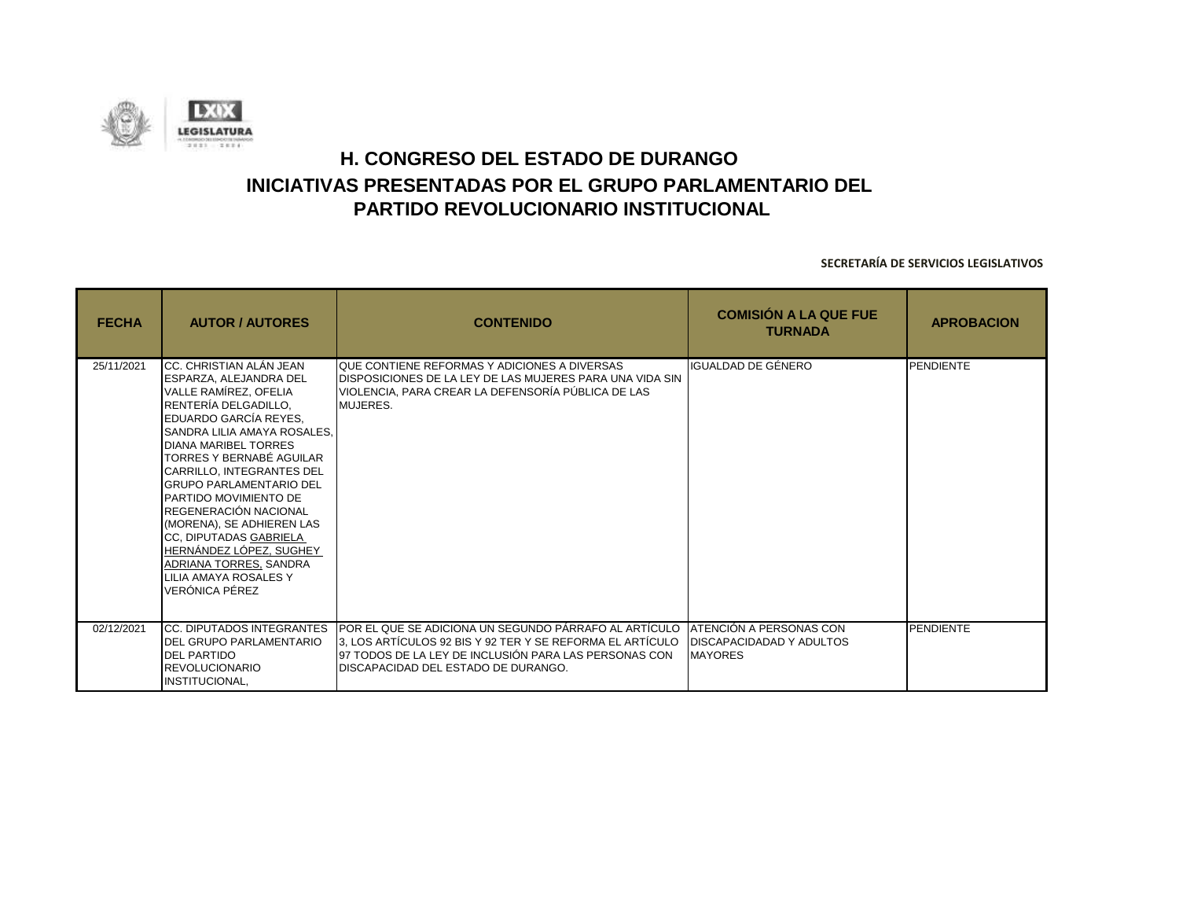![](_page_41_Picture_0.jpeg)

| <b>FECHA</b> | <b>AUTOR / AUTORES</b>                                                                                                                                                                                                                                                                                                                                                                                                                                                                        | <b>CONTENIDO</b>                                                                                                                                                                                                           | <b>COMISIÓN A LA QUE FUE</b><br><b>TURNADA</b>                               | <b>APROBACION</b> |
|--------------|-----------------------------------------------------------------------------------------------------------------------------------------------------------------------------------------------------------------------------------------------------------------------------------------------------------------------------------------------------------------------------------------------------------------------------------------------------------------------------------------------|----------------------------------------------------------------------------------------------------------------------------------------------------------------------------------------------------------------------------|------------------------------------------------------------------------------|-------------------|
| 25/11/2021   | CC. CHRISTIAN ALÁN JEAN<br>ESPARZA, ALEJANDRA DEL<br>VALLE RAMÍREZ, OFELIA<br>RENTERÍA DELGADILLO,<br>EDUARDO GARCÍA REYES,<br>SANDRA LILIA AMAYA ROSALES.<br><b>DIANA MARIBEL TORRES</b><br>TORRES Y BERNABÉ AGUILAR<br>CARRILLO, INTEGRANTES DEL<br><b>GRUPO PARLAMENTARIO DEL</b><br>PARTIDO MOVIMIENTO DE<br>REGENERACIÓN NACIONAL<br>(MORENA), SE ADHIEREN LAS<br>CC, DIPUTADAS GABRIELA<br>HERNÁNDEZ LÓPEZ, SUGHEY<br>ADRIANA TORRES, SANDRA<br>LILIA AMAYA ROSALES Y<br>VERÓNICA PÉREZ | QUE CONTIENE REFORMAS Y ADICIONES A DIVERSAS<br>DISPOSICIONES DE LA LEY DE LAS MUJERES PARA UNA VIDA SIN<br>VIOLENCIA, PARA CREAR LA DEFENSORÍA PÚBLICA DE LAS<br>MUJERES.                                                 | IGUALDAD DE GÉNERO                                                           | <b>PENDIENTE</b>  |
| 02/12/2021   | <b>CC. DIPUTADOS INTEGRANTES</b><br><b>DEL GRUPO PARLAMENTARIO</b><br><b>DEL PARTIDO</b><br><b>REVOLUCIONARIO</b><br>INSTITUCIONAL,                                                                                                                                                                                                                                                                                                                                                           | POR EL QUE SE ADICIONA UN SEGUNDO PÁRRAFO AL ARTÍCULO<br><u>I3. LOS ARTÍCULOS 92 BIS Y 92 TER Y SE REFORMA EL ARTÍCULO</u><br>97 TODOS DE LA LEY DE INCLUSIÓN PARA LAS PERSONAS CON<br>DISCAPACIDAD DEL ESTADO DE DURANGO. | ATENCIÓN A PERSONAS CON<br><b>DISCAPACIDADAD Y ADULTOS</b><br><b>MAYORES</b> | <b>PENDIENTE</b>  |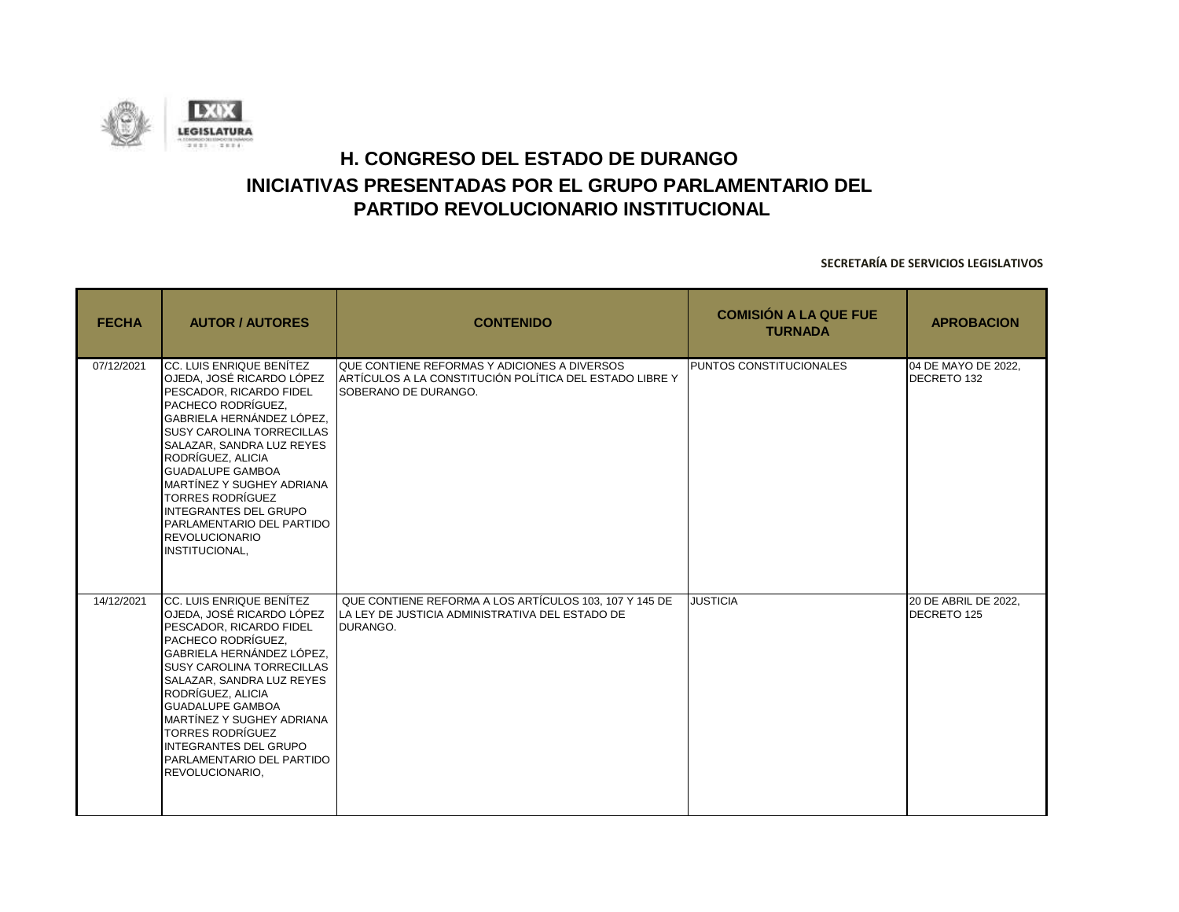![](_page_42_Picture_0.jpeg)

| <b>FECHA</b> | <b>AUTOR / AUTORES</b>                                                                                                                                                                                                                                                                                                                                                                                                 | <b>CONTENIDO</b>                                                                                                                | <b>COMISIÓN A LA QUE FUE</b><br><b>TURNADA</b> | <b>APROBACION</b>                   |
|--------------|------------------------------------------------------------------------------------------------------------------------------------------------------------------------------------------------------------------------------------------------------------------------------------------------------------------------------------------------------------------------------------------------------------------------|---------------------------------------------------------------------------------------------------------------------------------|------------------------------------------------|-------------------------------------|
| 07/12/2021   | CC. LUIS ENRIQUE BENÍTEZ<br>OJEDA, JOSÉ RICARDO LÓPEZ<br>PESCADOR, RICARDO FIDEL<br>PACHECO RODRÍGUEZ.<br>lGABRIELA HERNÁNDEZ LÓPEZ.<br><b>ISUSY CAROLINA TORRECILLAS</b><br>SALAZAR, SANDRA LUZ REYES<br>RODRÍGUEZ, ALICIA<br><b>GUADALUPE GAMBOA</b><br>MARTÍNEZ Y SUGHEY ADRIANA<br><b>TORRES RODRÍGUEZ</b><br>INTEGRANTES DEL GRUPO<br>PARLAMENTARIO DEL PARTIDO<br><b>REVOLUCIONARIO</b><br><b>INSTITUCIONAL.</b> | QUE CONTIENE REFORMAS Y ADICIONES A DIVERSOS<br>ARTÍCULOS A LA CONSTITUCIÓN POLÍTICA DEL ESTADO LIBRE Y<br>SOBERANO DE DURANGO. | <b>PUNTOS CONSTITUCIONALES</b>                 | 04 DE MAYO DE 2022,<br>DECRETO 132  |
| 14/12/2021   | CC. LUIS ENRIQUE BENÍTEZ<br>OJEDA, JOSÉ RICARDO LÓPEZ<br>PESCADOR. RICARDO FIDEL<br>PACHECO RODRÍGUEZ,<br>GABRIELA HERNÁNDEZ LÓPEZ,<br><b>SUSY CAROLINA TORRECILLAS</b><br>SALAZAR, SANDRA LUZ REYES<br>RODRÍGUEZ, ALICIA<br><b>GUADALUPE GAMBOA</b><br>MARTÍNEZ Y SUGHEY ADRIANA<br><b>TORRES RODRÍGUEZ</b><br>INTEGRANTES DEL GRUPO<br><b>PARLAMENTARIO DEL PARTIDO</b><br>REVOLUCIONARIO,                           | QUE CONTIENE REFORMA A LOS ARTÍCULOS 103, 107 Y 145 DE<br>LA LEY DE JUSTICIA ADMINISTRATIVA DEL ESTADO DE<br>DURANGO.           | <b>JUSTICIA</b>                                | 20 DE ABRIL DE 2022,<br>DECRETO 125 |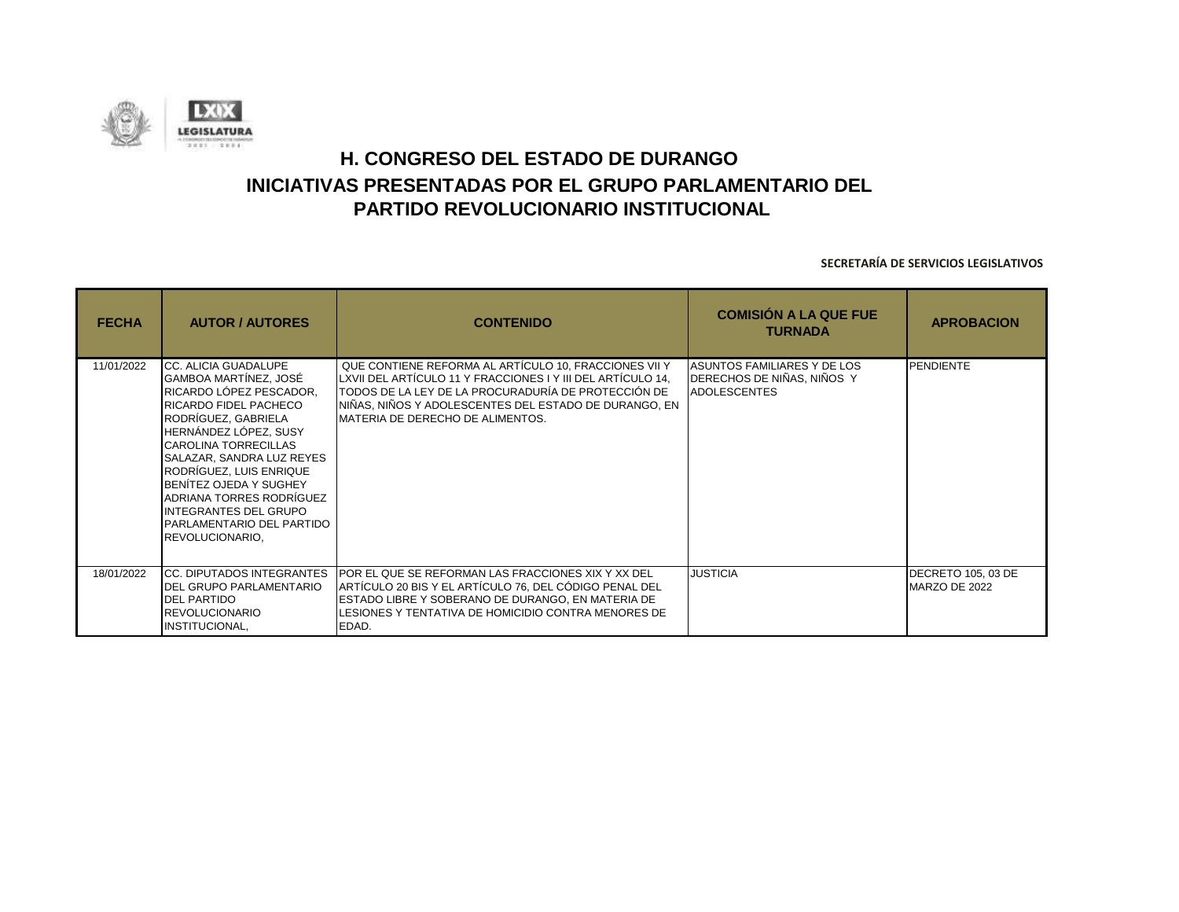![](_page_43_Picture_0.jpeg)

| <b>FECHA</b> | <b>AUTOR / AUTORES</b>                                                                                                                                                                                                                                                                                                                                                          | <b>CONTENIDO</b>                                                                                                                                                                                                                                                          | <b>COMISIÓN A LA QUE FUE</b><br><b>TURNADA</b>                                   | <b>APROBACION</b>                          |
|--------------|---------------------------------------------------------------------------------------------------------------------------------------------------------------------------------------------------------------------------------------------------------------------------------------------------------------------------------------------------------------------------------|---------------------------------------------------------------------------------------------------------------------------------------------------------------------------------------------------------------------------------------------------------------------------|----------------------------------------------------------------------------------|--------------------------------------------|
| 11/01/2022   | CC. ALICIA GUADALUPE<br>GAMBOA MARTÍNEZ, JOSÉ<br>RICARDO LÓPEZ PESCADOR,<br>RICARDO FIDEL PACHECO<br>RODRÍGUEZ, GABRIELA<br>HERNÁNDEZ LÓPEZ, SUSY<br><b>CAROLINA TORRECILLAS</b><br>SALAZAR, SANDRA LUZ REYES<br>RODRÍGUEZ, LUIS ENRIQUE<br><b>IBENÍTEZ OJEDA Y SUGHEY</b><br>ADRIANA TORRES RODRÍGUEZ<br>INTEGRANTES DEL GRUPO<br>PARLAMENTARIO DEL PARTIDO<br>REVOLUCIONARIO, | QUE CONTIENE REFORMA AL ARTÍCULO 10, FRACCIONES VII Y<br>LXVII DEL ARTÍCULO 11 Y FRACCIONES I Y III DEL ARTÍCULO 14,<br>TODOS DE LA LEY DE LA PROCURADURÍA DE PROTECCIÓN DE<br>NIÑAS, NIÑOS Y ADOLESCENTES DEL ESTADO DE DURANGO, EN<br>IMATERIA DE DERECHO DE ALIMENTOS. | ASUNTOS FAMILIARES Y DE LOS<br>DERECHOS DE NIÑAS, NIÑOS Y<br><b>ADOLESCENTES</b> | <b>PENDIENTE</b>                           |
| 18/01/2022   | <b>ICC. DIPUTADOS INTEGRANTES</b><br><b>IDEL GRUPO PARLAMENTARIO</b><br><b>DEL PARTIDO</b><br><b>IREVOLUCIONARIO</b><br><b>INSTITUCIONAL,</b>                                                                                                                                                                                                                                   | <b>POR EL QUE SE REFORMAN LAS FRACCIONES XIX Y XX DEL</b><br>ARTÍCULO 20 BIS Y EL ARTÍCULO 76, DEL CÓDIGO PENAL DEL<br>ESTADO LIBRE Y SOBERANO DE DURANGO, EN MATERIA DE<br>LESIONES Y TENTATIVA DE HOMICIDIO CONTRA MENORES DE<br>EDAD.                                  | <b>JUSTICIA</b>                                                                  | <b>DECRETO 105, 03 DE</b><br>MARZO DE 2022 |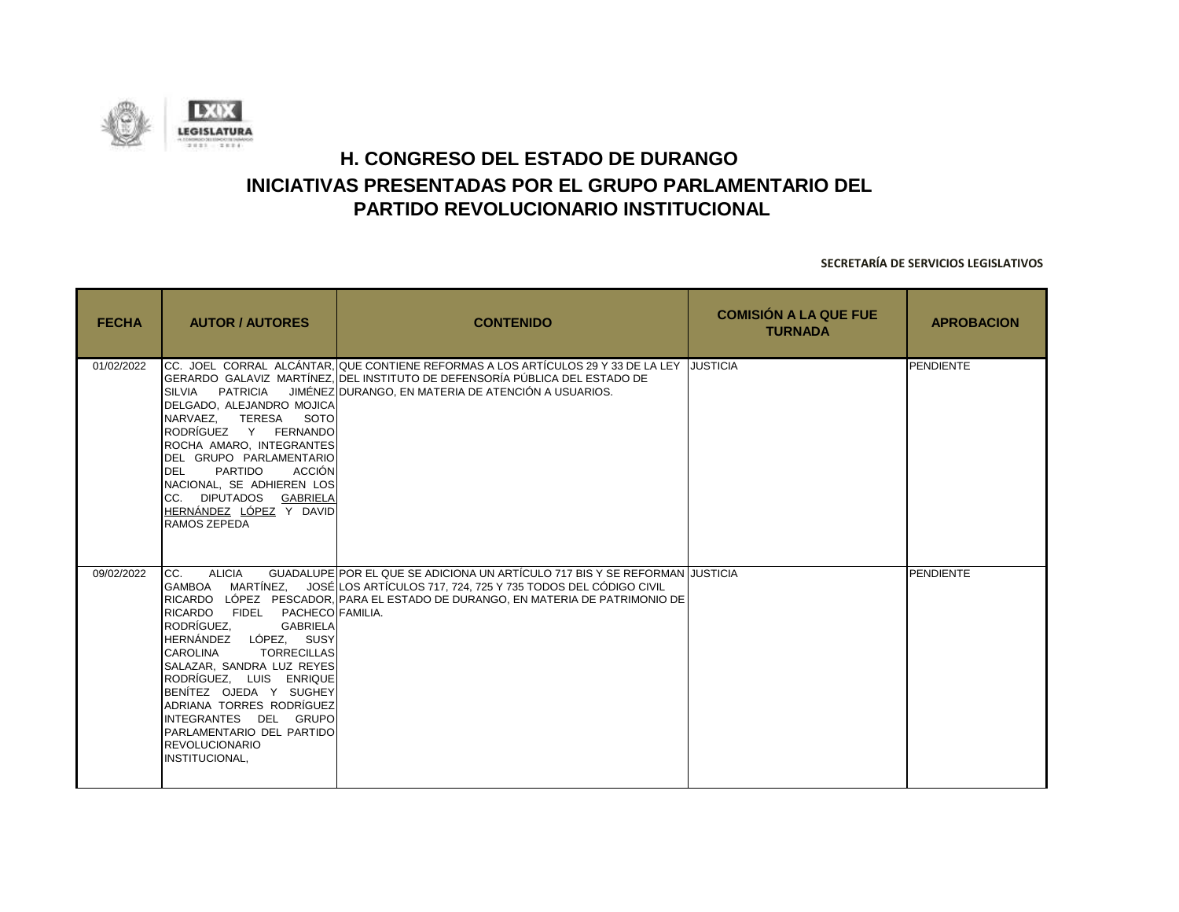![](_page_44_Picture_0.jpeg)

| <b>FECHA</b> | <b>AUTOR / AUTORES</b>                                                                                                                                                                                                                                                                                                                                            | <b>CONTENIDO</b>                                                                                                                                                                                                                                | <b>COMISIÓN A LA QUE FUE</b><br><b>TURNADA</b> | <b>APROBACION</b> |
|--------------|-------------------------------------------------------------------------------------------------------------------------------------------------------------------------------------------------------------------------------------------------------------------------------------------------------------------------------------------------------------------|-------------------------------------------------------------------------------------------------------------------------------------------------------------------------------------------------------------------------------------------------|------------------------------------------------|-------------------|
| 01/02/2022   | SILVIA PATRICIA<br>DELGADO, ALEJANDRO MOJICA<br>NARVAEZ. TERESA SOTO<br>RODRÍGUEZ Y FERNANDO<br>ROCHA AMARO, INTEGRANTES<br>DEL GRUPO PARLAMENTARIO<br>PARTIDO<br>ACCIÓN<br><b>DEL</b><br>NACIONAL, SE ADHIEREN LOS<br>CC. DIPUTADOS GABRIELA<br>HERNÁNDEZ LÓPEZ Y DAVID<br>RAMOS ZEPEDA                                                                          | ICC.  JOEL  CORRAL  ALCÁNTAR.IQUE CONTIENE REFORMAS A LOS ARTÍCULOS 29 Y 33 DE LA LEY  IJUSTICIA<br>IGERARDO  GALAVIZ  MARTÍNEZ.IDEL INSTITUTO DE DEFENSORÍA PÚBLICA DEL ESTADO DE<br>JIMÉNEZ DURANGO, EN MATERIA DE ATENCIÓN A USUARIOS.       |                                                | <b>PENDIENTE</b>  |
| 09/02/2022   | <b>ALICIA</b><br>CC.<br>RICARDO FIDEL PACHECOLFAMILIA.<br>RODRÍGUEZ.<br><b>GABRIELA</b><br>HERNÁNDEZ LÓPEZ, SUSY<br><b>CAROLINA</b><br><b>TORRECILLAS</b><br>SALAZAR, SANDRA LUZ REYES<br>RODRÍGUEZ, LUIS ENRIQUE<br>BENITEZ OJEDA Y SUGHEY<br>ADRIANA TORRES RODRÍGUEZ<br>INTEGRANTES DEL GRUPO<br>PARLAMENTARIO DEL PARTIDO<br>REVOLUCIONARIO<br>INSTITUCIONAL, | GUADALUPE POR EL QUE SE ADICIONA UN ARTÍCULO 717 BIS Y SE REFORMAN JUSTICIA<br>GAMBOA MARTÍNEZ, JOSÉ LOS ARTÍCULOS 717, 724, 725 Y 735 TODOS DEL CÓDIGO CIVIL<br>RICARDO LÓPEZ PESCADOR, PARA EL ESTADO DE DURANGO, EN MATERIA DE PATRIMONIO DE |                                                | PENDIENTE         |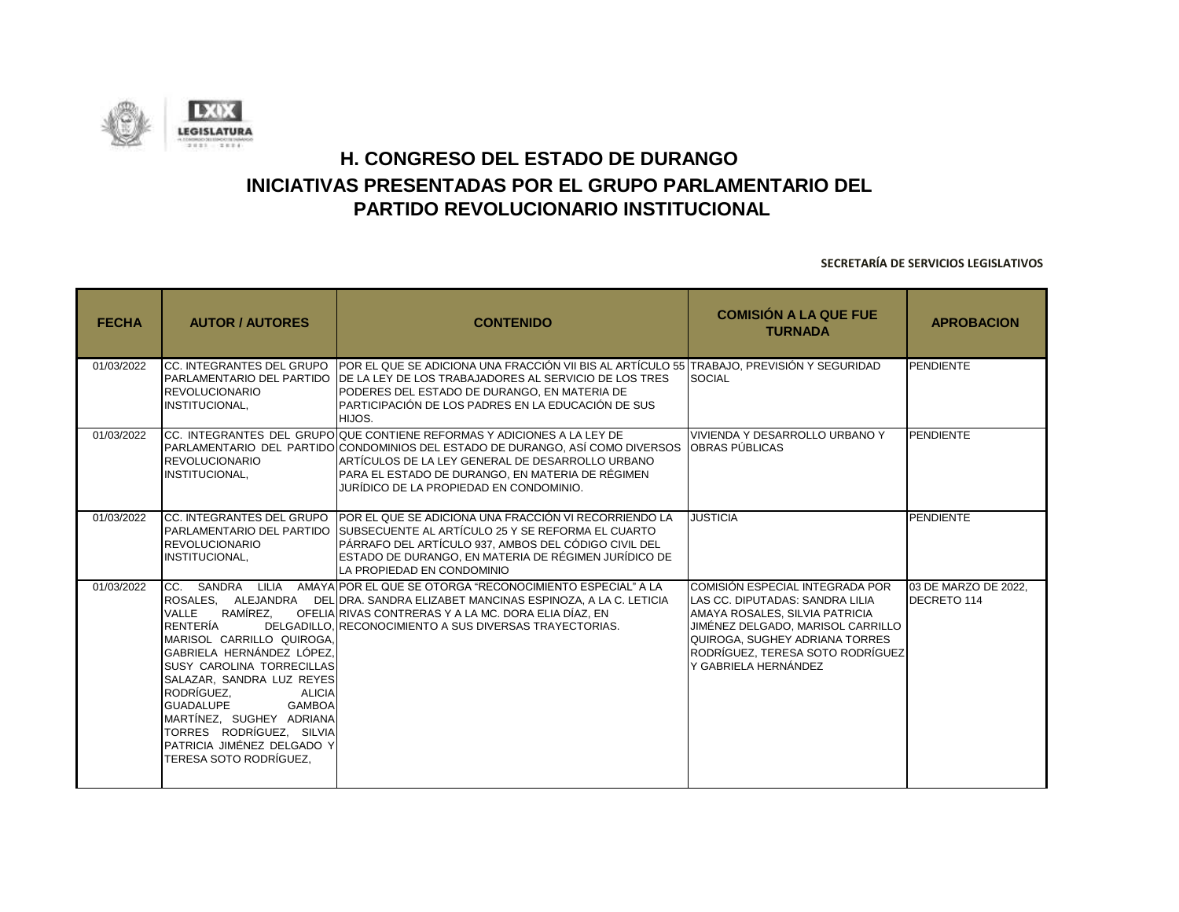![](_page_45_Picture_0.jpeg)

| <b>FECHA</b> | <b>AUTOR / AUTORES</b>                                                                                                                                                                                                                                                                                                                       | <b>CONTENIDO</b>                                                                                                                                                                                                                                                                                                          | <b>COMISIÓN A LA QUE FUE</b><br><b>TURNADA</b>                                                                                                                                                                                          | <b>APROBACION</b>                   |
|--------------|----------------------------------------------------------------------------------------------------------------------------------------------------------------------------------------------------------------------------------------------------------------------------------------------------------------------------------------------|---------------------------------------------------------------------------------------------------------------------------------------------------------------------------------------------------------------------------------------------------------------------------------------------------------------------------|-----------------------------------------------------------------------------------------------------------------------------------------------------------------------------------------------------------------------------------------|-------------------------------------|
| 01/03/2022   | <b>REVOLUCIONARIO</b><br>INSTITUCIONAL,                                                                                                                                                                                                                                                                                                      | CC. INTEGRANTES DEL GRUPO ∣POR EL QUE SE ADICIONA UNA FRACCIÓN VII BIS AL ARTÍCULO 55 ∏RABAJO, PREVISIÓN Y SEGURIDAD<br>IPARLAMENTARIO DEL PARTIDO IDE LA LEY DE LOS TRABAJADORES AL SERVICIO DE LOS TRES<br>PODERES DEL ESTADO DE DURANGO, EN MATERIA DE<br>PARTICIPACIÓN DE LOS PADRES EN LA EDUCACIÓN DE SUS<br>HIJOS. | <b>SOCIAL</b>                                                                                                                                                                                                                           | PENDIENTE                           |
| 01/03/2022   | <b>REVOLUCIONARIO</b><br>INSTITUCIONAL,                                                                                                                                                                                                                                                                                                      | ICC. INTEGRANTES DEL GRUPOIQUE CONTIENE REFORMAS Y ADICIONES A LA LEY DE<br>PARLAMENTARIO DEL PARTIDOICONDOMINIOS DEL ESTADO DE DURANGO. ASÍ COMO DIVERSOS<br>ARTÍCULOS DE LA LEY GENERAL DE DESARROLLO URBANO<br>PARA EL ESTADO DE DURANGO, EN MATERIA DE RÉGIMEN<br>JURÍDICO DE LA PROPIEDAD EN CONDOMINIO.             | VIVIENDA Y DESARROLLO URBANO Y<br>OBRAS PÚBLICAS                                                                                                                                                                                        | PENDIENTE                           |
| 01/03/2022   | <b>REVOLUCIONARIO</b><br>INSTITUCIONAL,                                                                                                                                                                                                                                                                                                      | ICC. INTEGRANTES DEL GRUPO IPOR EL QUE SE ADICIONA UNA FRACCIÓN VI RECORRIENDO LA<br>PARLAMENTARIO DEL PARTIDO SUBSECUENTE AL ARTÍCULO 25 Y SE REFORMA EL CUARTO<br>PÁRRAFO DEL ARTÍCULO 937, AMBOS DEL CÓDIGO CIVIL DEL<br>ESTADO DE DURANGO, EN MATERIA DE RÉGIMEN JURÍDICO DE<br>LA PROPIEDAD EN CONDOMINIO            | <b>JUSTICIA</b>                                                                                                                                                                                                                         | <b>PENDIENTE</b>                    |
| 01/03/2022   | RAMÍREZ.<br>VALLE<br>RENTERÍA<br>MARISOL CARRILLO QUIROGA.<br>GABRIELA HERNÁNDEZ LÓPEZ.<br><b>SUSY CAROLINA TORRECILLAS</b><br>SALAZAR, SANDRA LUZ REYES<br>RODRÍGUEZ.<br><b>ALICIA</b><br><b>GUADALUPE</b><br><b>GAMBOA</b><br>MARTÍNEZ. SUGHEY ADRIANA<br>TORRES RODRÍGUEZ. SILVIA<br>PATRICIA JIMÉNEZ DELGADO Y<br>TERESA SOTO RODRÍGUEZ. | CC. SANDRA LILIA AMAYA POR EL QUE SE OTORGA "RECONOCIMIENTO ESPECIAL" A LA<br>ROSALES. ALEJANDRA DEL DRA. SANDRA ELIZABET MANCINAS ESPINOZA, A LA C. LETICIA<br>OFELIA RIVAS CONTRERAS Y A LA MC. DORA ELIA DÍAZ. EN<br>DELGADILLO, RECONOCIMIENTO A SUS DIVERSAS TRAYECTORIAS.                                           | COMISIÓN ESPECIAL INTEGRADA POR<br>LAS CC. DIPUTADAS: SANDRA LILIA<br>AMAYA ROSALES. SILVIA PATRICIA<br>JIMÉNEZ DELGADO, MARISOL CARRILLO<br>QUIROGA, SUGHEY ADRIANA TORRES<br>RODRÍGUEZ. TERESA SOTO RODRÍGUEZ<br>Y GABRIELA HERNÁNDEZ | 03 DE MARZO DE 2022.<br>DECRETO 114 |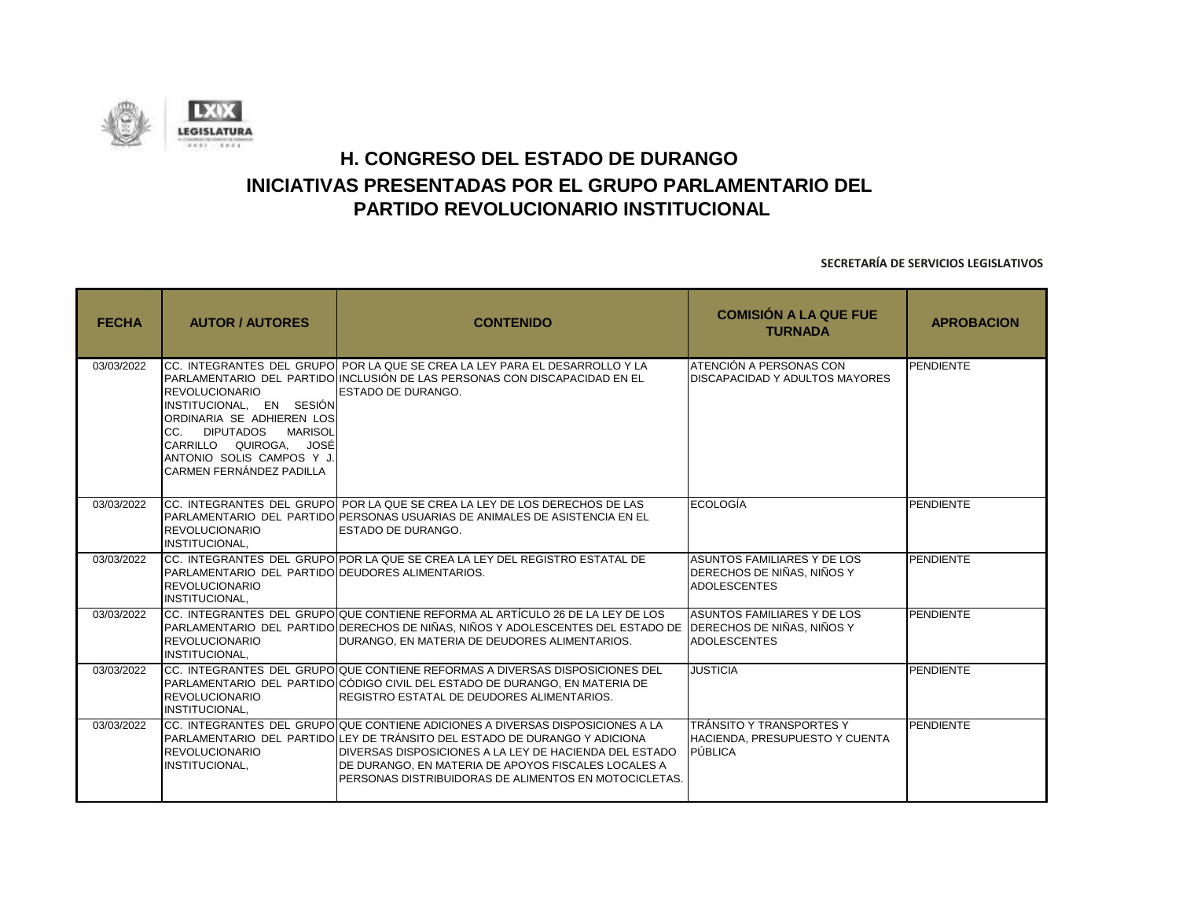![](_page_46_Picture_0.jpeg)

| <b>FECHA</b> | <b>AUTOR / AUTORES</b>                                                                                                                                                                     | <b>CONTENIDO</b>                                                                                                                                                                                                                                                                                                                        | <b>COMISIÓN A LA QUE FUE</b><br><b>TURNADA</b>                                   | <b>APROBACION</b> |
|--------------|--------------------------------------------------------------------------------------------------------------------------------------------------------------------------------------------|-----------------------------------------------------------------------------------------------------------------------------------------------------------------------------------------------------------------------------------------------------------------------------------------------------------------------------------------|----------------------------------------------------------------------------------|-------------------|
| 03/03/2022   | REVOLUCIONARIO<br>INSTITUCIONAL, EN SESIÓN<br>ORDINARIA SE ADHIEREN LOS<br>CC. DIPUTADOS MARISOL<br>CARRILLO QUIROGA, JOSÉ<br>ANTONIO SOLIS CAMPOS Y J.<br><b>CARMEN FERNÁNDEZ PADILLA</b> | ICC. INTEGRANTES DEL GRUPOI POR LA QUE SE CREA LA LEY PARA EL DESARROLLO Y LA<br>PARLAMENTARIO DEL PARTIDO INCLUSIÓN DE LAS PERSONAS CON DISCAPACIDAD EN EL<br><b>ESTADO DE DURANGO.</b>                                                                                                                                                | ATENCIÓN A PERSONAS CON<br>DISCAPACIDAD Y ADULTOS MAYORES                        | PENDIENTE         |
| 03/03/2022   | <b>REVOLUCIONARIO</b><br>INSTITUCIONAL,                                                                                                                                                    | ICC. INTEGRANTES DEL GRUPOI POR LA QUE SE CREA LA LEY DE LOS DERECHOS DE LAS<br>PARLAMENTARIO DEL PARTIDO PERSONAS USUARIAS DE ANIMALES DE ASISTENCIA EN EL<br>ESTADO DE DURANGO.                                                                                                                                                       | ECOLOGÍA                                                                         | <b>PENDIENTE</b>  |
| 03/03/2022   | PARLAMENTARIO DEL PARTIDO DEUDORES ALIMENTARIOS.<br><b>REVOLUCIONARIO</b><br>INSTITUCIONAL,                                                                                                | ICC. INTEGRANTES DEL GRUPOIPOR LA QUE SE CREA LA LEY DEL REGISTRO ESTATAL DE                                                                                                                                                                                                                                                            | ASUNTOS FAMILIARES Y DE LOS<br>DERECHOS DE NIÑAS, NIÑOS Y<br><b>ADOLESCENTES</b> | PENDIENTE         |
| 03/03/2022   | <b>REVOLUCIONARIO</b><br><b>INSTITUCIONAL.</b>                                                                                                                                             | CC. INTEGRANTES DEL GRUPO QUE CONTIENE REFORMA AL ARTÍCULO 26 DE LA LEY DE LOS<br>PARLAMENTARIO DEL PARTIDO DERECHOS DE NIÑAS, NIÑOS Y ADOLESCENTES DEL ESTADO DE TDERECHOS DE NIÑAS, NIÑOS Y<br>DURANGO, EN MATERIA DE DEUDORES ALIMENTARIOS.                                                                                          | ASUNTOS FAMILIARES Y DE LOS<br><b>ADOLESCENTES</b>                               | <b>PENDIENTE</b>  |
| 03/03/2022   | REVOLUCIONARIO<br>INSTITUCIONAL,                                                                                                                                                           | CC. INTEGRANTES DEL GRUPO QUE CONTIENE REFORMAS A DIVERSAS DISPOSICIONES DEL<br>IPARLAMENTARIO DEL PARTIDOICÓDIGO CIVIL DEL ESTADO DE DURANGO. EN MATERIA DE<br>REGISTRO ESTATAL DE DEUDORES ALIMENTARIOS.                                                                                                                              | <b>JUSTICIA</b>                                                                  | PENDIENTE         |
| 03/03/2022   | REVOLUCIONARIO<br>INSTITUCIONAL,                                                                                                                                                           | ICC. INTEGRANTES DEL GRUPOIQUE CONTIENE ADICIONES A DIVERSAS DISPOSICIONES A LA<br>PARLAMENTARIO DEL PARTIDO LEY DE TRÁNSITO DEL ESTADO DE DURANGO Y ADICIONA<br>DIVERSAS DISPOSICIONES A LA LEY DE HACIENDA DEL ESTADO<br>DE DURANGO, EN MATERIA DE APOYOS FISCALES LOCALES A<br>PERSONAS DISTRIBUIDORAS DE ALIMENTOS EN MOTOCICLETAS. | ITRÁNSITO Y TRANSPORTES Y<br>HACIENDA, PRESUPUESTO Y CUENTA<br>PÚBLICA           | <b>PENDIENTE</b>  |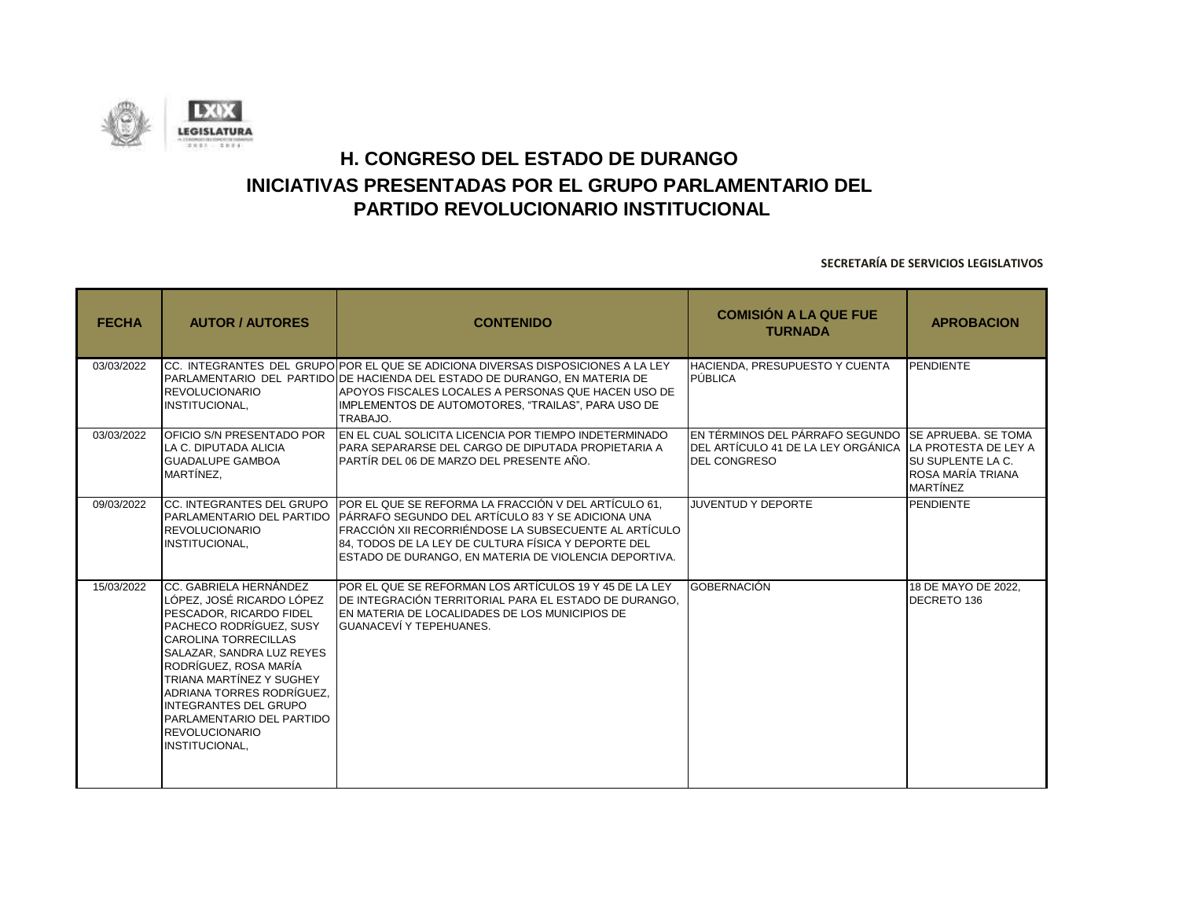![](_page_47_Picture_0.jpeg)

| <b>FECHA</b> | <b>AUTOR / AUTORES</b>                                                                                                                                                                                                                                                                                                                                          | <b>CONTENIDO</b>                                                                                                                                                                                                                                                                                                                         | <b>COMISIÓN A LA QUE FUE</b><br><b>TURNADA</b>                                                                                           | <b>APROBACION</b>                                                 |
|--------------|-----------------------------------------------------------------------------------------------------------------------------------------------------------------------------------------------------------------------------------------------------------------------------------------------------------------------------------------------------------------|------------------------------------------------------------------------------------------------------------------------------------------------------------------------------------------------------------------------------------------------------------------------------------------------------------------------------------------|------------------------------------------------------------------------------------------------------------------------------------------|-------------------------------------------------------------------|
| 03/03/2022   | <b>REVOLUCIONARIO</b><br>INSTITUCIONAL,                                                                                                                                                                                                                                                                                                                         | ICC. INTEGRANTES DEL GRUPOIPOR EL QUE SE ADICIONA DIVERSAS DISPOSICIONES A LA LEY<br>IPARLAMENTARIO DEL PARTIDOIDE HACIENDA DEL ESTADO DE DURANGO. EN MATERIA DE<br>IAPOYOS FISCALES LOCALES A PERSONAS QUE HACEN USO DE<br>IMPLEMENTOS DE AUTOMOTORES, "TRAILAS", PARA USO DE<br>TRABAJO.                                               | HACIENDA, PRESUPUESTO Y CUENTA<br>PÚBLICA                                                                                                | PENDIENTE                                                         |
| 03/03/2022   | OFICIO S/N PRESENTADO POR<br>LA C. DIPUTADA ALICIA<br><b>GUADALUPE GAMBOA</b><br>MARTÍNEZ.                                                                                                                                                                                                                                                                      | EN EL CUAL SOLICITA LICENCIA POR TIEMPO INDETERMINADO<br>PARA SEPARARSE DEL CARGO DE DIPUTADA PROPIETARIA A<br>PARTÍR DEL 06 DE MARZO DEL PRESENTE AÑO.                                                                                                                                                                                  | EN TÉRMINOS DEL PÁRRAFO SEGUNDO ISE APRUEBA. SE TOMA<br>IDEL ARTÍCULO 41 DE LA LEY ORGÁNICA ILA PROTESTA DE LEY A<br><b>DEL CONGRESO</b> | <b>ISU SUPLENTE LA C.</b><br>ROSA MARÍA TRIANA<br><b>MARTÍNEZ</b> |
| 09/03/2022   | <b>REVOLUCIONARIO</b><br>INSTITUCIONAL,                                                                                                                                                                                                                                                                                                                         | ICC. INTEGRANTES DEL GRUPO IPOR EL QUE SE REFORMA LA FRACCIÓN V DEL ARTÍCULO 61.<br>PARLAMENTARIO DEL PARTIDO PÁRRAFO SEGUNDO DEL ARTÍCULO 83 Y SE ADICIONA UNA<br>FRACCIÓN XII RECORRIÉNDOSE LA SUBSECUENTE AL ARTÍCULO<br>84. TODOS DE LA LEY DE CULTURA FÍSICA Y DEPORTE DEL<br>ESTADO DE DURANGO, EN MATERIA DE VIOLENCIA DEPORTIVA. | <b>JUVENTUD Y DEPORTE</b>                                                                                                                | PENDIENTE                                                         |
| 15/03/2022   | CC. GABRIELA HERNÁNDEZ<br>LÓPEZ. JOSÉ RICARDO LÓPEZ<br>PESCADOR. RICARDO FIDEL<br>PACHECO RODRÍGUEZ. SUSY<br><b>CAROLINA TORRECILLAS</b><br>SALAZAR. SANDRA LUZ REYES<br>RODRÍGUEZ, ROSA MARÍA<br>TRIANA MARTÍNEZ Y SUGHEY<br>ADRIANA TORRES RODRÍGUEZ.<br><b>INTEGRANTES DEL GRUPO</b><br>PARLAMENTARIO DEL PARTIDO<br><b>REVOLUCIONARIO</b><br>INSTITUCIONAL, | POR EL QUE SE REFORMAN LOS ARTÍCULOS 19 Y 45 DE LA LEY<br>DE INTEGRACIÓN TERRITORIAL PARA EL ESTADO DE DURANGO.<br>EN MATERIA DE LOCALIDADES DE LOS MUNICIPIOS DE<br><b>GUANACEVÍ Y TEPEHUANES.</b>                                                                                                                                      | GOBERNACIÓN                                                                                                                              | 18 DE MAYO DE 2022.<br>DECRETO 136                                |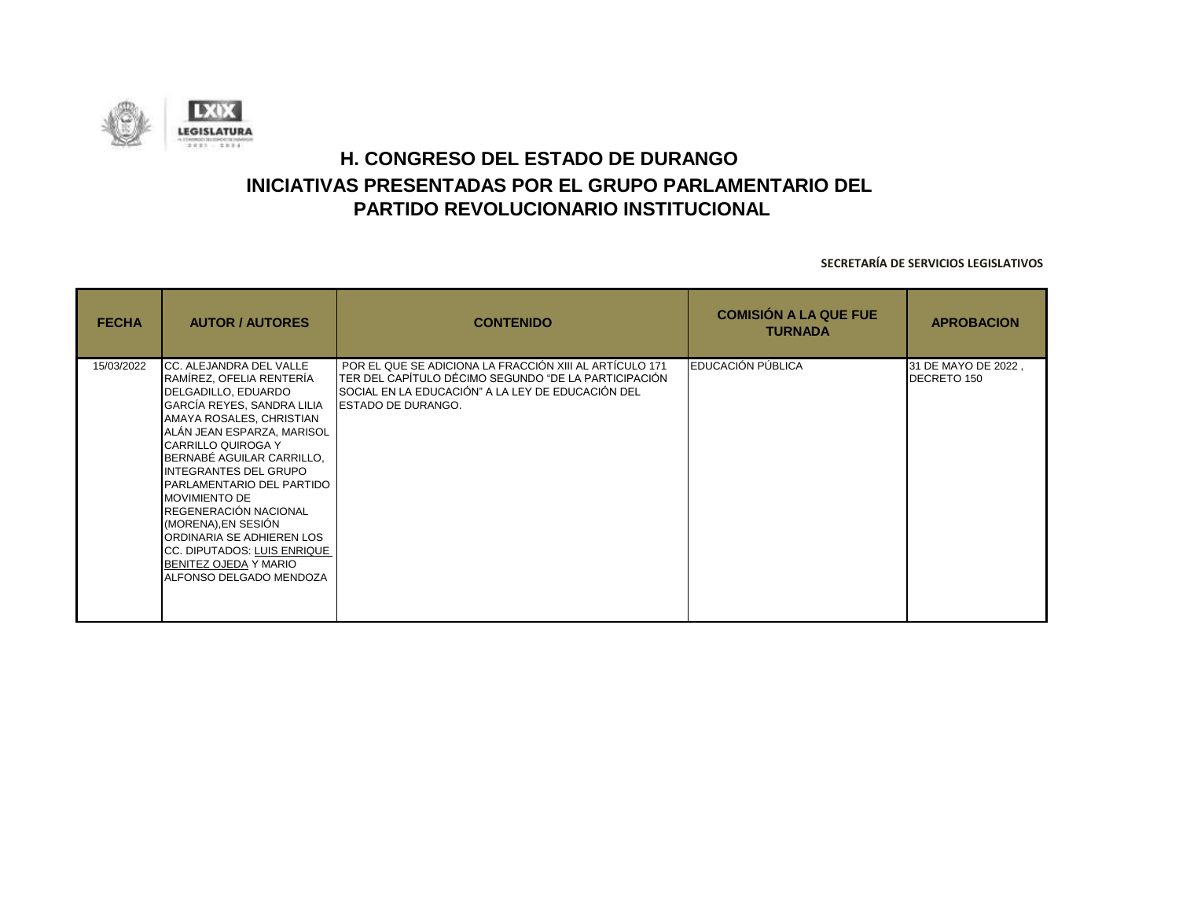![](_page_48_Picture_0.jpeg)

| <b>FECHA</b> | <b>AUTOR / AUTORES</b>                                                                                                                                                                                                                                                                                                                                                                                                                                                     | <b>CONTENIDO</b>                                                                                                                                                                           | <b>COMISIÓN A LA QUE FUE</b><br><b>TURNADA</b> | <b>APROBACION</b>                  |
|--------------|----------------------------------------------------------------------------------------------------------------------------------------------------------------------------------------------------------------------------------------------------------------------------------------------------------------------------------------------------------------------------------------------------------------------------------------------------------------------------|--------------------------------------------------------------------------------------------------------------------------------------------------------------------------------------------|------------------------------------------------|------------------------------------|
| 15/03/2022   | CC. ALEJANDRA DEL VALLE<br>RAMÍREZ, OFELIA RENTERÍA<br>DELGADILLO, EDUARDO<br>GARCÍA REYES, SANDRA LILIA<br>AMAYA ROSALES, CHRISTIAN<br>ALÁN JEAN ESPARZA, MARISOL<br>CARRILLO QUIROGA Y<br>BERNABÉ AGUILAR CARRILLO,<br><b>INTEGRANTES DEL GRUPO</b><br>PARLAMENTARIO DEL PARTIDO<br><b>MOVIMIENTO DE</b><br>REGENERACIÓN NACIONAL<br>(MORENA), EN SESIÓN<br>ORDINARIA SE ADHIEREN LOS<br>CC. DIPUTADOS: LUIS ENRIQUE<br>BENITEZ OJEDA Y MARIO<br>ALFONSO DELGADO MENDOZA | POR EL QUE SE ADICIONA LA FRACCIÓN XIII AL ARTÍCULO 171<br>TER DEL CAPÍTULO DÉCIMO SEGUNDO "DE LA PARTICIPACIÓN<br>SOCIAL EN LA EDUCACIÓN" A LA LEY DE EDUCACIÓN DEL<br>ESTADO DE DURANGO. | EDUCACIÓN PÚBLICA                              | 31 DE MAYO DE 2022,<br>DECRETO 150 |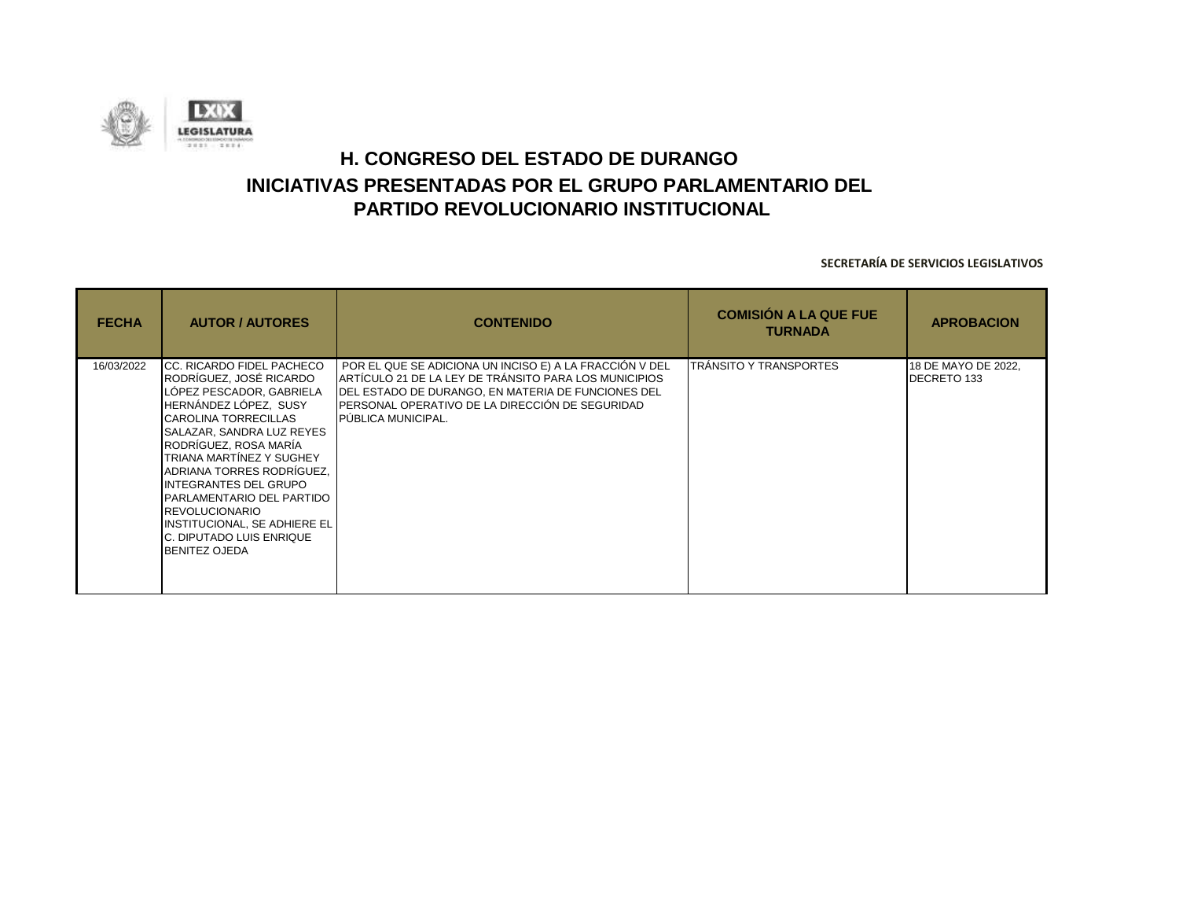![](_page_49_Picture_0.jpeg)

| <b>FECHA</b> | <b>AUTOR / AUTORES</b>                                                                                                                                                                                                                                                                                                                                                                                                                   | <b>CONTENIDO</b>                                                                                                                                                                                                                                        | <b>COMISIÓN A LA QUE FUE</b><br><b>TURNADA</b> | <b>APROBACION</b>                  |
|--------------|------------------------------------------------------------------------------------------------------------------------------------------------------------------------------------------------------------------------------------------------------------------------------------------------------------------------------------------------------------------------------------------------------------------------------------------|---------------------------------------------------------------------------------------------------------------------------------------------------------------------------------------------------------------------------------------------------------|------------------------------------------------|------------------------------------|
| 16/03/2022   | <b>CC. RICARDO FIDEL PACHECO</b><br>RODRÍGUEZ, JOSÉ RICARDO<br>LÓPEZ PESCADOR, GABRIELA<br>HERNÁNDEZ LÓPEZ, SUSY<br><b>CAROLINA TORRECILLAS</b><br>SALAZAR, SANDRA LUZ REYES<br>RODRÍGUEZ, ROSA MARÍA<br>TRIANA MARTÍNEZ Y SUGHEY<br>ADRIANA TORRES RODRÍGUEZ.<br><b>INTEGRANTES DEL GRUPO</b><br>PARLAMENTARIO DEL PARTIDO<br><b>REVOLUCIONARIO</b><br>INSTITUCIONAL, SE ADHIERE EL<br>C. DIPUTADO LUIS ENRIQUE<br><b>BENITEZ OJEDA</b> | POR EL QUE SE ADICIONA UN INCISO E) A LA FRACCIÓN V DEL<br>ARTÍCULO 21 DE LA LEY DE TRÁNSITO PARA LOS MUNICIPIOS<br>DEL ESTADO DE DURANGO, EN MATERIA DE FUNCIONES DEL<br>IPERSONAL OPERATIVO DE LA DIRECCIÓN DE SEGURIDAD<br><b>PUBLICA MUNICIPAL.</b> | TRÁNSITO Y TRANSPORTES                         | 18 DE MAYO DE 2022,<br>DECRETO 133 |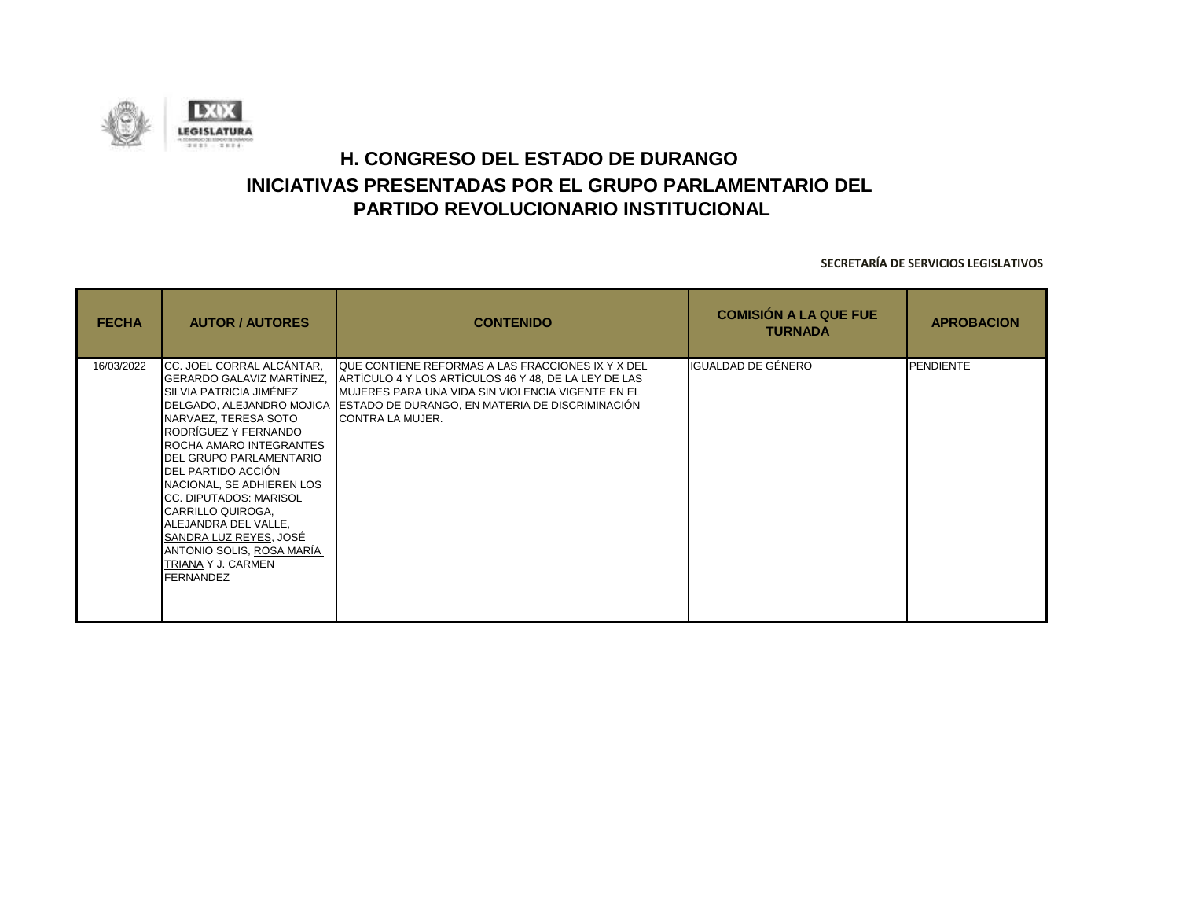![](_page_50_Picture_0.jpeg)

| <b>FECHA</b> | <b>AUTOR / AUTORES</b>                                                                                                                                                                                                                                                                                                                                                                                                                                  | <b>CONTENIDO</b>                                                                                                                                                                                                                             | <b>COMISIÓN A LA QUE FUE</b><br><b>TURNADA</b> | <b>APROBACION</b> |
|--------------|---------------------------------------------------------------------------------------------------------------------------------------------------------------------------------------------------------------------------------------------------------------------------------------------------------------------------------------------------------------------------------------------------------------------------------------------------------|----------------------------------------------------------------------------------------------------------------------------------------------------------------------------------------------------------------------------------------------|------------------------------------------------|-------------------|
| 16/03/2022   | CC. JOEL CORRAL ALCÁNTAR.<br>GERARDO GALAVIZ MARTÍNEZ,<br>SILVIA PATRICIA JIMÉNEZ<br>DELGADO, ALEJANDRO MOJICA<br>NARVAEZ, TERESA SOTO<br>RODRÍGUEZ Y FERNANDO<br>ROCHA AMARO INTEGRANTES<br><b>IDEL GRUPO PARLAMENTARIO</b><br>DEL PARTIDO ACCIÓN<br>NACIONAL, SE ADHIEREN LOS<br>CC. DIPUTADOS: MARISOL<br>CARRILLO QUIROGA,<br>ALEJANDRA DEL VALLE,<br>SANDRA LUZ REYES, JOSÉ<br>ANTONIO SOLIS, ROSA MARÍA<br>TRIANA Y J. CARMEN<br><b>FERNANDEZ</b> | QUE CONTIENE REFORMAS A LAS FRACCIONES IX Y X DEL<br>ARTÍCULO 4 Y LOS ARTÍCULOS 46 Y 48, DE LA LEY DE LAS<br>MUJERES PARA UNA VIDA SIN VIOLENCIA VIGENTE EN EL<br>ESTADO DE DURANGO, EN MATERIA DE DISCRIMINACIÓN<br><b>CONTRA LA MUJER.</b> | IGUALDAD DE GÉNERO                             | <b>PENDIENTE</b>  |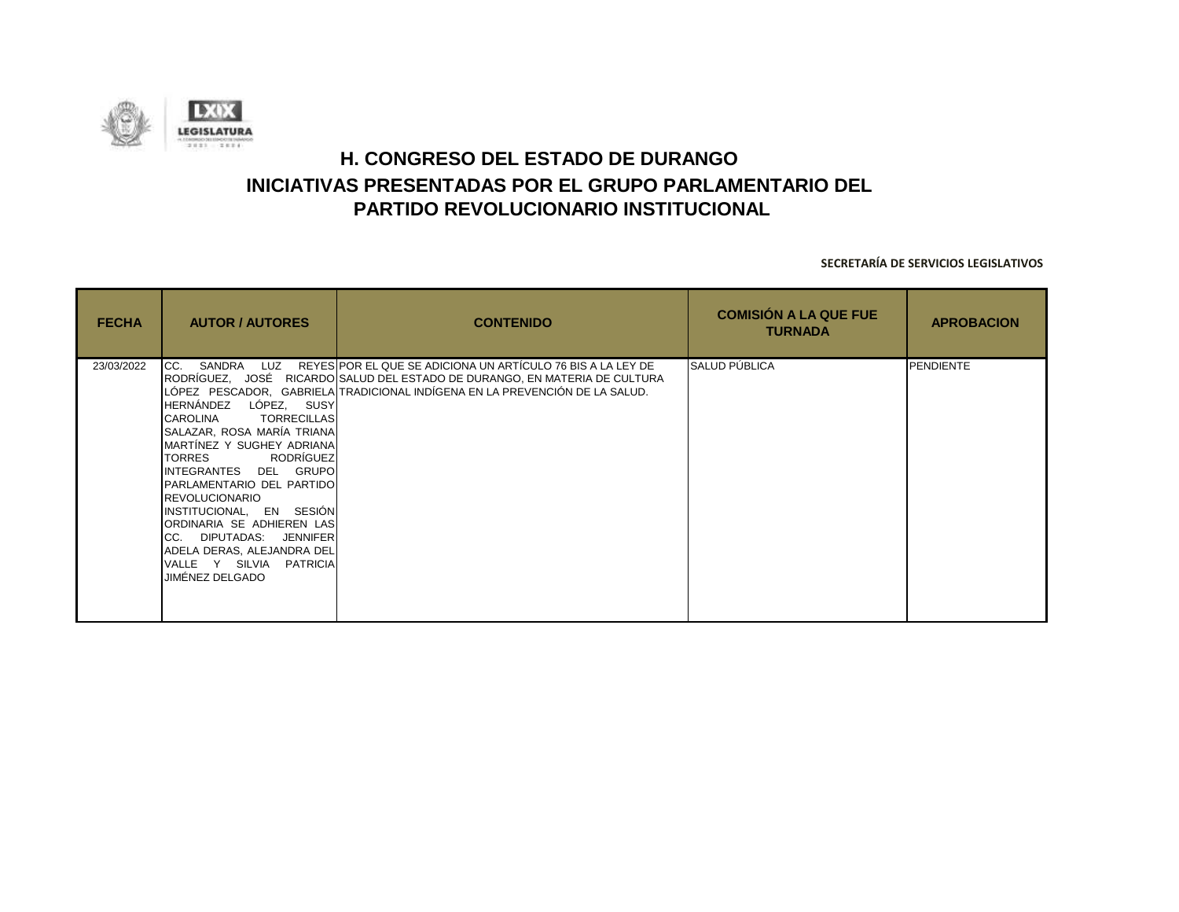![](_page_51_Picture_0.jpeg)

| <b>FECHA</b> | <b>AUTOR / AUTORES</b>                                                                                                                                                                                                                                                                                                                                                                                               | <b>CONTENIDO</b>                                                                                                                                                                                                                    | <b>COMISIÓN A LA QUE FUE</b><br><b>TURNADA</b> | <b>APROBACION</b> |
|--------------|----------------------------------------------------------------------------------------------------------------------------------------------------------------------------------------------------------------------------------------------------------------------------------------------------------------------------------------------------------------------------------------------------------------------|-------------------------------------------------------------------------------------------------------------------------------------------------------------------------------------------------------------------------------------|------------------------------------------------|-------------------|
| 23/03/2022   | CC.<br>HERNÁNDEZ LÓPEZ, SUSY<br><b>TORRECILLAS</b><br><b>CAROLINA</b><br>SALAZAR, ROSA MARÍA TRIANA<br>MARTÍNEZ Y SUGHEY ADRIANA<br>RODRÍGUEZ<br><b>TORRES</b><br>INTEGRANTES DEL GRUPO<br><b>PARLAMENTARIO DEL PARTIDO</b><br><b>REVOLUCIONARIO</b><br>INSTITUCIONAL, EN SESIÓN<br>ORDINARIA SE ADHIEREN LAS<br>CC. DIPUTADAS: JENNIFER<br>ADELA DERAS, ALEJANDRA DEL<br>VALLE Y SILVIA PATRICIA<br>JIMÉNEZ DELGADO | SANDRA LUZ REYES POR EL QUE SE ADICIONA UN ARTÍCULO 76 BIS A LA LEY DE<br>RODRÍGUEZ, JOSÉ RICARDO SALUD DEL ESTADO DE DURANGO, EN MATERIA DE CULTURA<br>LÓPEZ PESCADOR, GABRIELA TRADICIONAL INDÍGENA EN LA PREVENCIÓN DE LA SALUD. | SALUD PÚBLICA                                  | <b>PENDIENTE</b>  |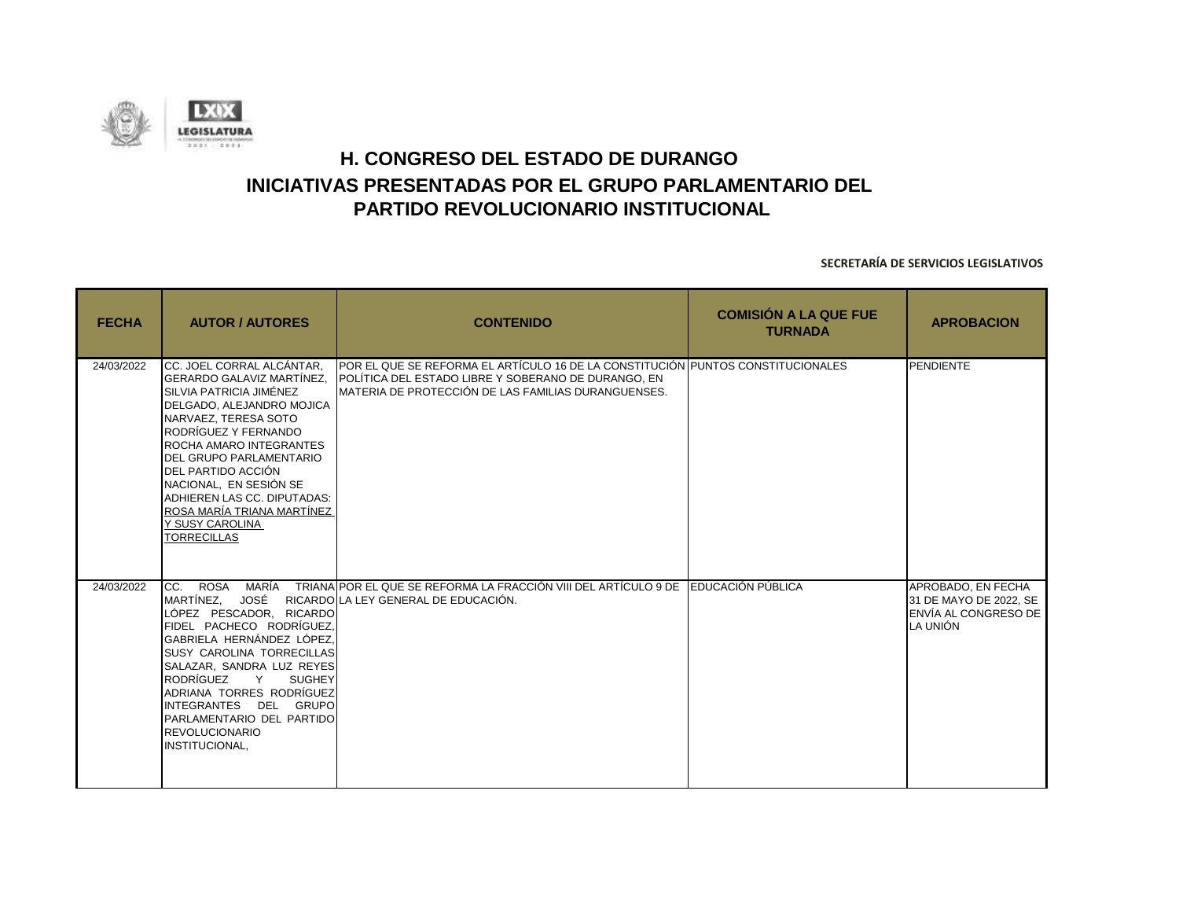![](_page_52_Picture_0.jpeg)

| <b>FECHA</b> | <b>AUTOR / AUTORES</b>                                                                                                                                                                                                                                                                                                                                                                     | <b>CONTENIDO</b>                                                                                                                                                                               | <b>COMISIÓN A LA QUE FUE</b><br><b>TURNADA</b> | <b>APROBACION</b>                                                                |
|--------------|--------------------------------------------------------------------------------------------------------------------------------------------------------------------------------------------------------------------------------------------------------------------------------------------------------------------------------------------------------------------------------------------|------------------------------------------------------------------------------------------------------------------------------------------------------------------------------------------------|------------------------------------------------|----------------------------------------------------------------------------------|
| 24/03/2022   | ICC. JOEL CORRAL ALCÁNTAR.<br><b>GERARDO GALAVIZ MARTÍNEZ.</b><br>SILVIA PATRICIA JIMÉNEZ<br>DELGADO, ALEJANDRO MOJICA<br>NARVAEZ. TERESA SOTO<br>RODRÍGUEZ Y FERNANDO<br>ROCHA AMARO INTEGRANTES<br><b>IDEL GRUPO PARLAMENTARIO</b><br>DEL PARTIDO ACCIÓN<br>NACIONAL, EN SESIÓN SE<br>ADHIEREN LAS CC. DIPUTADAS:<br>ROSA MARÍA TRIANA MARTÍNEZ<br>Y SUSY CAROLINA<br><b>TORRECILLAS</b> | POR EL QUE SE REFORMA EL ARTÍCULO 16 DE LA CONSTITUCIÓN PUNTOS CONSTITUCIONALES<br>POLÍTICA DEL ESTADO LIBRE Y SOBERANO DE DURANGO, EN<br>IMATERIA DE PROTECCIÓN DE LAS FAMILIAS DURANGUENSES. |                                                | PENDIENTE                                                                        |
| 24/03/2022   | MARÍA<br>CC.<br><b>ROSA</b><br>JOSÉ<br>MARTÍNEZ.<br>LÓPEZ PESCADOR, RICARDO<br>FIDEL PACHECO RODRÍGUEZ,<br>GABRIELA HERNÁNDEZ LÓPEZ.<br><b>SUSY CAROLINA TORRECILLAS</b><br>SALAZAR, SANDRA LUZ REYES<br>RODRÍGUEZ<br>Y<br><b>SUGHEY</b><br>ADRIANA TORRES RODRÍGUEZ<br>INTEGRANTES DEL GRUPO<br>PARLAMENTARIO DEL PARTIDO<br><b>REVOLUCIONARIO</b><br>INSTITUCIONAL,                      | TRIANA POR EL QUE SE REFORMA LA FRACCIÓN VIII DEL ARTÍCULO 9 DE EDUCACIÓN PÚBLICA<br>RICARDO LA LEY GENERAL DE EDUCACIÓN.                                                                      |                                                | APROBADO, EN FECHA<br>31 DE MAYO DE 2022. SE<br>ENVÍA AL CONGRESO DE<br>LA UNIÓN |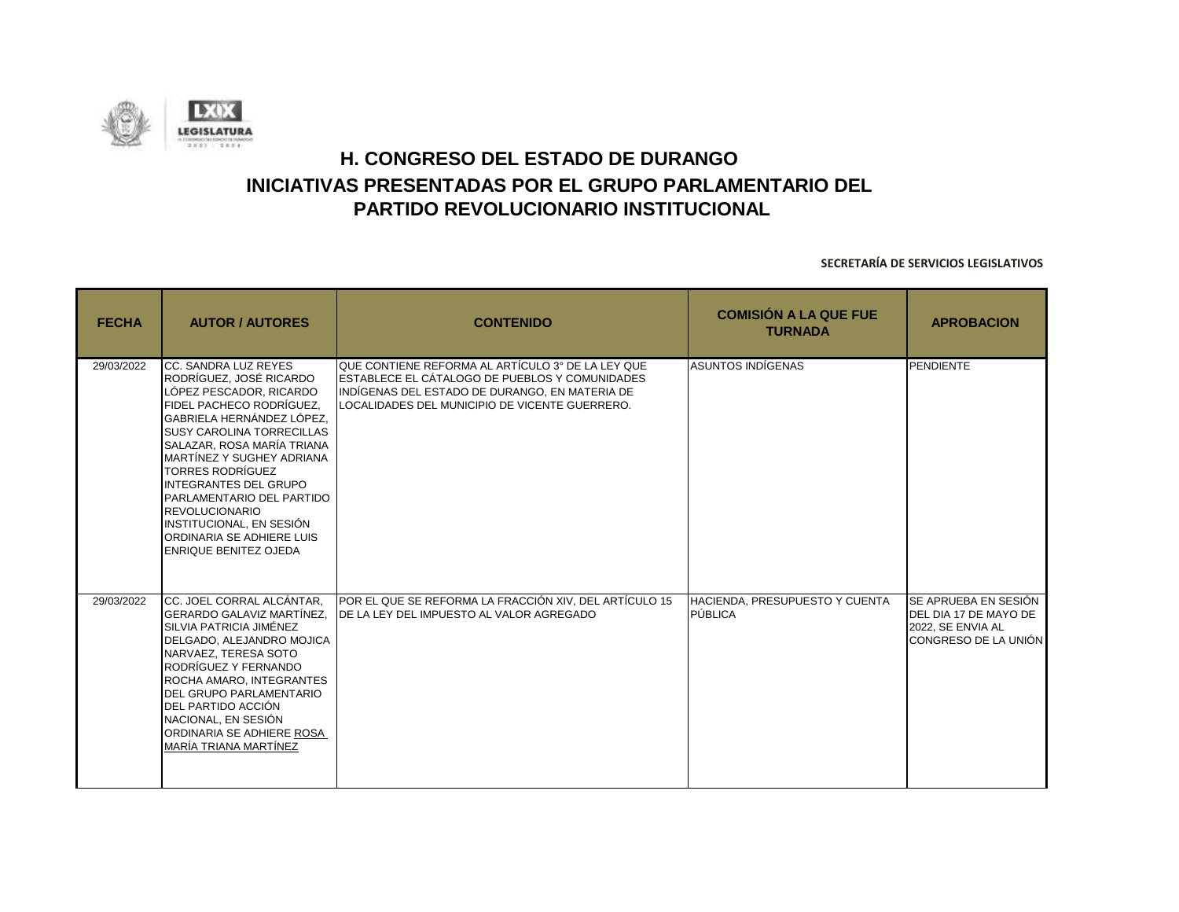![](_page_53_Picture_0.jpeg)

| <b>FECHA</b> | <b>AUTOR / AUTORES</b>                                                                                                                                                                                                                                                                                                                                                                                                                       | <b>CONTENIDO</b>                                                                                                                                                                                        | <b>COMISIÓN A LA QUE FUE</b><br><b>TURNADA</b>   | <b>APROBACION</b>                                                                                 |
|--------------|----------------------------------------------------------------------------------------------------------------------------------------------------------------------------------------------------------------------------------------------------------------------------------------------------------------------------------------------------------------------------------------------------------------------------------------------|---------------------------------------------------------------------------------------------------------------------------------------------------------------------------------------------------------|--------------------------------------------------|---------------------------------------------------------------------------------------------------|
| 29/03/2022   | CC. SANDRA LUZ REYES<br>RODRÍGUEZ, JOSÉ RICARDO<br>LÓPEZ PESCADOR, RICARDO<br>FIDEL PACHECO RODRÍGUEZ,<br>GABRIELA HERNÁNDEZ LÓPEZ.<br><b>SUSY CAROLINA TORRECILLAS</b><br>SALAZAR, ROSA MARÍA TRIANA<br>MARTÍNEZ Y SUGHEY ADRIANA<br><b>TORRES RODRÍGUEZ</b><br><b>INTEGRANTES DEL GRUPO</b><br>PARLAMENTARIO DEL PARTIDO<br><b>REVOLUCIONARIO</b><br>INSTITUCIONAL, EN SESIÓN<br>ORDINARIA SE ADHIERE LUIS<br><b>ENRIQUE BENITEZ OJEDA</b> | QUE CONTIENE REFORMA AL ARTÍCULO 3° DE LA LEY QUE<br>ESTABLECE EL CÁTALOGO DE PUEBLOS Y COMUNIDADES<br>INDÍGENAS DEL ESTADO DE DURANGO, EN MATERIA DE<br>LOCALIDADES DEL MUNICIPIO DE VICENTE GUERRERO. | <b>ASUNTOS INDÍGENAS</b>                         | PENDIENTE                                                                                         |
| 29/03/2022   | CC. JOEL CORRAL ALCÁNTAR,<br>GERARDO GALAVIZ MARTÍNEZ.<br>SILVIA PATRICIA JIMÉNEZ<br>DELGADO, ALEJANDRO MOJICA<br>NARVAEZ, TERESA SOTO<br>RODRÍGUEZ Y FERNANDO<br>ROCHA AMARO, INTEGRANTES<br><b>DEL GRUPO PARLAMENTARIO</b><br>DEL PARTIDO ACCIÓN<br>NACIONAL, EN SESIÓN<br>ORDINARIA SE ADHIERE ROSA<br>MARÍA TRIANA MARTÍNEZ                                                                                                              | POR EL QUE SE REFORMA LA FRACCIÓN XIV, DEL ARTÍCULO 15<br><b>IDE LA LEY DEL IMPUESTO AL VALOR AGREGADO</b>                                                                                              | HACIENDA, PRESUPUESTO Y CUENTA<br><b>PÚBLICA</b> | SE APRUEBA EN SESIÓN<br>DEL DIA 17 DE MAYO DE<br>2022, SE ENVIA AL<br><b>CONGRESO DE LA UNIÓN</b> |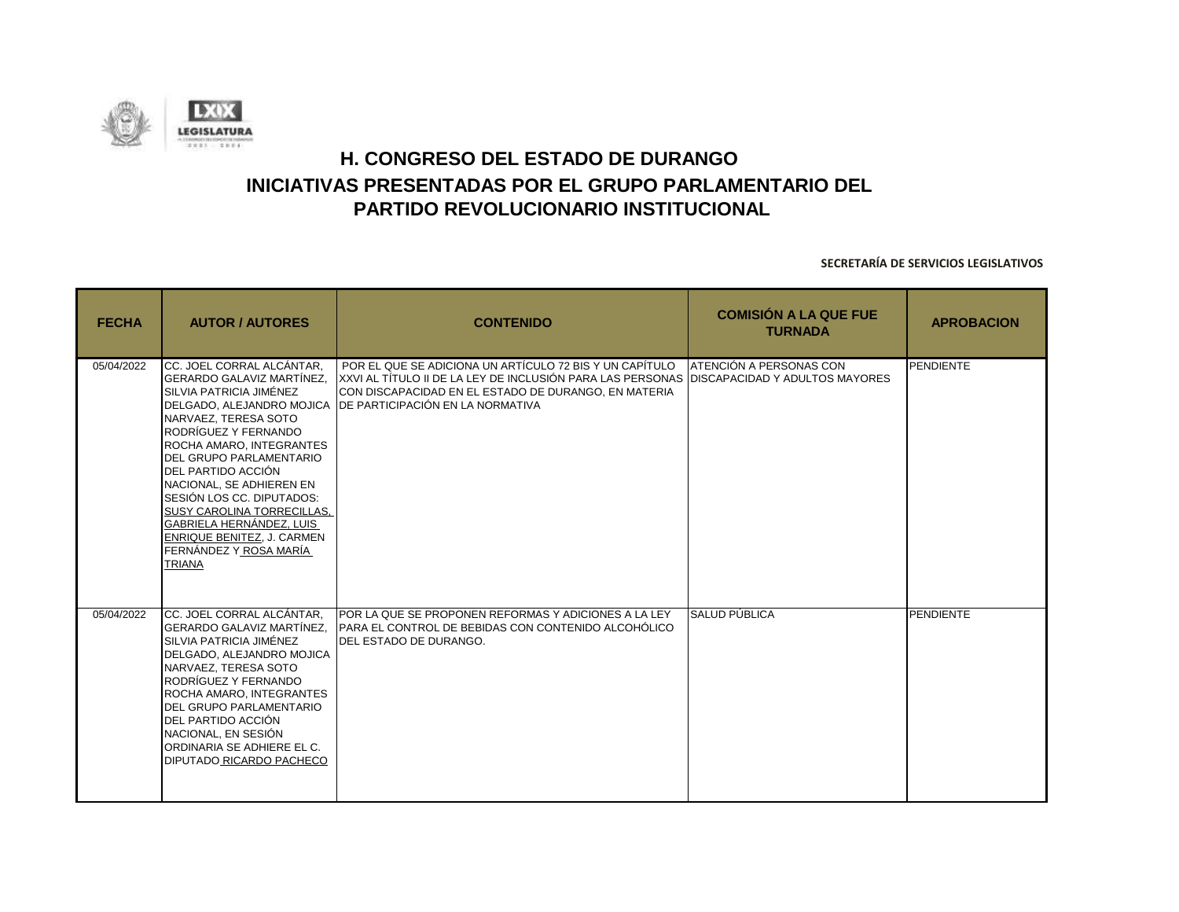![](_page_54_Picture_0.jpeg)

| <b>FECHA</b> | <b>AUTOR / AUTORES</b>                                                                                                                                                                                                                                                                                                                                                                                            | <b>CONTENIDO</b>                                                                                                                                                                                                                                                           | <b>COMISIÓN A LA QUE FUE</b><br><b>TURNADA</b> | <b>APROBACION</b> |
|--------------|-------------------------------------------------------------------------------------------------------------------------------------------------------------------------------------------------------------------------------------------------------------------------------------------------------------------------------------------------------------------------------------------------------------------|----------------------------------------------------------------------------------------------------------------------------------------------------------------------------------------------------------------------------------------------------------------------------|------------------------------------------------|-------------------|
| 05/04/2022   | CC. JOEL CORRAL ALCÁNTAR,<br>GERARDO GALAVIZ MARTÍNEZ.<br>SILVIA PATRICIA JIMÉNEZ<br>NARVAEZ, TERESA SOTO<br>RODRÍGUEZ Y FERNANDO<br>ROCHA AMARO, INTEGRANTES<br>DEL GRUPO PARLAMENTARIO<br>DEL PARTIDO ACCIÓN<br>NACIONAL, SE ADHIEREN EN<br>SESIÓN LOS CC. DIPUTADOS:<br>SUSY CAROLINA TORRECILLAS.<br>GABRIELA HERNÁNDEZ, LUIS<br><b>ENRIQUE BENITEZ. J. CARMEN</b><br>FERNÁNDEZ Y ROSA MARÍA<br><b>TRIANA</b> | POR EL QUE SE ADICIONA UN ARTÍCULO 72 BIS Y UN CAPÍTULO<br>XXVI AL TÍTULO II DE LA LEY DE INCLUSIÓN PARA LAS PERSONAS DISCAPACIDAD Y ADULTOS MAYORES<br>CON DISCAPACIDAD EN EL ESTADO DE DURANGO, EN MATERIA<br>DELGADO. ALEJANDRO MOJICA DE PARTICIPACIÓN EN LA NORMATIVA | <b>ATENCIÓN A PERSONAS CON</b>                 | PENDIENTE         |
| 05/04/2022   | CC. JOEL CORRAL ALCÁNTAR.<br><b>GERARDO GALAVIZ MARTÍNEZ.</b><br>SILVIA PATRICIA JIMÉNEZ<br>DELGADO. ALEJANDRO MOJICA<br>NARVAEZ. TERESA SOTO<br>RODRÍGUEZ Y FERNANDO<br>ROCHA AMARO, INTEGRANTES<br><b>DEL GRUPO PARLAMENTARIO</b><br>DEL PARTIDO ACCIÓN<br>NACIONAL, EN SESIÓN<br>ORDINARIA SE ADHIERE EL C.<br>DIPUTADO RICARDO PACHECO                                                                        | <b>POR LA QUE SE PROPONEN REFORMAS Y ADICIONES A LA LEY</b><br>PARA EL CONTROL DE BEBIDAS CON CONTENIDO ALCOHÓLICO<br><b>IDEL ESTADO DE DURANGO.</b>                                                                                                                       | SALUD PÚBLICA                                  | <b>PENDIENTE</b>  |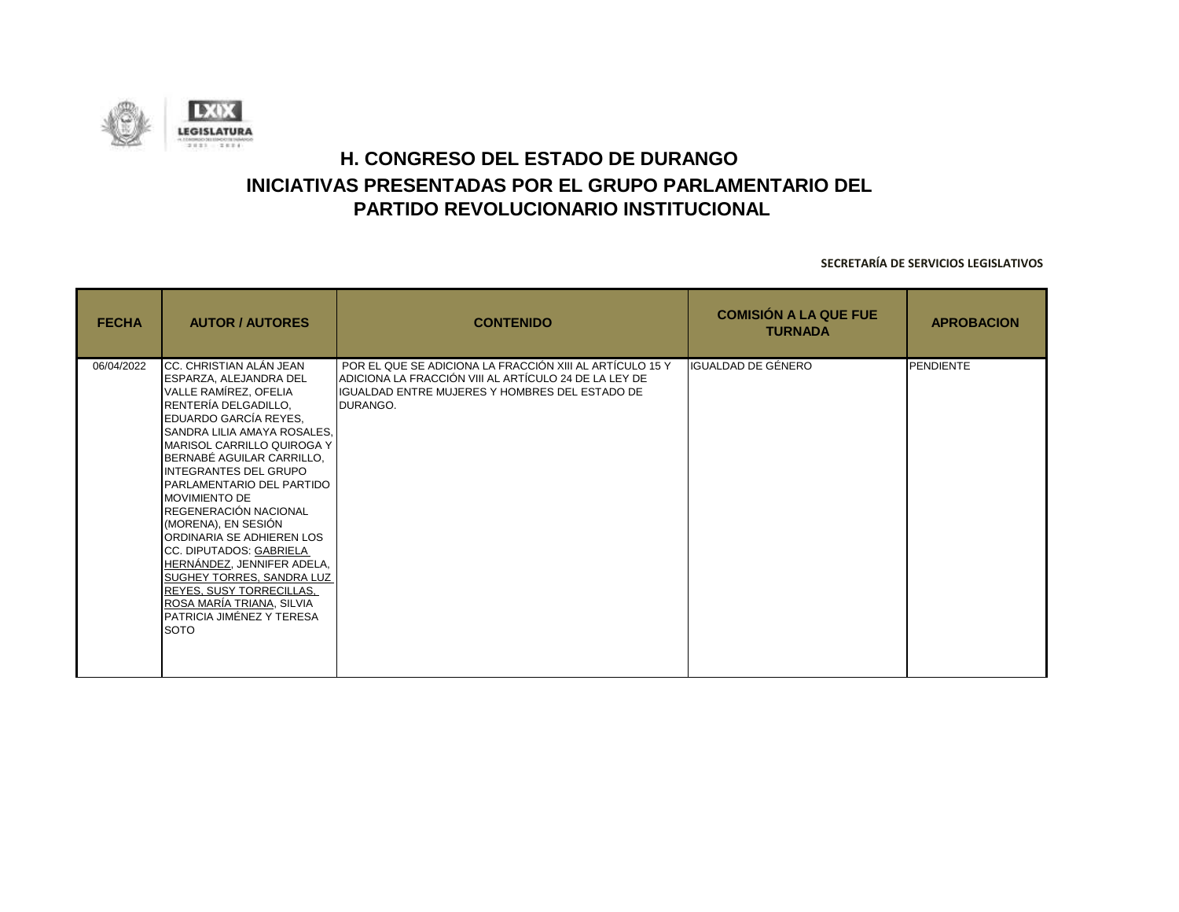![](_page_55_Picture_0.jpeg)

| <b>FECHA</b> | <b>AUTOR / AUTORES</b>                                                                                                                                                                                                                                                                                                                                                                                                                                                                                                                                                                    | <b>CONTENIDO</b>                                                                                                                                                                       | <b>COMISIÓN A LA QUE FUE</b><br><b>TURNADA</b> | <b>APROBACION</b> |
|--------------|-------------------------------------------------------------------------------------------------------------------------------------------------------------------------------------------------------------------------------------------------------------------------------------------------------------------------------------------------------------------------------------------------------------------------------------------------------------------------------------------------------------------------------------------------------------------------------------------|----------------------------------------------------------------------------------------------------------------------------------------------------------------------------------------|------------------------------------------------|-------------------|
| 06/04/2022   | CC. CHRISTIAN ALÁN JEAN<br><b>ESPARZA, ALEJANDRA DEL</b><br>VALLE RAMÍREZ, OFELIA<br>RENTERÍA DELGADILLO,<br>EDUARDO GARCÍA REYES,<br>SANDRA LILIA AMAYA ROSALES,<br>MARISOL CARRILLO QUIROGA Y<br>BERNABÉ AGUILAR CARRILLO,<br><b>INTEGRANTES DEL GRUPO</b><br>PARLAMENTARIO DEL PARTIDO<br><b>MOVIMIENTO DE</b><br>REGENERACIÓN NACIONAL<br>(MORENA), EN SESIÓN<br>ORDINARIA SE ADHIEREN LOS<br>CC. DIPUTADOS: GABRIELA<br>HERNÁNDEZ, JENNIFER ADELA,<br>SUGHEY TORRES, SANDRA LUZ<br>REYES, SUSY TORRECILLAS,<br>ROSA MARÍA TRIANA, SILVIA<br>PATRICIA JIMÉNEZ Y TERESA<br><b>SOTO</b> | POR EL QUE SE ADICIONA LA FRACCIÓN XIII AL ARTÍCULO 15 Y<br>ADICIONA LA FRACCIÓN VIII AL ARTÍCULO 24 DE LA LEY DE<br><b>IGUALDAD ENTRE MUJERES Y HOMBRES DEL ESTADO DE</b><br>DURANGO. | IGUALDAD DE GÉNERO                             | <b>PENDIENTE</b>  |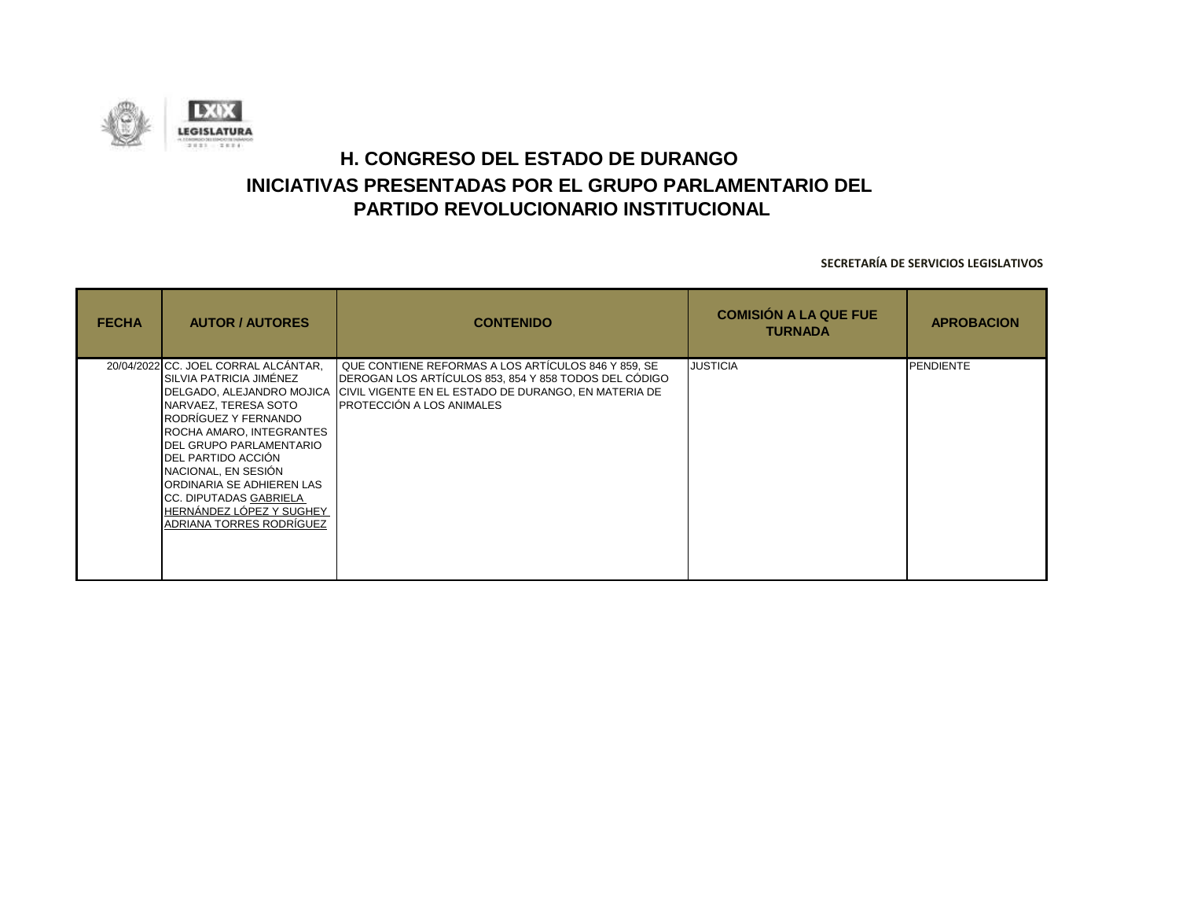![](_page_56_Picture_0.jpeg)

| <b>FECHA</b> | <b>AUTOR / AUTORES</b>                                                                                                                                                                                                                                                                                                                                                            | <b>CONTENIDO</b>                                                                                                                                                                                          | <b>COMISIÓN A LA QUE FUE</b><br><b>TURNADA</b> | <b>APROBACION</b> |
|--------------|-----------------------------------------------------------------------------------------------------------------------------------------------------------------------------------------------------------------------------------------------------------------------------------------------------------------------------------------------------------------------------------|-----------------------------------------------------------------------------------------------------------------------------------------------------------------------------------------------------------|------------------------------------------------|-------------------|
|              | 20/04/2022 CC. JOEL CORRAL ALCÁNTAR,<br>ÍSILVIA PATRICIA JIMÉNEZ<br>DELGADO, ALEJANDRO MOJICA<br>NARVAEZ, TERESA SOTO<br>IRODRÍGUEZ Y FERNANDO<br>ROCHA AMARO, INTEGRANTES<br><b>IDEL GRUPO PARLAMENTARIO</b><br>DEL PARTIDO ACCIÓN<br>NACIONAL, EN SESIÓN<br>IORDINARIA SE ADHIEREN LAS<br><b>CC. DIPUTADAS GABRIELA</b><br>HERNÁNDEZ LÓPEZ Y SUGHEY<br>ADRIANA TORRES RODRÍGUEZ | QUE CONTIENE REFORMAS A LOS ARTÍCULOS 846 Y 859, SE<br>DEROGAN LOS ARTÍCULOS 853, 854 Y 858 TODOS DEL CÓDIGO<br>CIVIL VIGENTE EN EL ESTADO DE DURANGO, EN MATERIA DE<br><b>IPROTECCIÓN A LOS ANIMALES</b> | <b>JUSTICIA</b>                                | <b>PENDIENTE</b>  |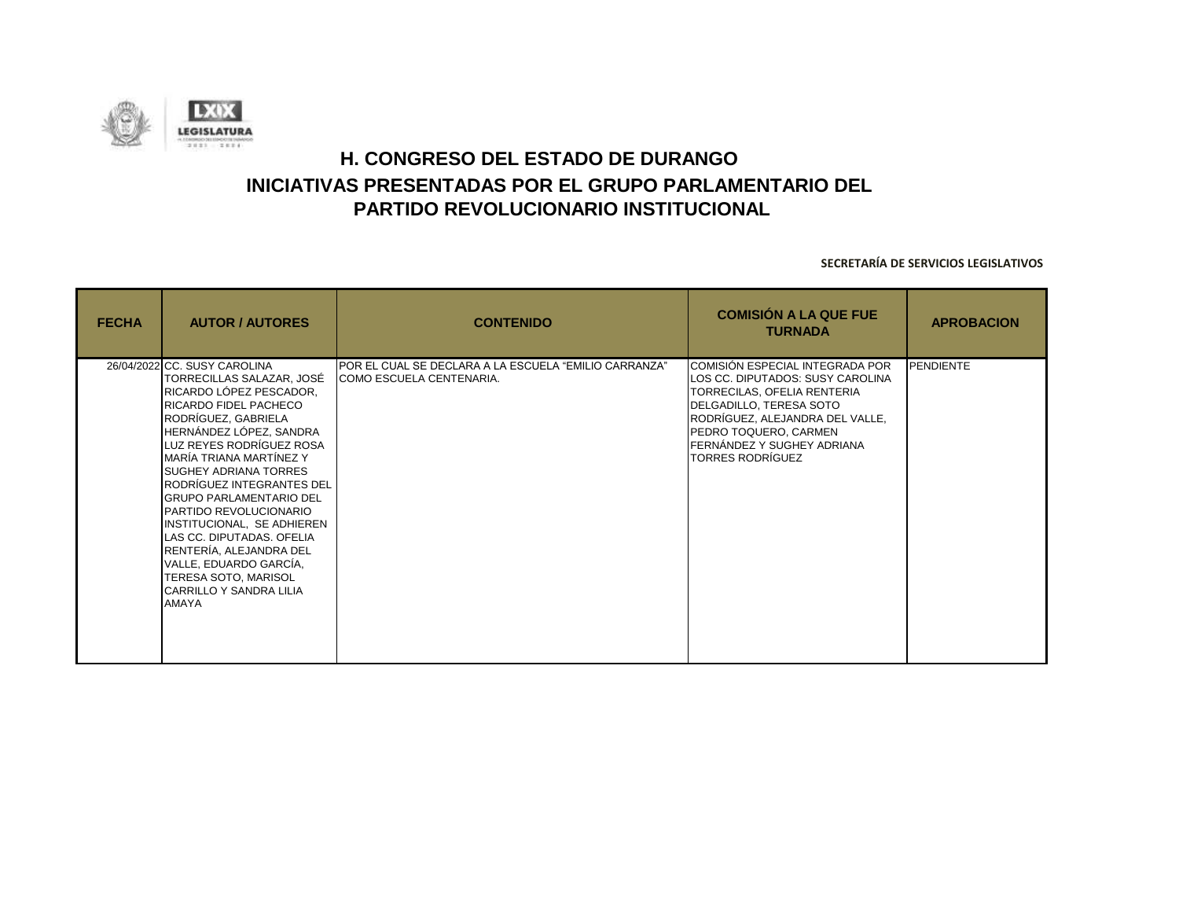![](_page_57_Picture_0.jpeg)

| <b>FECHA</b> | <b>AUTOR / AUTORES</b>                                                                                                                                                                                                                                                                                                                                                                                                                                                                                                            | <b>CONTENIDO</b>                                                                  | <b>COMISIÓN A LA QUE FUE</b><br><b>TURNADA</b>                                                                                                                                                                                                     | <b>APROBACION</b> |
|--------------|-----------------------------------------------------------------------------------------------------------------------------------------------------------------------------------------------------------------------------------------------------------------------------------------------------------------------------------------------------------------------------------------------------------------------------------------------------------------------------------------------------------------------------------|-----------------------------------------------------------------------------------|----------------------------------------------------------------------------------------------------------------------------------------------------------------------------------------------------------------------------------------------------|-------------------|
| AMAYA        | 26/04/2022 CC. SUSY CAROLINA<br>TORRECILLAS SALAZAR, JOSÉ<br>RICARDO LÓPEZ PESCADOR,<br><b>RICARDO FIDEL PACHECO</b><br>RODRÍGUEZ. GABRIELA<br>HERNÁNDEZ LÓPEZ, SANDRA<br>LUZ REYES RODRÍGUEZ ROSA<br>IMARÍA TRIANA MARTÍNEZ Y<br><b>SUGHEY ADRIANA TORRES</b><br>RODRÍGUEZ INTEGRANTES DEL<br><b>GRUPO PARLAMENTARIO DEL</b><br>PARTIDO REVOLUCIONARIO<br>INSTITUCIONAL, SE ADHIEREN<br>LAS CC. DIPUTADAS. OFELIA<br>RENTERÍA, ALEJANDRA DEL<br>VALLE, EDUARDO GARCÍA,<br>TERESA SOTO, MARISOL<br><b>CARRILLO Y SANDRA LILIA</b> | POR EL CUAL SE DECLARA A LA ESCUELA "EMILIO CARRANZA"<br>COMO ESCUELA CENTENARIA. | COMISIÓN ESPECIAL INTEGRADA POR<br>LOS CC. DIPUTADOS: SUSY CAROLINA<br>TORRECILAS, OFELIA RENTERIA<br>DELGADILLO, TERESA SOTO<br>RODRÍGUEZ, ALEJANDRA DEL VALLE,<br>PEDRO TOQUERO, CARMEN<br>FERNÁNDEZ Y SUGHEY ADRIANA<br><b>TORRES RODRÍGUEZ</b> | <b>PENDIENTE</b>  |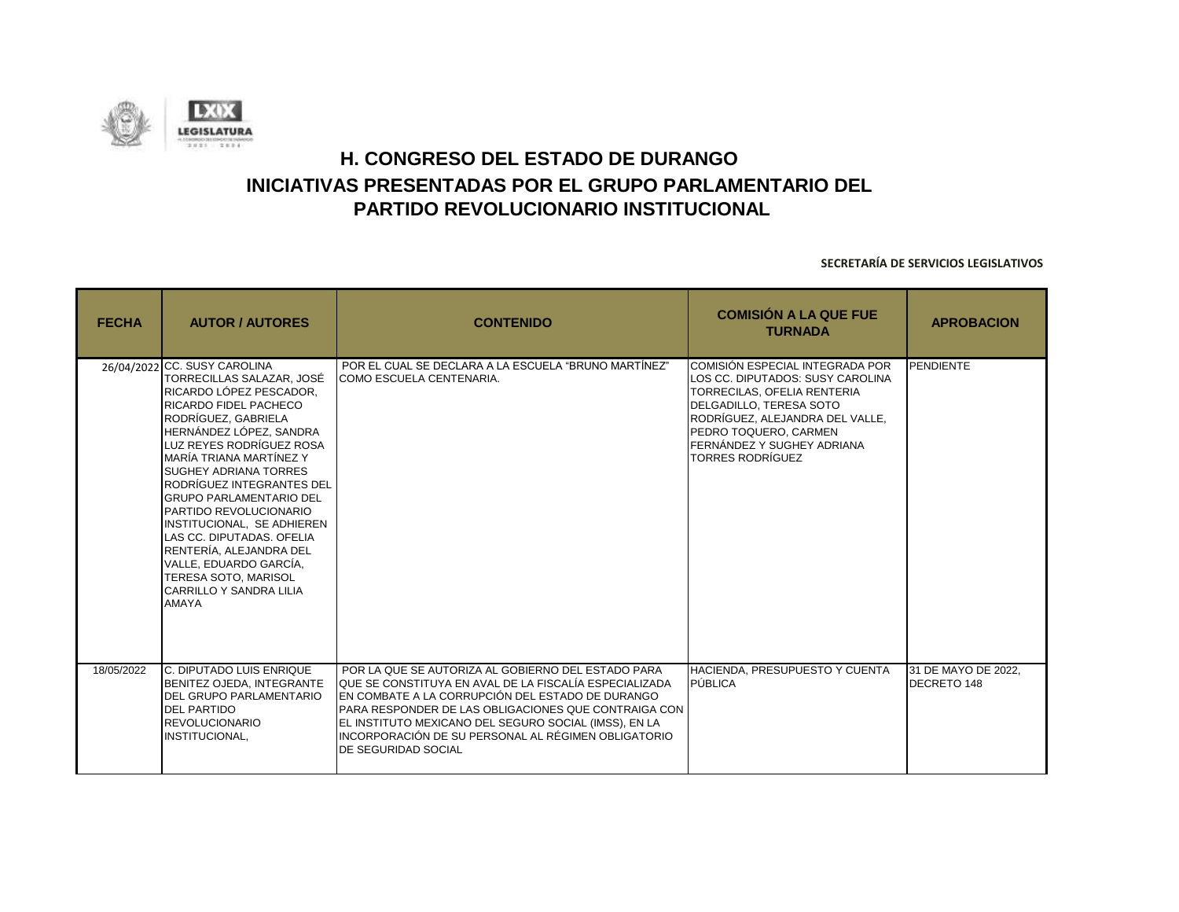![](_page_58_Picture_0.jpeg)

| <b>FECHA</b> | <b>AUTOR / AUTORES</b>                                                                                                                                                                                                                                                                                                                                                                                                                                                                                                                            | <b>CONTENIDO</b>                                                                                                                                                                                                                                                                                                                                                       | <b>COMISIÓN A LA QUE FUE</b><br><b>TURNADA</b>                                                                                                                                                                                                     | <b>APROBACION</b>                  |
|--------------|---------------------------------------------------------------------------------------------------------------------------------------------------------------------------------------------------------------------------------------------------------------------------------------------------------------------------------------------------------------------------------------------------------------------------------------------------------------------------------------------------------------------------------------------------|------------------------------------------------------------------------------------------------------------------------------------------------------------------------------------------------------------------------------------------------------------------------------------------------------------------------------------------------------------------------|----------------------------------------------------------------------------------------------------------------------------------------------------------------------------------------------------------------------------------------------------|------------------------------------|
|              | 26/04/2022 CC. SUSY CAROLINA<br>TORRECILLAS SALAZAR. JOSÉ<br>IRICARDO LÓPEZ PESCADOR.<br>RICARDO FIDEL PACHECO<br>RODRÍGUEZ, GABRIELA<br>HERNÁNDEZ LÓPEZ, SANDRA<br>LUZ REYES RODRÍGUEZ ROSA<br>MARÍA TRIANA MARTÍNEZ Y<br><b>SUGHEY ADRIANA TORRES</b><br>RODRÍGUEZ INTEGRANTES DEL<br><b>GRUPO PARLAMENTARIO DEL</b><br><b>PARTIDO REVOLUCIONARIO</b><br>INSTITUCIONAL, SE ADHIEREN<br>LAS CC. DIPUTADAS, OFELIA<br>RENTERÍA, ALEJANDRA DEL<br>VALLE. EDUARDO GARCÍA.<br><b>TERESA SOTO, MARISOL</b><br>CARRILLO Y SANDRA LILIA<br><b>AMAYA</b> | POR EL CUAL SE DECLARA A LA ESCUELA "BRUNO MARTÍNEZ"<br>COMO ESCUELA CENTENARIA.                                                                                                                                                                                                                                                                                       | COMISIÓN ESPECIAL INTEGRADA POR<br>LOS CC. DIPUTADOS: SUSY CAROLINA<br>TORRECILAS, OFELIA RENTERIA<br>DELGADILLO, TERESA SOTO<br>RODRÍGUEZ, ALEJANDRA DEL VALLE,<br>PEDRO TOQUERO, CARMEN<br>FERNÁNDEZ Y SUGHEY ADRIANA<br><b>TORRES RODRÍGUEZ</b> | PENDIENTE                          |
| 18/05/2022   | <b>IC. DIPUTADO LUIS ENRIQUE</b><br>BENITEZ OJEDA, INTEGRANTE<br><b>DEL GRUPO PARLAMENTARIO</b><br><b>DEL PARTIDO</b><br><b>REVOLUCIONARIO</b><br>INSTITUCIONAL.                                                                                                                                                                                                                                                                                                                                                                                  | POR LA QUE SE AUTORIZA AL GOBIERNO DEL ESTADO PARA<br>QUE SE CONSTITUYA EN AVAL DE LA FISCALÍA ESPECIALIZADA<br>EN COMBATE A LA CORRUPCIÓN DEL ESTADO DE DURANGO<br>PARA RESPONDER DE LAS OBLIGACIONES QUE CONTRAIGA CON<br>EL INSTITUTO MEXICANO DEL SEGURO SOCIAL (IMSS), EN LA<br>INCORPORACIÓN DE SU PERSONAL AL RÉGIMEN OBLIGATORIO<br><b>DE SEGURIDAD SOCIAL</b> | HACIENDA, PRESUPUESTO Y CUENTA<br>PÚBLICA                                                                                                                                                                                                          | 31 DE MAYO DE 2022.<br>DECRETO 148 |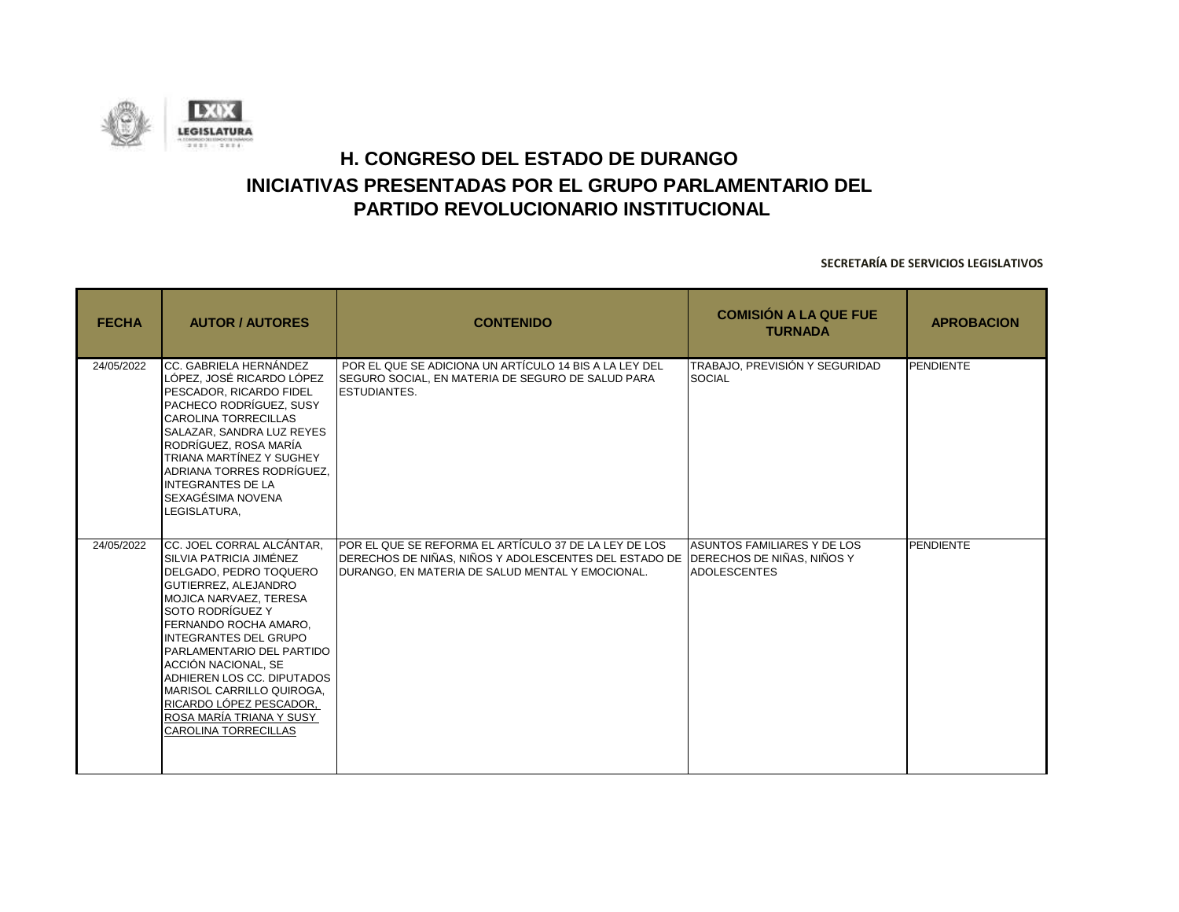![](_page_59_Picture_0.jpeg)

| <b>FECHA</b> | <b>AUTOR / AUTORES</b>                                                                                                                                                                                                                                                                                                                                                                                       | <b>CONTENIDO</b>                                                                                                                                                                               | <b>COMISIÓN A LA QUE FUE</b><br><b>TURNADA</b>     | <b>APROBACION</b> |
|--------------|--------------------------------------------------------------------------------------------------------------------------------------------------------------------------------------------------------------------------------------------------------------------------------------------------------------------------------------------------------------------------------------------------------------|------------------------------------------------------------------------------------------------------------------------------------------------------------------------------------------------|----------------------------------------------------|-------------------|
| 24/05/2022   | CC. GABRIELA HERNÁNDEZ<br>LÓPEZ. JOSÉ RICARDO LÓPEZ<br>PESCADOR, RICARDO FIDEL<br>PACHECO RODRÍGUEZ, SUSY<br><b>CAROLINA TORRECILLAS</b><br>SALAZAR, SANDRA LUZ REYES<br>RODRÍGUEZ. ROSA MARÍA<br>TRIANA MARTÍNEZ Y SUGHEY<br>ADRIANA TORRES RODRÍGUEZ.<br>INTEGRANTES DE LA<br>SEXAGÉSIMA NOVENA<br>LEGISLATURA,                                                                                            | POR EL QUE SE ADICIONA UN ARTÍCULO 14 BIS A LA LEY DEL<br>SEGURO SOCIAL, EN MATERIA DE SEGURO DE SALUD PARA<br><b>ESTUDIANTES.</b>                                                             | TRABAJO. PREVISIÓN Y SEGURIDAD<br><b>SOCIAL</b>    | PENDIENTE         |
| 24/05/2022   | CC. JOEL CORRAL ALCÁNTAR.<br>SILVIA PATRICIA JIMÉNEZ<br>DELGADO, PEDRO TOQUERO<br>GUTIERREZ, ALEJANDRO<br>MOJICA NARVAEZ. TERESA<br>SOTO RODRÍGUEZ Y<br>FERNANDO ROCHA AMARO,<br>INTEGRANTES DEL GRUPO<br>PARLAMENTARIO DEL PARTIDO<br>LACCIÓN NACIONAL. SE<br>ADHIEREN LOS CC. DIPUTADOS<br>MARISOL CARRILLO QUIROGA,<br>RICARDO LÓPEZ PESCADOR.<br>ROSA MARÍA TRIANA Y SUSY<br><b>CAROLINA TORRECILLAS</b> | POR EL QUE SE REFORMA EL ARTÍCULO 37 DE LA LEY DE LOS<br>DERECHOS DE NIÑAS, NIÑOS Y ADOLESCENTES DEL ESTADO DE  DERECHOS DE NIÑAS, NIÑOS Y<br>DURANGO, EN MATERIA DE SALUD MENTAL Y EMOCIONAL. | ASUNTOS FAMILIARES Y DE LOS<br><b>ADOLESCENTES</b> | PENDIENTE         |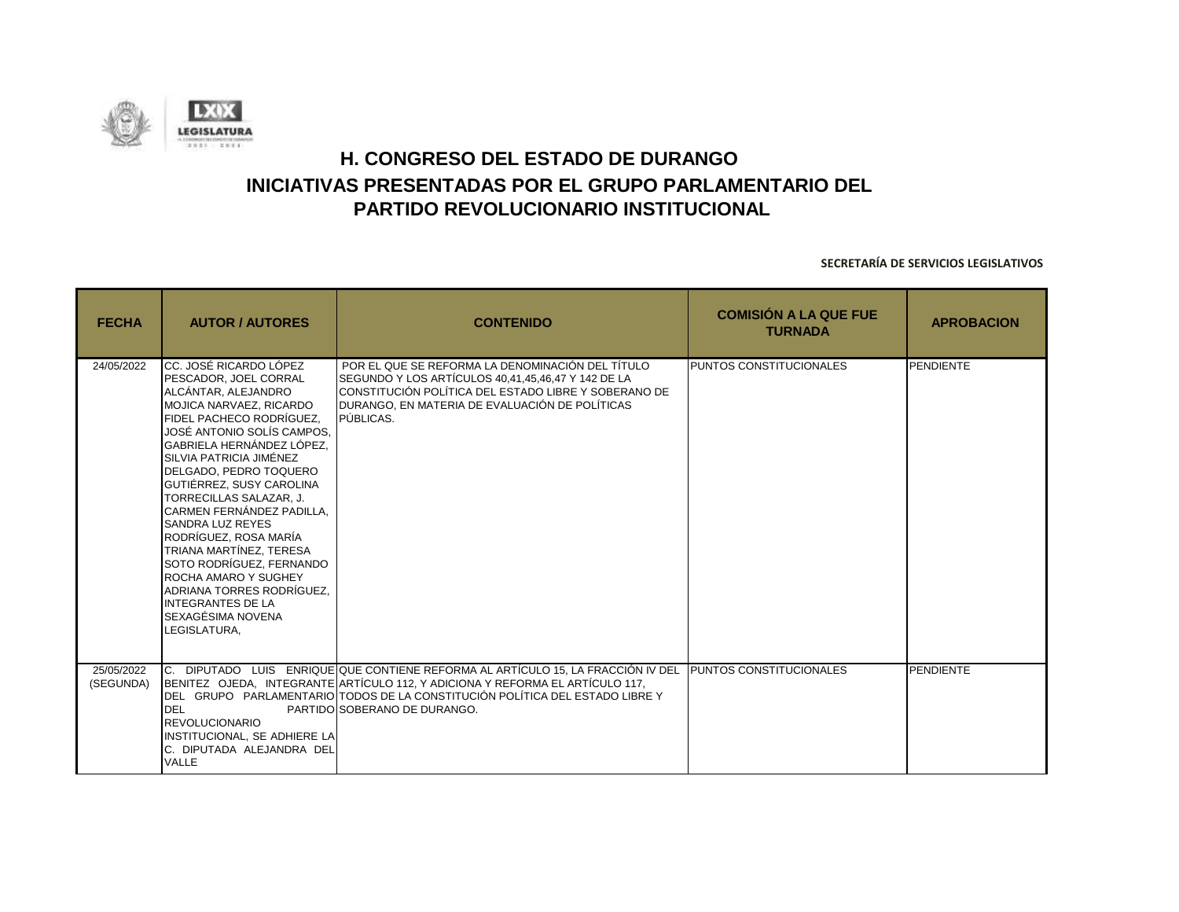![](_page_60_Picture_0.jpeg)

| <b>FECHA</b>            | <b>AUTOR / AUTORES</b>                                                                                                                                                                                                                                                                                                                                                                                                                                                                                                                                                           | <b>CONTENIDO</b>                                                                                                                                                                                                                                                                                          | <b>COMISIÓN A LA QUE FUE</b><br><b>TURNADA</b> | <b>APROBACION</b> |
|-------------------------|----------------------------------------------------------------------------------------------------------------------------------------------------------------------------------------------------------------------------------------------------------------------------------------------------------------------------------------------------------------------------------------------------------------------------------------------------------------------------------------------------------------------------------------------------------------------------------|-----------------------------------------------------------------------------------------------------------------------------------------------------------------------------------------------------------------------------------------------------------------------------------------------------------|------------------------------------------------|-------------------|
| 24/05/2022              | CC. JOSÉ RICARDO LÓPEZ<br><b>PESCADOR. JOEL CORRAL</b><br>ALCÁNTAR, ALEJANDRO<br>MOJICA NARVAEZ, RICARDO<br>FIDEL PACHECO RODRÍGUEZ.<br>JOSÉ ANTONIO SOLÍS CAMPOS.<br>GABRIELA HERNÁNDEZ LÓPEZ.<br>SILVIA PATRICIA JIMÉNEZ<br>DELGADO. PEDRO TOQUERO<br>GUTIÉRREZ, SUSY CAROLINA<br>TORRECILLAS SALAZAR. J.<br>CARMEN FERNÁNDEZ PADILLA.<br><b>SANDRA LUZ REYES</b><br>RODRÍGUEZ, ROSA MARÍA<br><b>TRIANA MARTÍNEZ. TERESA</b><br>SOTO RODRÍGUEZ. FERNANDO<br>ROCHA AMARO Y SUGHEY<br>ADRIANA TORRES RODRÍGUEZ.<br><b>INTEGRANTES DE LA</b><br>SEXAGÉSIMA NOVENA<br>LEGISLATURA, | POR EL QUE SE REFORMA LA DENOMINACIÓN DEL TÍTULO<br>SEGUNDO Y LOS ARTÍCULOS 40.41.45.46.47 Y 142 DE LA<br>CONSTITUCIÓN POLÍTICA DEL ESTADO LIBRE Y SOBERANO DE<br>DURANGO. EN MATERIA DE EVALUACIÓN DE POLÍTICAS<br>PÚBLICAS.                                                                             | <b>PUNTOS CONSTITUCIONALES</b>                 | <b>PENDIENTE</b>  |
| 25/05/2022<br>(SEGUNDA) | DEL<br><b>REVOLUCIONARIO</b><br>INSTITUCIONAL, SE ADHIERE LA<br>C. DIPUTADA ALEJANDRA DEL<br><b>VALLE</b>                                                                                                                                                                                                                                                                                                                                                                                                                                                                        | C. DIPUTADO LUIS ENRIQUE QUE CONTIENE REFORMA AL ARTÍCULO 15, LA FRACCIÓN IV DEL PUNTOS CONSTITUCIONALES<br>BENITEZ OJEDA, INTEGRANTE ARTÍCULO 112, Y ADICIONA Y REFORMA EL ARTÍCULO 117,<br>DEL GRUPO PARLAMENTARIO TODOS DE LA CONSTITUCIÓN POLÍTICA DEL ESTADO LIBRE Y<br>PARTIDO SOBERANO DE DURANGO. |                                                | <b>PENDIENTE</b>  |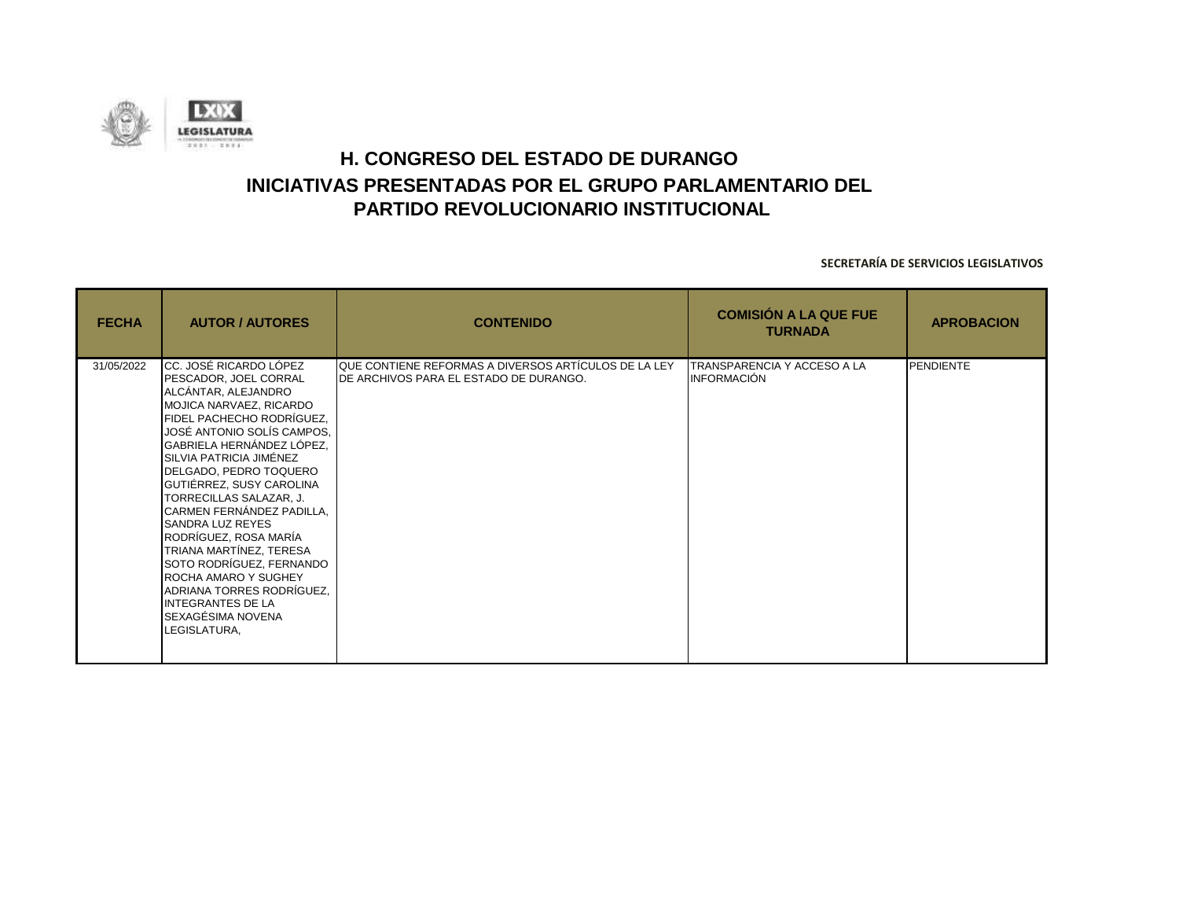![](_page_61_Picture_0.jpeg)

| <b>FECHA</b> | <b>AUTOR / AUTORES</b>                                                                                                                                                                                                                                                                                                                                                                                                                                                                                                                                               | <b>CONTENIDO</b>                                                                                       | <b>COMISIÓN A LA QUE FUE</b><br><b>TURNADA</b>    | <b>APROBACION</b> |
|--------------|----------------------------------------------------------------------------------------------------------------------------------------------------------------------------------------------------------------------------------------------------------------------------------------------------------------------------------------------------------------------------------------------------------------------------------------------------------------------------------------------------------------------------------------------------------------------|--------------------------------------------------------------------------------------------------------|---------------------------------------------------|-------------------|
| 31/05/2022   | ICC. JOSÉ RICARDO LÓPEZ<br>PESCADOR, JOEL CORRAL<br>ALCÁNTAR, ALEJANDRO<br>MOJICA NARVAEZ, RICARDO<br>FIDEL PACHECHO RODRÍGUEZ,<br>JOSÉ ANTONIO SOLÍS CAMPOS,<br>GABRIELA HERNÁNDEZ LÓPEZ,<br>SILVIA PATRICIA JIMÉNEZ<br>DELGADO, PEDRO TOQUERO<br>GUTIÉRREZ, SUSY CAROLINA<br>TORRECILLAS SALAZAR, J.<br>CARMEN FERNÁNDEZ PADILLA,<br><b>SANDRA LUZ REYES</b><br>RODRÍGUEZ, ROSA MARÍA<br>TRIANA MARTÍNEZ, TERESA<br>SOTO RODRÍGUEZ, FERNANDO<br>ROCHA AMARO Y SUGHEY<br>ADRIANA TORRES RODRÍGUEZ.<br><b>INTEGRANTES DE LA</b><br>SEXAGÉSIMA NOVENA<br>LEGISLATURA, | QUE CONTIENE REFORMAS A DIVERSOS ARTÍCULOS DE LA LEY<br><b>IDE ARCHIVOS PARA EL ESTADO DE DURANGO.</b> | TRANSPARENCIA Y ACCESO A LA<br><b>INFORMACIÓN</b> | <b>PENDIENTE</b>  |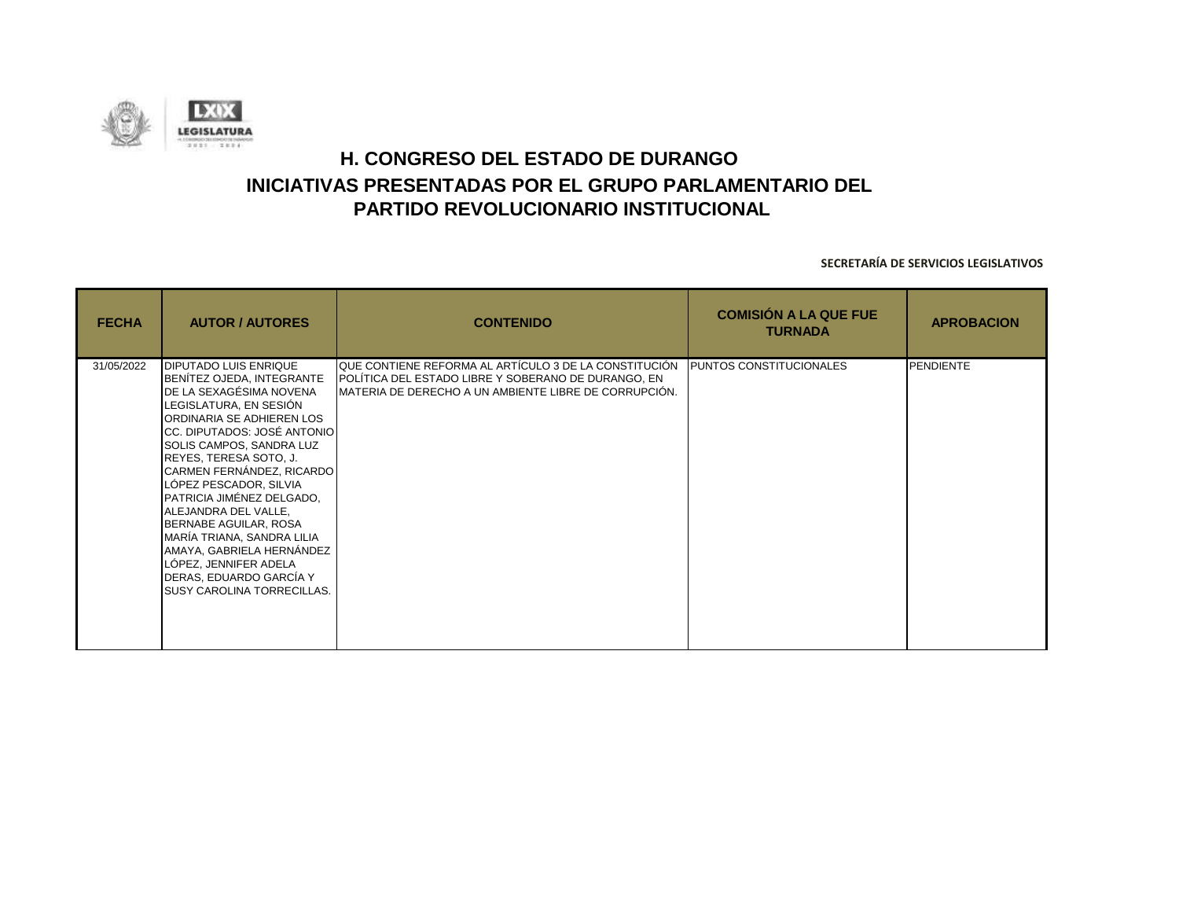![](_page_62_Picture_0.jpeg)

| <b>FECHA</b> | <b>AUTOR / AUTORES</b>                                                                                                                                                                                                                                                                                                                                                                                                                                                                                                    | <b>CONTENIDO</b>                                                                                                                                                       | <b>COMISIÓN A LA QUE FUE</b><br><b>TURNADA</b> | <b>APROBACION</b> |
|--------------|---------------------------------------------------------------------------------------------------------------------------------------------------------------------------------------------------------------------------------------------------------------------------------------------------------------------------------------------------------------------------------------------------------------------------------------------------------------------------------------------------------------------------|------------------------------------------------------------------------------------------------------------------------------------------------------------------------|------------------------------------------------|-------------------|
| 31/05/2022   | <b>DIPUTADO LUIS ENRIQUE</b><br>BENÍTEZ OJEDA, INTEGRANTE<br>DE LA SEXAGÉSIMA NOVENA<br>LEGISLATURA, EN SESIÓN<br>ORDINARIA SE ADHIEREN LOS<br>CC. DIPUTADOS: JOSÉ ANTONIO<br>SOLIS CAMPOS, SANDRA LUZ<br>REYES, TERESA SOTO, J.<br>CARMEN FERNÁNDEZ, RICARDO<br>LÓPEZ PESCADOR, SILVIA<br>PATRICIA JIMÉNEZ DELGADO,<br>ALEJANDRA DEL VALLE,<br>BERNABE AGUILAR, ROSA<br>MARÍA TRIANA, SANDRA LILIA<br>AMAYA, GABRIELA HERNÁNDEZ<br>LÓPEZ, JENNIFER ADELA<br>DERAS, EDUARDO GARCÍA Y<br><b>SUSY CAROLINA TORRECILLAS.</b> | IQUE CONTIENE REFORMA AL ARTÍCULO 3 DE LA CONSTITUCIÓN<br>POLÍTICA DEL ESTADO LIBRE Y SOBERANO DE DURANGO, EN<br>MATERIA DE DERECHO A UN AMBIENTE LIBRE DE CORRUPCIÓN. | <b>PUNTOS CONSTITUCIONALES</b>                 | <b>PENDIENTE</b>  |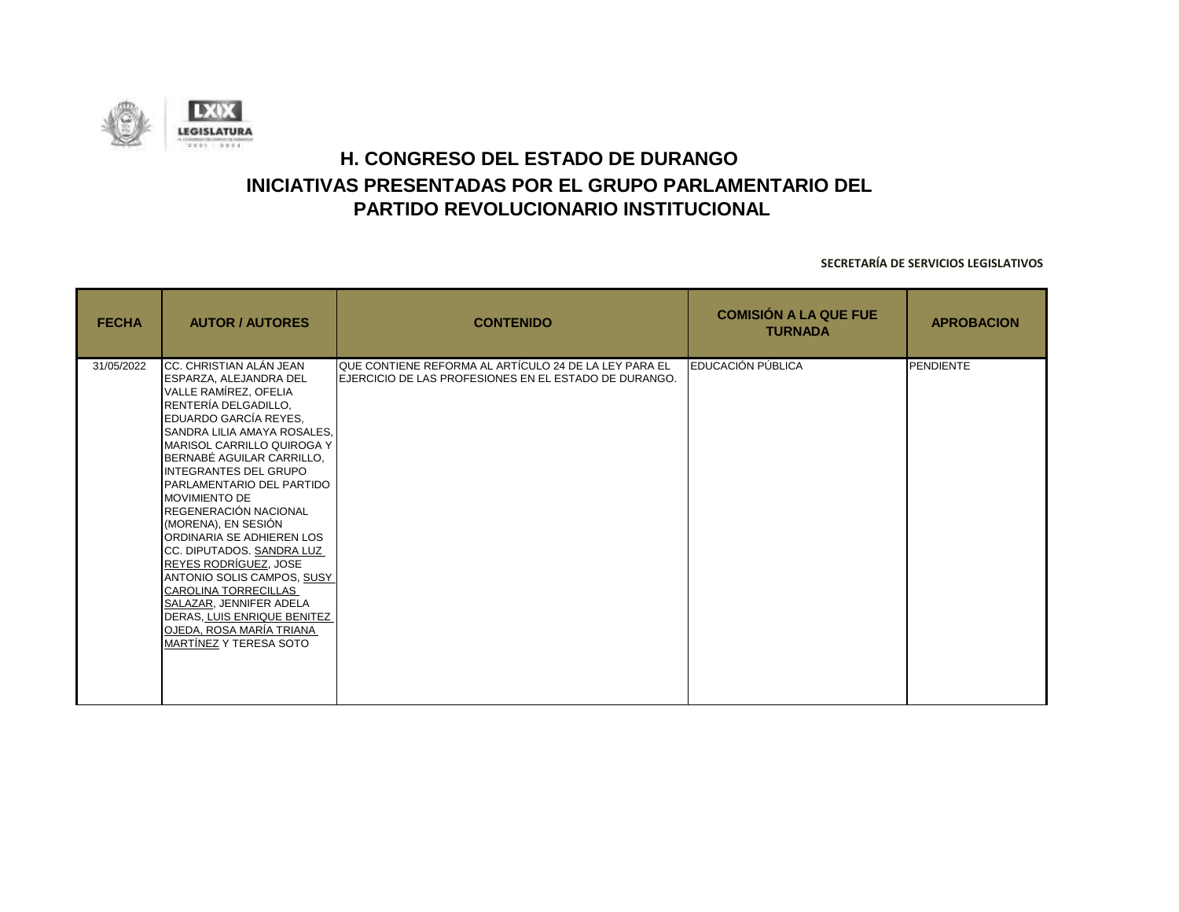![](_page_63_Picture_0.jpeg)

| <b>FECHA</b> | <b>AUTOR / AUTORES</b>                                                                                                                                                                                                                                                                                                                                                                                                                                                                                                                                                                                                                     | <b>CONTENIDO</b>                                                                                               | <b>COMISIÓN A LA QUE FUE</b><br><b>TURNADA</b> | <b>APROBACION</b> |
|--------------|--------------------------------------------------------------------------------------------------------------------------------------------------------------------------------------------------------------------------------------------------------------------------------------------------------------------------------------------------------------------------------------------------------------------------------------------------------------------------------------------------------------------------------------------------------------------------------------------------------------------------------------------|----------------------------------------------------------------------------------------------------------------|------------------------------------------------|-------------------|
| 31/05/2022   | ICC. CHRISTIAN ALÁN JEAN<br><b>ESPARZA, ALEJANDRA DEL</b><br>VALLE RAMÍREZ, OFELIA<br>RENTERÍA DELGADILLO,<br>EDUARDO GARCÍA REYES.<br><b>SANDRA LILIA AMAYA ROSALES,</b><br><b>MARISOL CARRILLO QUIROGA Y</b><br>BERNABÉ AGUILAR CARRILLO.<br>INTEGRANTES DEL GRUPO<br>PARLAMENTARIO DEL PARTIDO<br><b>MOVIMIENTO DE</b><br><b>IREGENERACIÓN NACIONAL</b><br>(MORENA), EN SESIÓN<br>ORDINARIA SE ADHIEREN LOS<br>CC. DIPUTADOS. SANDRA LUZ<br>REYES RODRÍGUEZ, JOSE<br>ANTONIO SOLIS CAMPOS, SUSY<br>CAROLINA TORRECILLAS<br>SALAZAR, JENNIFER ADELA<br>DERAS, LUIS ENRIQUE BENITEZ<br>OJEDA, ROSA MARÍA TRIANA<br>MARTÍNEZ Y TERESA SOTO | QUE CONTIENE REFORMA AL ARTÍCULO 24 DE LA LEY PARA EL<br>EJERCICIO DE LAS PROFESIONES EN EL ESTADO DE DURANGO. | <b>EDUCACIÓN PÚBLICA</b>                       | <b>PENDIENTE</b>  |